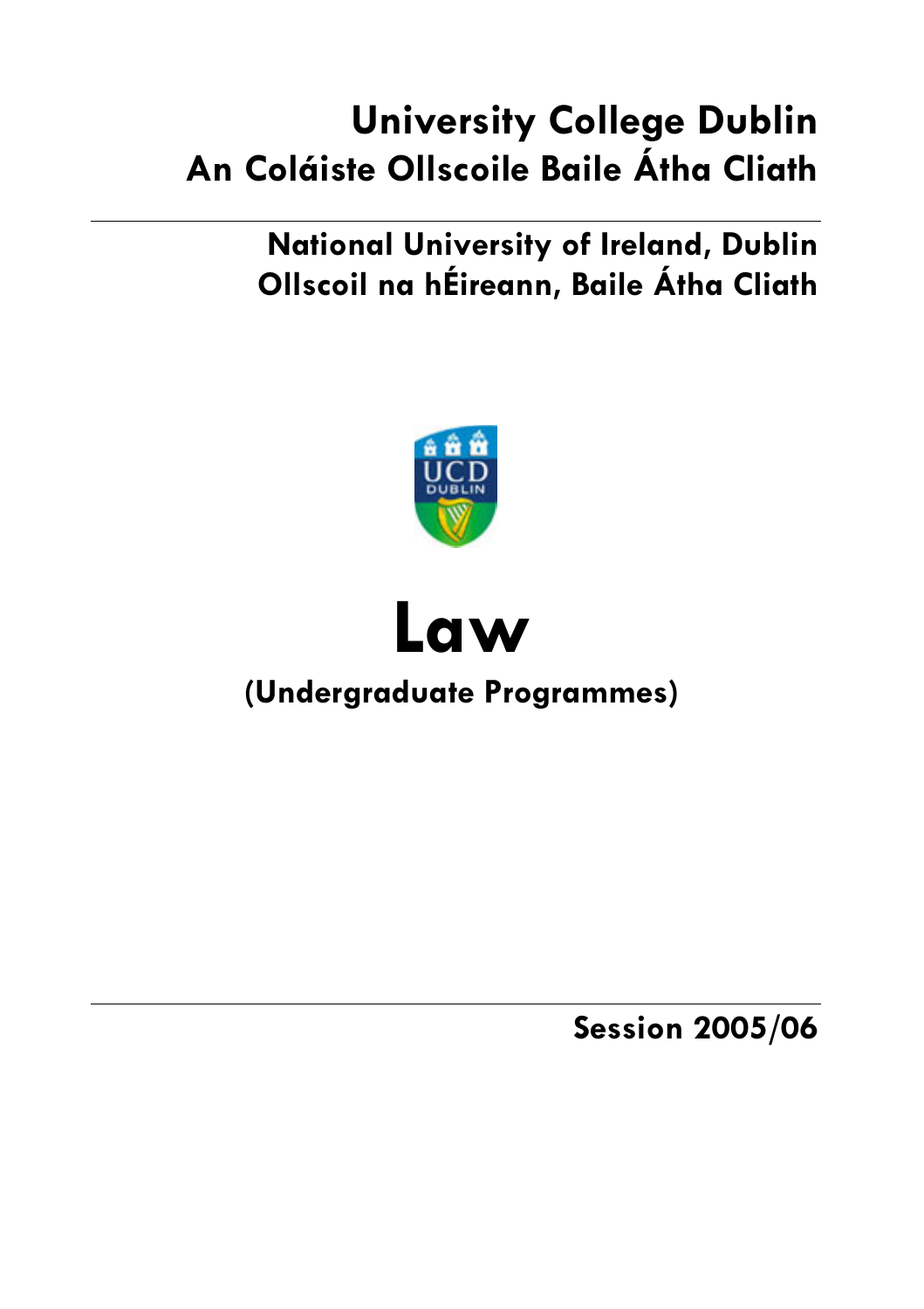# **University College Dublin** An Coláiste Ollscoile Baile Átha Cliath

# **National University of Ireland, Dublin** Ollscoil na hÉireann, Baile Átha Cliath





# (Undergraduate Programmes)

**Session 2005/06**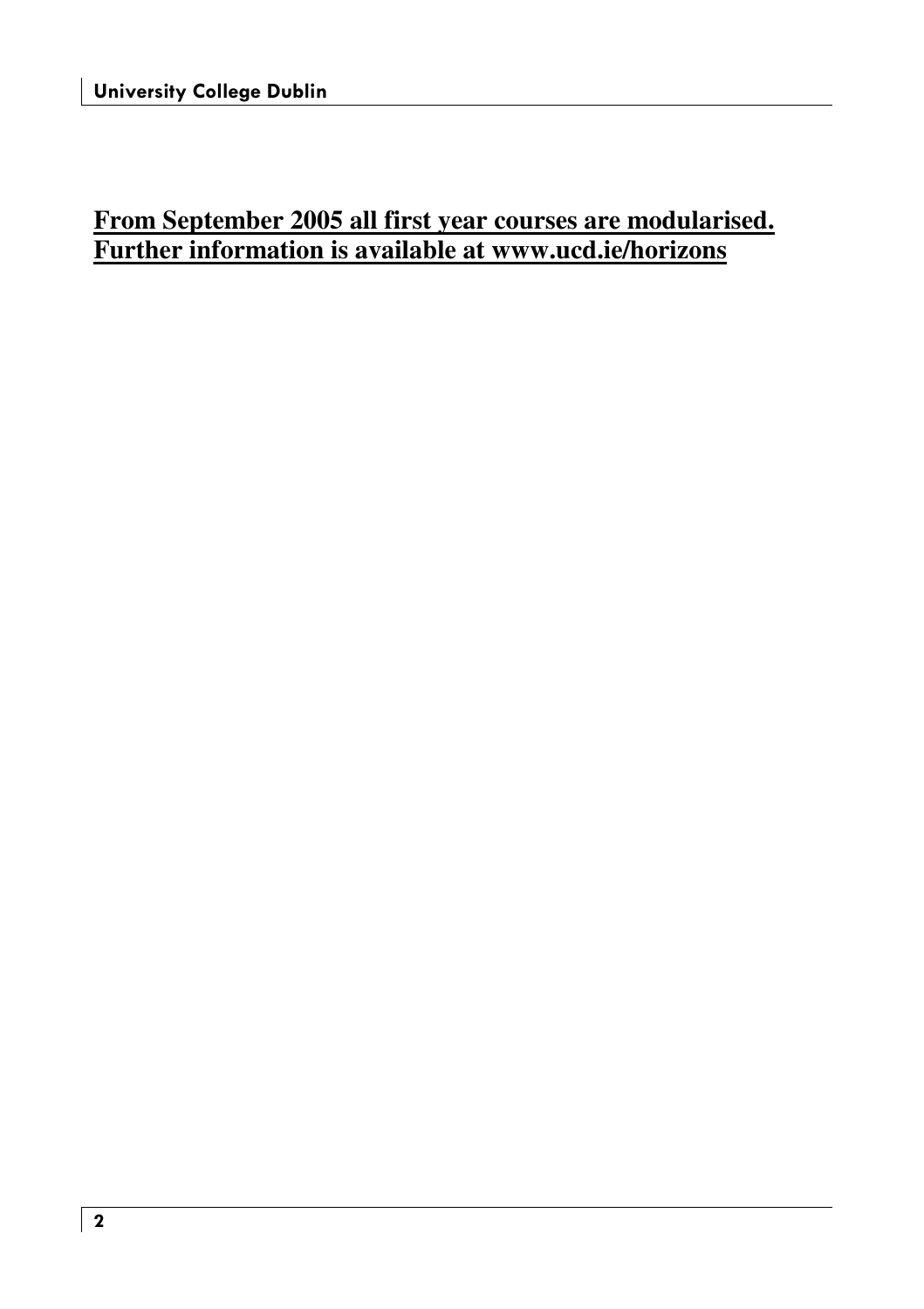# **From September 2005 all first year courses are modularised. Further information is available at www.ucd.ie/horizons**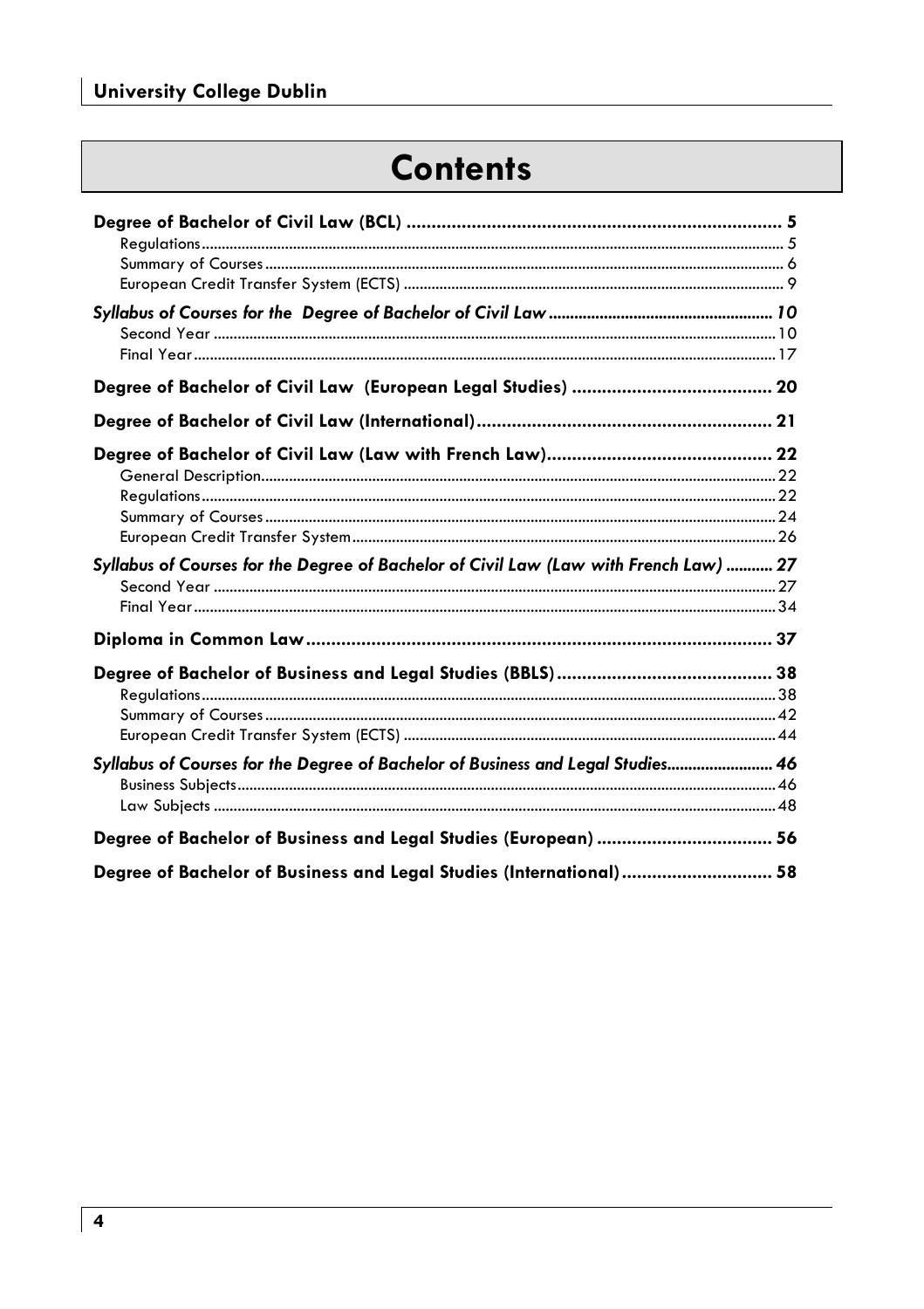# **Contents**

| Syllabus of Courses for the Degree of Bachelor of Civil Law (Law with French Law)  27 |  |
|---------------------------------------------------------------------------------------|--|
|                                                                                       |  |
|                                                                                       |  |
|                                                                                       |  |
|                                                                                       |  |
|                                                                                       |  |
|                                                                                       |  |
|                                                                                       |  |
| Syllabus of Courses for the Degree of Bachelor of Business and Legal Studies 46       |  |
|                                                                                       |  |
|                                                                                       |  |
| Degree of Bachelor of Business and Legal Studies (European)  56                       |  |
| Degree of Bachelor of Business and Legal Studies (International) 58                   |  |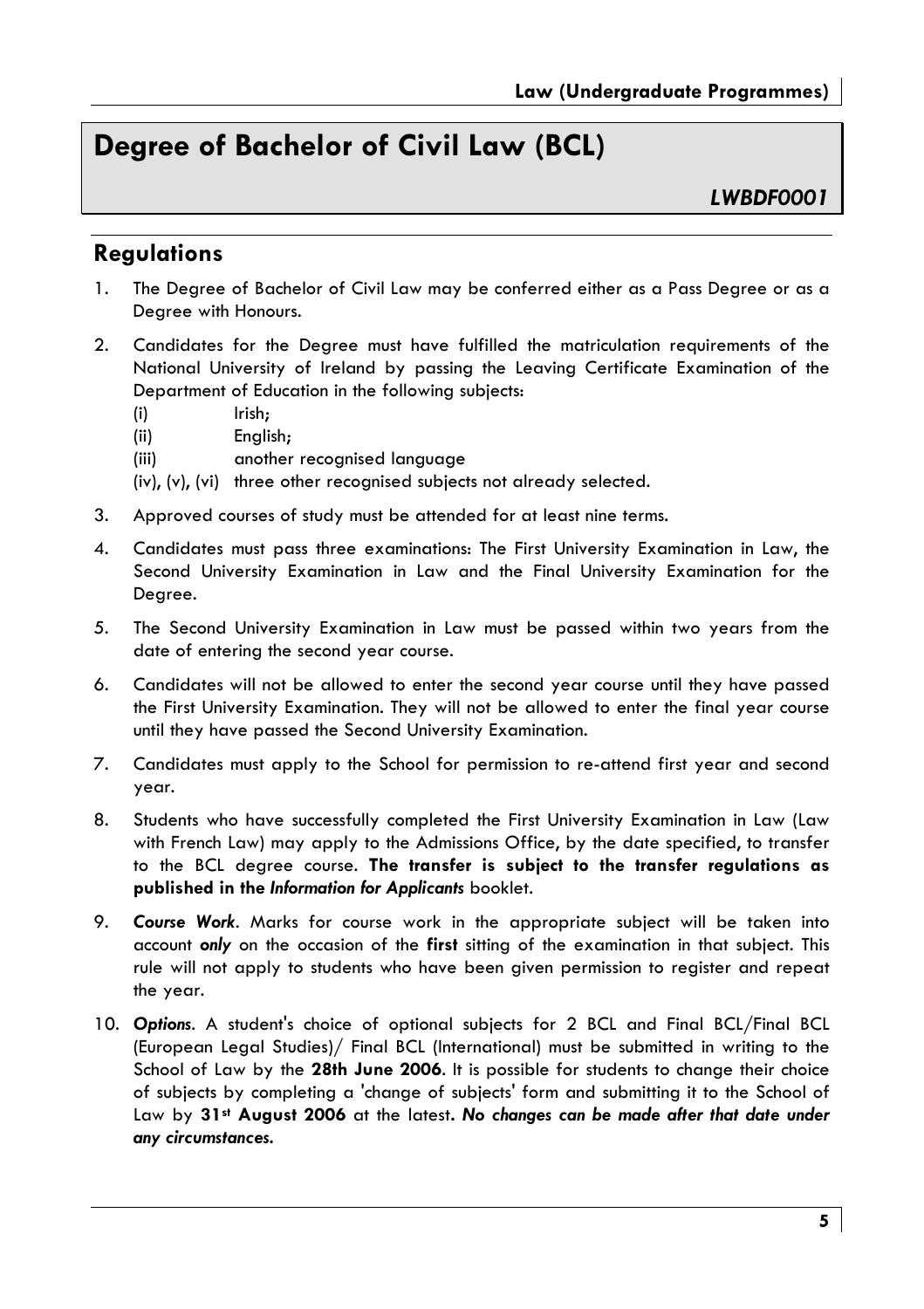# Dearee of Bachelor of Civil Law (BCL)

I WRDF0001

## **Regulations**

- The Degree of Bachelor of Civil Law may be conferred either as a Pass Degree or as a  $\mathbf{1}$ . Dearee with Honours.
- $2.$ Candidates for the Degree must have fulfilled the matriculation requirements of the National University of Ireland by passing the Leaving Certificate Examination of the Department of Education in the following subjects:
	- Irish:  $(i)$
	- $(iii)$ Enalish:
	- $(iii)$ another recognised language
	- (iv), (v), (vi) three other recognised subjects not already selected.
- 3. Approved courses of study must be attended for at least nine terms.
- 4. Candidates must pass three examinations: The First University Examination in Law, the Second University Examination in Law and the Final University Examination for the Degree.
- 5. The Second University Examination in Law must be passed within two years from the date of entering the second year course.
- 6. Candidates will not be allowed to enter the second year course until they have passed the First University Examination. They will not be allowed to enter the final year course until they have passed the Second University Examination.
- 7. Candidates must apply to the School for permission to re-attend first year and second year.
- 8. Students who have successfully completed the First University Examination in Law (Law with French Law) may apply to the Admissions Office, by the date specified, to transfer to the BCL degree course. The transfer is subject to the transfer regulations as published in the Information for Applicants booklet.
- 9. Course Work. Marks for course work in the appropriate subject will be taken into account only on the occasion of the first sitting of the examination in that subject. This rule will not apply to students who have been given permission to register and repeat the year.
- 10. Options. A student's choice of optional subjects for 2 BCL and Final BCL/Final BCL (European Legal Studies)/ Final BCL (International) must be submitted in writing to the School of Law by the 28th June 2006. It is possible for students to change their choice of subjects by completing a 'change of subjects' form and submitting it to the School of Law by 31st August 2006 at the latest. No changes can be made after that date under any circumstances.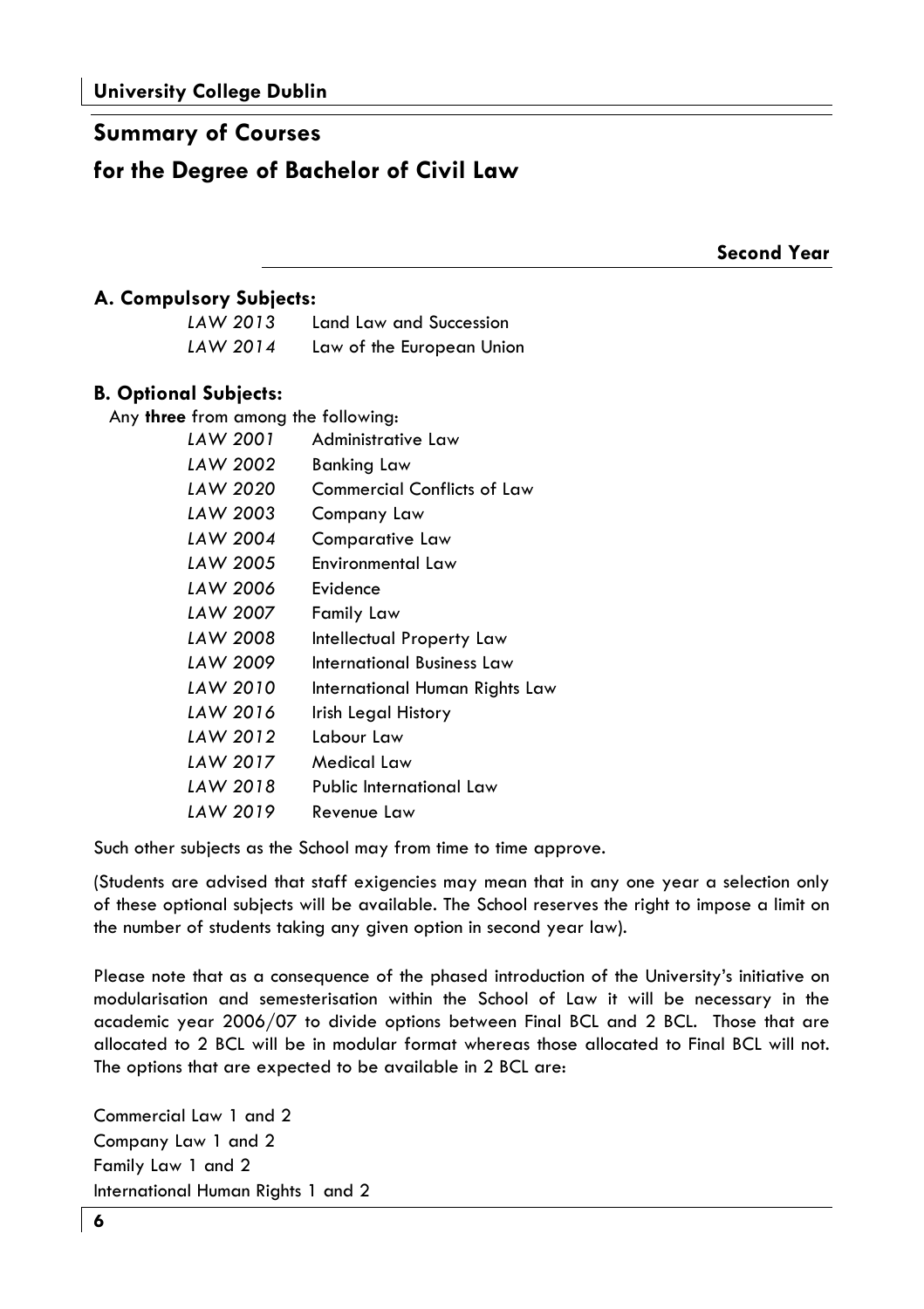#### **Summary of Courses**

# for the Degree of Bachelor of Civil Law

**Second Year** 

#### A. Compulsory Subjects:

| LAW 2013 | Land Law and Succession   |
|----------|---------------------------|
| LAW 2014 | Law of the European Union |

#### **B. Optional Subiects:**

Any three from among the following: LAW 2001 Administrative Law **IAW 2002 Bankina Law** LAW 2020 **Commercial Conflicts of Law** LAW 2003 Company Law LAW 2004 Comparative Law **IAW 2005** Environmental Law LAW 2006 **Fvidence** LAW 2007 **Family Law** LAW 2008 **Intellectual Property Law** LAW 2009 **International Business Law** LAW 2010 International Human Rights Law LAW 2016 Irish Legal History LAW 2012 Labour Law LAW 2017 Medical Law LAW 2018 Public International Law LAW 2019 Revenue Law

Such other subjects as the School may from time to time approve.

(Students are advised that staff exigencies may mean that in any one year a selection only of these optional subjects will be available. The School reserves the right to impose a limit on the number of students taking any given option in second year law).

Please note that as a consequence of the phased introduction of the University's initiative on modularisation and semesterisation within the School of Law it will be necessary in the academic year 2006/07 to divide options between Final BCL and 2 BCL. Those that are allocated to 2 BCL will be in modular format whereas those allocated to Final BCL will not. The options that are expected to be available in 2 BCL are:

Commercial Law 1 and 2 Company Law 1 and 2 Family Law 1 and 2 International Human Rights 1 and 2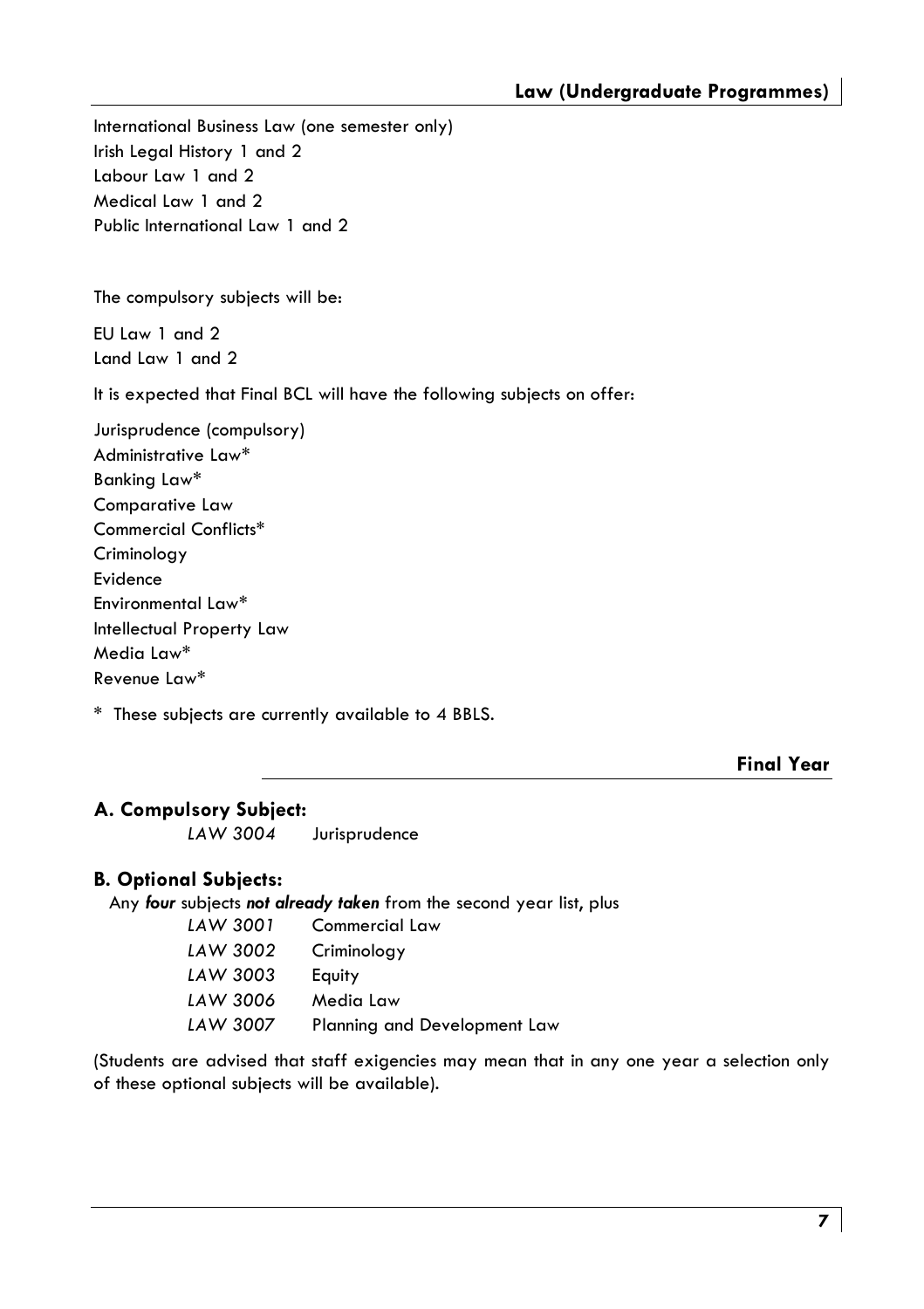International Business Law (one semester only) Irish Leaal History 1 and 2 Labour Law 1 and 2 Medical Law 1 and 2 Public International Law 1 and 2

The compulsory subjects will be:

EU Law 1 and 2  $land$   $low$   $1$  and  $2$ 

It is expected that Final BCL will have the following subjects on offer:

Jurisprudence (compulsory) Administrative Law\* Bankina Law\* **Comparative Law** Commercial Conflicts\* Criminoloay Evidence Environmental Law\* Intellectual Property Law Media Law\* Revenue Law\*

\* These subjects are currently available to 4 BBLS.

**Final Year** 

#### A. Compulsory Subject:

LAW 3004 Jurisprudence

#### **B. Optional Subjects:**

Any four subjects not already taken from the second year list, plus

| LAW 3001 | <b>Commercial Law</b>        |
|----------|------------------------------|
| LAW 3002 | Criminology                  |
| LAW 3003 | Equity                       |
| LAW 3006 | Media Law                    |
| LAW 3007 | Planning and Development Law |

(Students are advised that staff exigencies may mean that in any one year a selection only of these optional subjects will be available).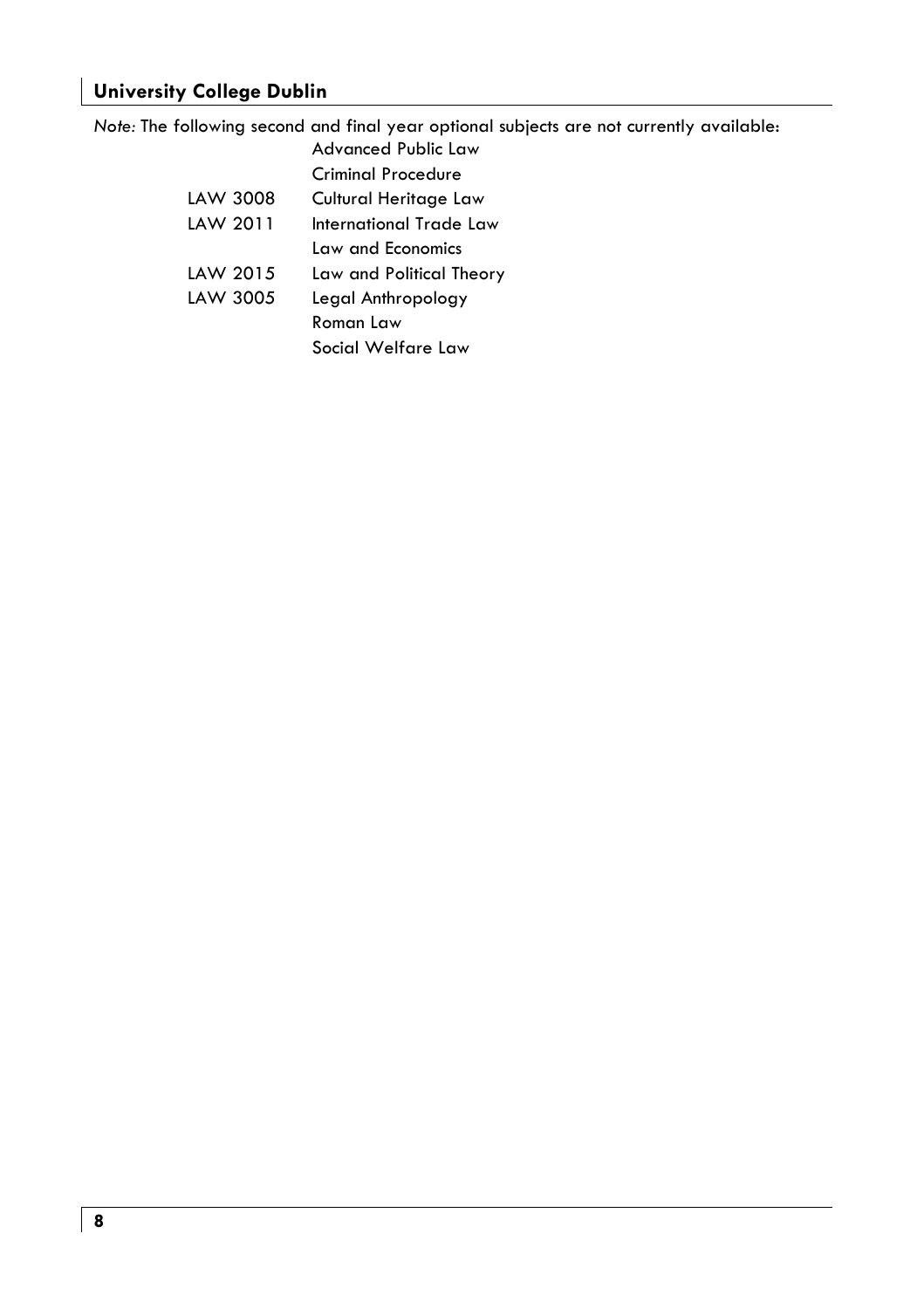#### **University College Dublin**

Note: The following second and final year optional subjects are not currently available: Advanced Public Law

|          | Criminal Procedure       |
|----------|--------------------------|
| LAW 3008 | Cultural Heritage Law    |
| LAW 2011 | International Trade Law  |
|          | Law and Economics        |
| LAW 2015 | Law and Political Theory |
| LAW 3005 | Legal Anthropology       |
|          | Roman Law                |
|          | Social Welfare Law       |
|          |                          |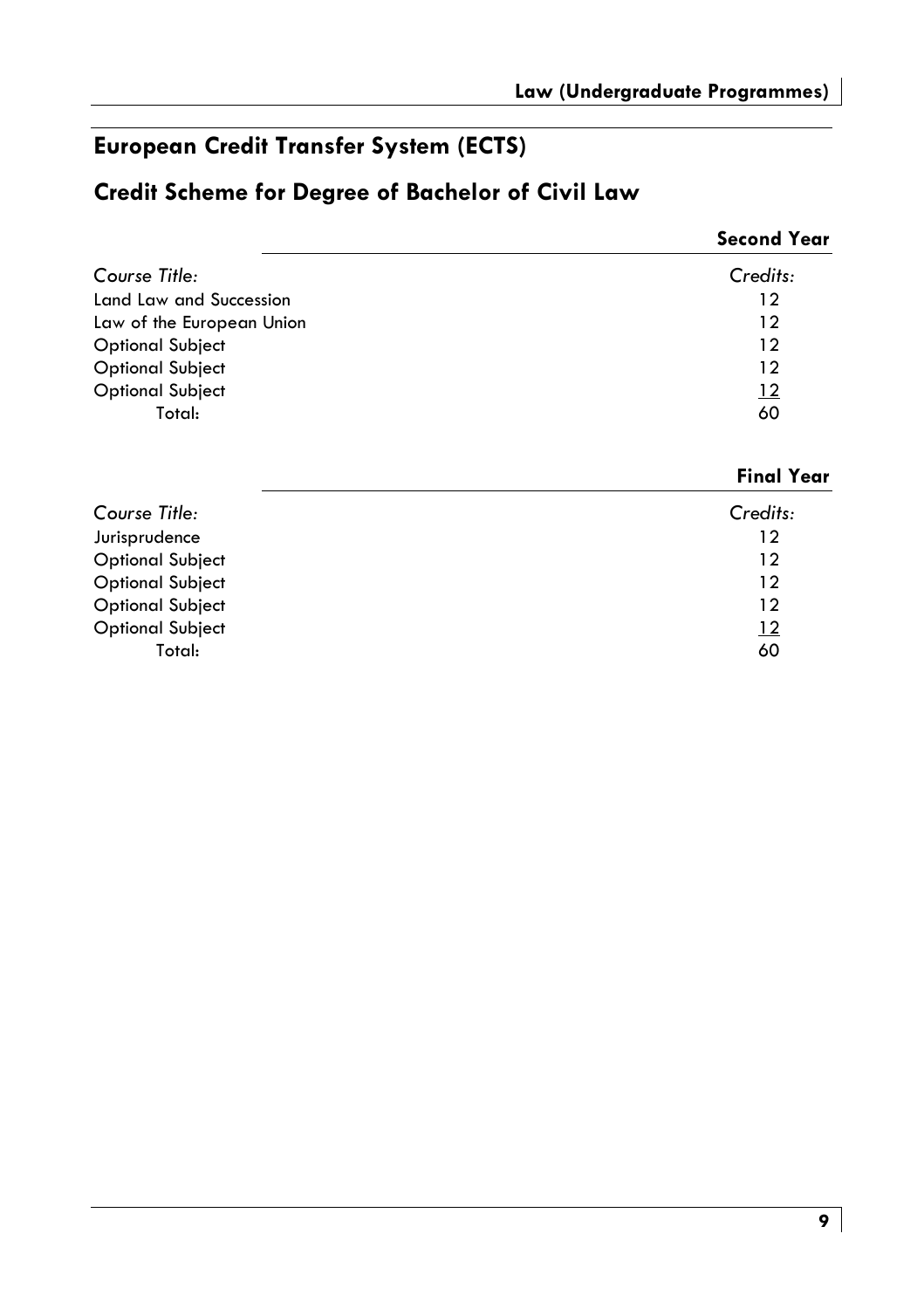# European Credit Transfer System (ECTS)

# Credit Scheme for Degree of Bachelor of Civil Law

|                           | <b>Second Year</b> |
|---------------------------|--------------------|
| Course Title:             | Credits:           |
| Land Law and Succession   | 12                 |
| Law of the European Union | 12                 |
| <b>Optional Subject</b>   | 12                 |
| <b>Optional Subject</b>   | 12                 |
| <b>Optional Subject</b>   | $\frac{12}{1}$     |
| Total:                    | 60                 |

#### **Final Year**

| Course Title:           | Credits:   |
|-------------------------|------------|
| Jurisprudence           | 12         |
| <b>Optional Subject</b> | 12         |
| <b>Optional Subject</b> | 12         |
| <b>Optional Subject</b> | 12         |
| <b>Optional Subject</b> | <u> 12</u> |
| Total:                  | 60         |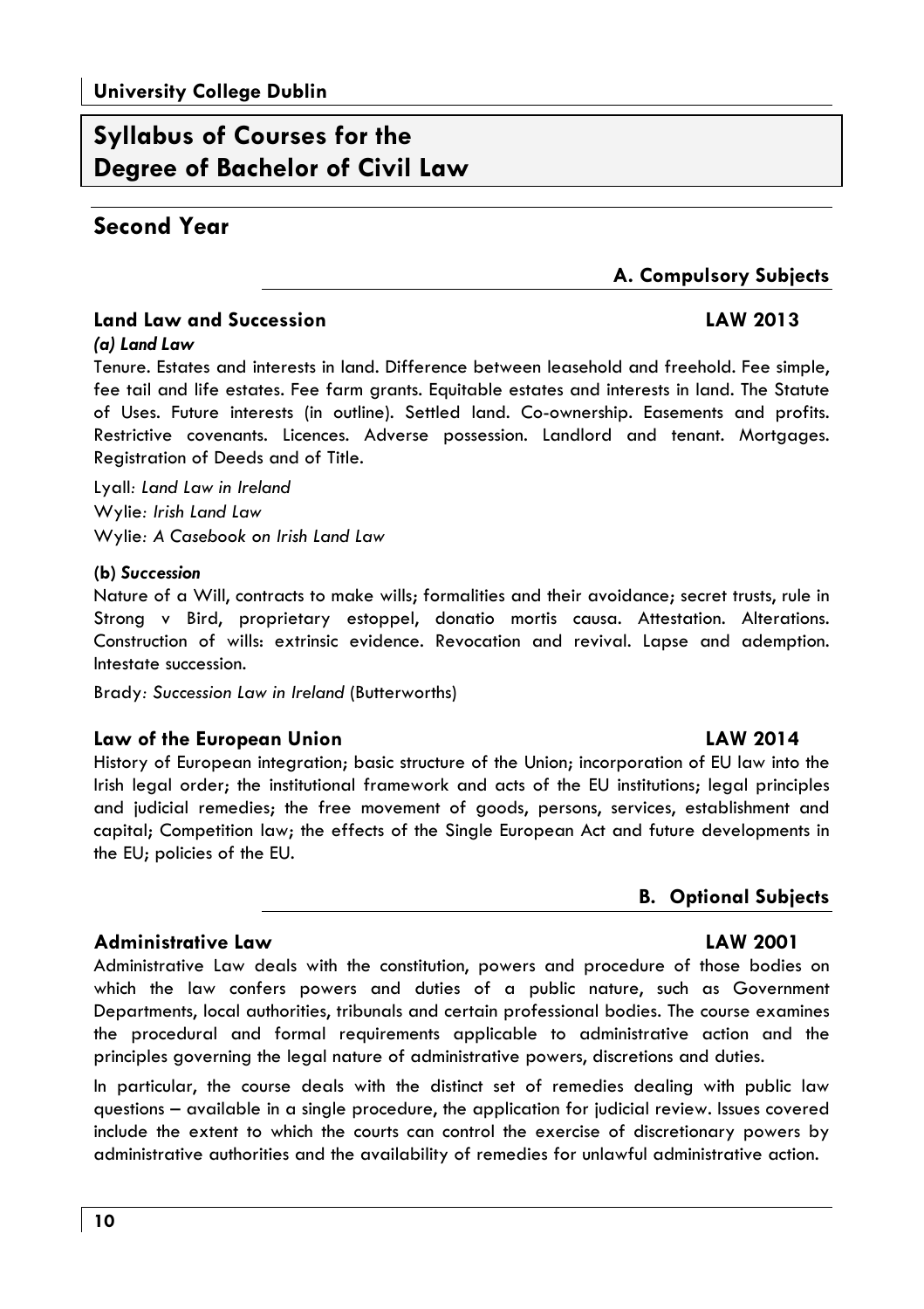# **Syllabus of Courses for the** Dearee of Bachelor of Civil Law

#### Second Year

#### A. Compulsory Subjects

#### **Land Law and Succession**

#### **LAW 2013**

#### $(a)$  Land Law

Tenure. Estates and interests in land. Difference between leasehold and freehold. Fee simple, fee tail and life estates. Fee farm grants. Equitable estates and interests in land. The Statute of Uses. Future interests (in outline). Settled land. Co-ownership. Easements and profits. Restrictive covenants. Licences. Adverse possession. Landlord and tenant. Mortgages. Registration of Deeds and of Title.

Lyall: Land Law in Ireland Wylie: Irish Land Law Wylie: A Casebook on Irish Land Law

#### (b) Succession

Nature of a Will, contracts to make wills; formalities and their avoidance; secret trusts, rule in Strong v Bird, proprietary estoppel, donatio mortis causa. Attestation. Alterations. Construction of wills: extrinsic evidence. Revocation and revival. Lapse and ademption. Intestate succession.

Brady: Succession Law in Ireland (Butterworths)

#### Law of the European Union

History of European integration; basic structure of the Union; incorporation of EU law into the Irish legal order; the institutional framework and acts of the EU institutions; legal principles and judicial remedies; the free movement of goods, persons, services, establishment and capital; Competition law; the effects of the Single European Act and future developments in the EU; policies of the EU.

#### **B.** Optional Subjects

**LAW 2001** 

**LAW 2014** 

#### **Administrative Law**

Administrative Law deals with the constitution, powers and procedure of those bodies on which the law confers powers and duties of a public nature, such as Government Departments, local authorities, tribunals and certain professional bodies. The course examines the procedural and formal requirements applicable to administrative action and the principles governing the legal nature of administrative powers, discretions and duties.

In particular, the course deals with the distinct set of remedies dealing with public law questions – available in a single procedure, the application for judicial review. Issues covered include the extent to which the courts can control the exercise of discretionary powers by administrative authorities and the availability of remedies for unlawful administrative action.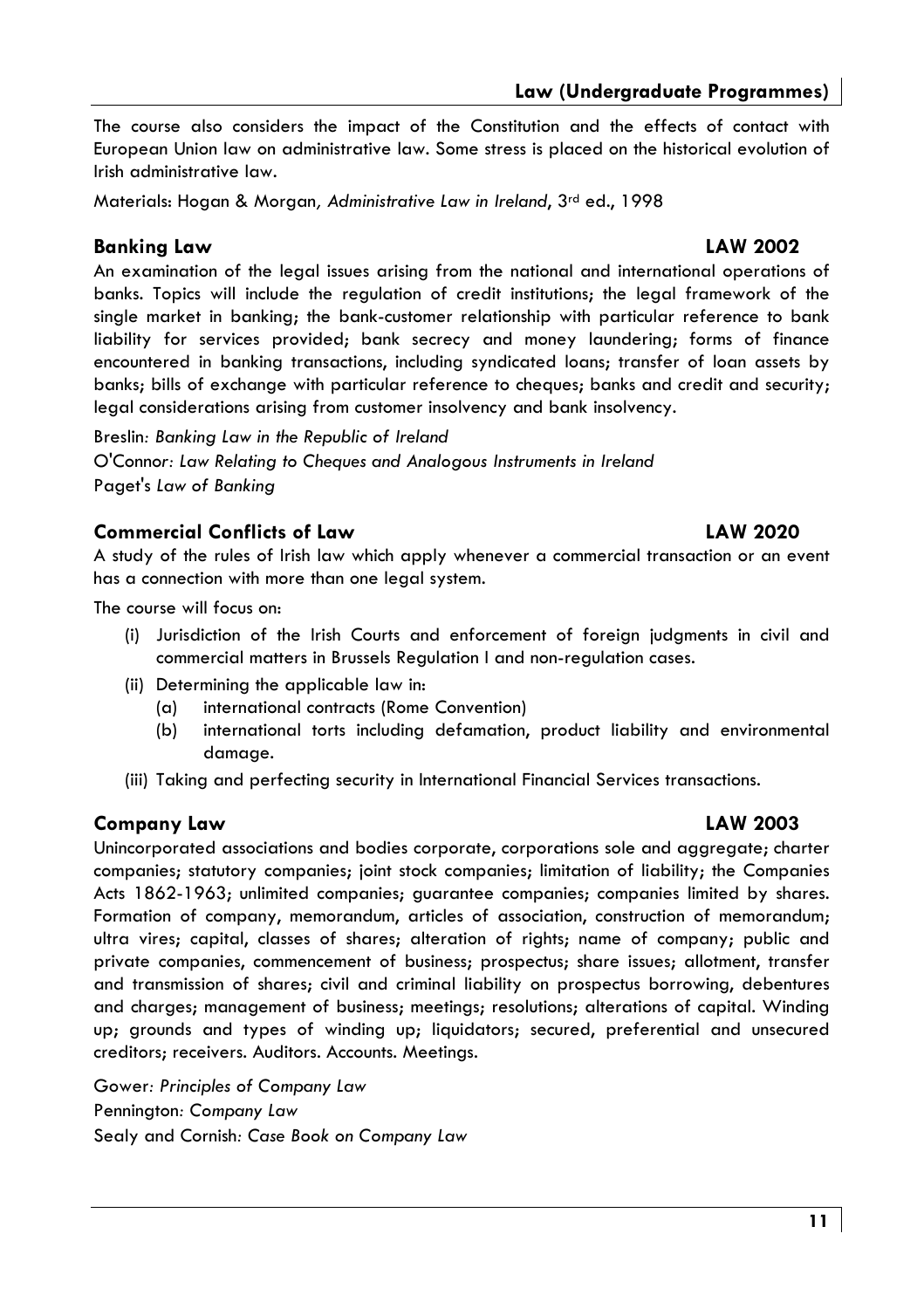#### Law (Underaraduate Proarammes)

The course also considers the impact of the Constitution and the effects of contact with European Union law on administrative law. Some stress is placed on the historical evolution of Irish administrative law.

Materials: Hogan & Morgan, Administrative Law in Ireland, 3rd ed., 1998

#### **Bankina Law**

An examination of the legal issues arising from the national and international operations of banks. Topics will include the regulation of credit institutions; the legal framework of the single market in banking; the bank-customer relationship with particular reference to bank liability for services provided; bank secrecy and money laundering; forms of finance encountered in banking transactions, including syndicated loans; transfer of loan assets by banks; bills of exchange with particular reference to cheques; banks and credit and security; legal considerations arising from customer insolvency and bank insolvency.

Breslin: Banking Law in the Republic of Ireland O'Connor: Law Relating to Cheques and Anglogous Instruments in Ireland Paget's Law of Banking

#### **Commercial Conflicts of Law**

A study of the rules of Irish law which apply whenever a commercial transaction or an event has a connection with more than one leagl system.

The course will focus on.

- (i) Jurisdiction of the Irish Courts and enforcement of foreign judgments in civil and commercial matters in Brussels Regulation I and non-regulation cases.
- (ii) Determining the applicable law in:
	- international contracts (Rome Convention) (a)
	- $(b)$ international torts including defamation, product liability and environmental damage.
- (iii) Taking and perfecting security in International Financial Services transactions.

#### Company Law

Unincorporated associations and bodies corporate, corporations sole and aggregate; charter companies; statutory companies; joint stock companies; limitation of liability; the Companies Acts 1862-1963; unlimited companies; quarantee companies; companies limited by shares. Formation of company, memorandum, articles of association, construction of memorandum; ultra vires; capital, classes of shares; alteration of rights; name of company; public and private companies, commencement of business; prospectus; share issues; allotment, transfer and transmission of shares; civil and criminal liability on prospectus borrowing, debentures and charges; management of business; meetings; resolutions; alterations of capital. Winding up; grounds and types of winding up; liquidators; secured, preferential and unsecured creditors; receivers. Auditors. Accounts. Meetings.

Gower: Principles of Company Law Pennington: Company Law Sealy and Cornish: Case Book on Company Law

# **LAW 2002**

# **LAW 2020**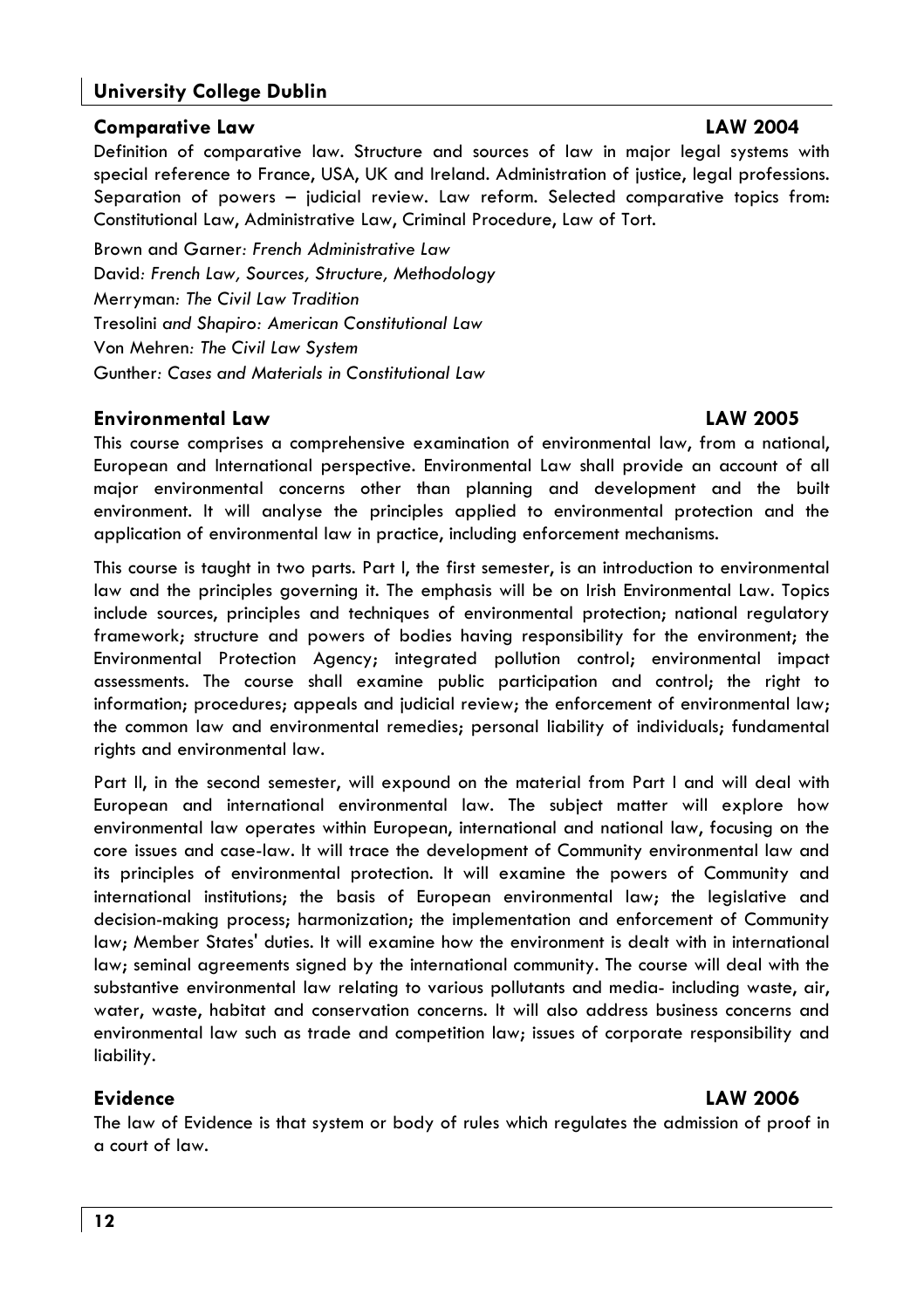#### **University College Dublin**

#### **Comparative Law**

Definition of comparative law. Structure and sources of law in major legal systems with special reference to France, USA, UK and Ireland, Administration of justice, leagl professions, Separation of powers - judicial review. Law reform. Selected comparative topics from: Constitutional Law, Administrative Law, Criminal Procedure, Law of Tort.

Brown and Garner: French Administrative Law David: French Law, Sources, Structure, Methodology **Merryman: The Civil Law Tradition** Tresolini and Shapiro: American Constitutional Law Von Mehren: The Civil Law System Gunther: Cases and Materials in Constitutional Law

#### **Environmental Law**

#### **LAW 2005**

This course comprises a comprehensive examination of environmental law, from a national, European and International perspective. Environmental Law shall provide an account of all major environmental concerns other than planning and development and the built environment. It will analyse the principles applied to environmental protection and the application of environmental law in practice, including enforcement mechanisms.

This course is taught in two parts. Part I, the first semester, is an introduction to environmental law and the principles governing it. The emphasis will be on Irish Environmental Law. Topics include sources, principles and techniques of environmental protection; national regulatory framework; structure and powers of bodies having responsibility for the environment; the Environmental Protection Agency; integrated pollution control; environmental impact assessments. The course shall examine public participation and control; the right to information; procedures; appeals and judicial review; the enforcement of environmental law; the common law and environmental remedies; personal liability of individuals; fundamental rights and environmental law.

Part II, in the second semester, will expound on the material from Part I and will deal with European and international environmental law. The subject matter will explore how environmental law operates within European, international and national law, focusing on the core issues and case-law. It will trace the development of Community environmental law and its principles of environmental protection. It will examine the powers of Community and international institutions; the basis of European environmental law; the legislative and decision-making process; harmonization; the implementation and enforcement of Community law; Member States' duties. It will examine how the environment is dealt with in international law; seminal agreements signed by the international community. The course will deal with the substantive environmental law relating to various pollutants and media- including waste, air, water, waste, habitat and conservation concerns. It will also address business concerns and environmental law such as trade and competition law; issues of corporate responsibility and liability.

#### **Evidence**

#### **LAW 2006**

The law of Evidence is that system or body of rules which regulates the admission of proof in a court of law.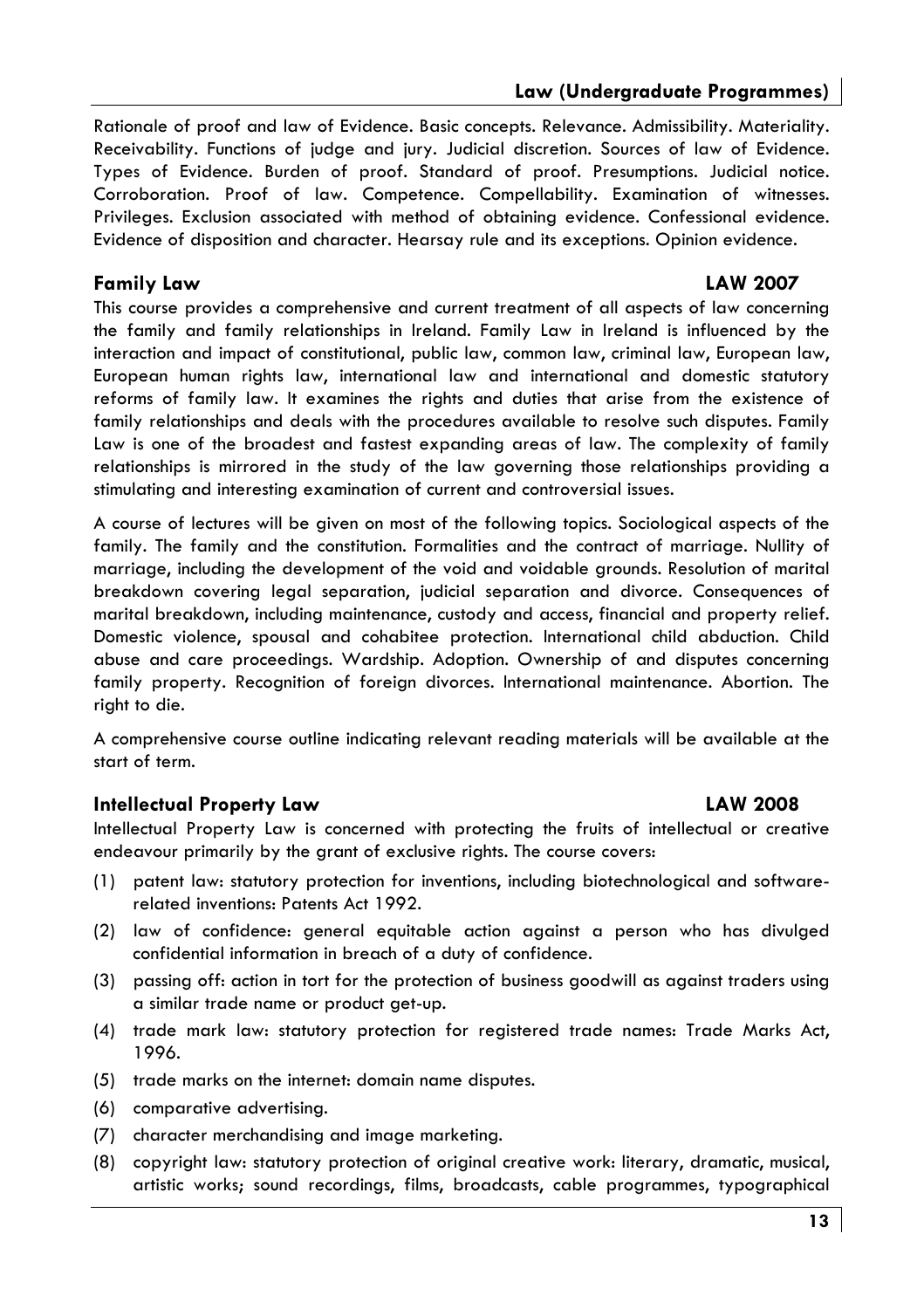Rationale of proof and law of Evidence, Basic concepts, Relevance, Admissibility, Materiality, Receivability. Functions of judge and jury. Judicial discretion. Sources of law of Evidence. Types of Evidence. Burden of proof. Standard of proof. Presumptions. Judicial notice. Corroboration. Proof of law. Competence. Compellability. Examination of witnesses. Privileges, Exclusion associated with method of obtaining evidence, Confessional evidence, Evidence of disposition and character. Hearsay rule and its exceptions. Opinion evidence.

#### **Family Law**

#### **LAW 2007**

This course provides a comprehensive and current treatment of all aspects of law concerning the family and family relationships in Ireland. Family Law in Ireland is influenced by the interaction and impact of constitutional, public law, common law, criminal law, European law, European human rights law, international law and international and domestic statutory reforms of family law. It examines the rights and duties that arise from the existence of family relationships and deals with the procedures available to resolve such disputes. Family Law is one of the broadest and fastest expanding areas of law. The complexity of family relationships is mirrored in the study of the law governing those relationships providing a stimulating and interesting examination of current and controversial issues.

A course of lectures will be given on most of the following topics. Sociological aspects of the family. The family and the constitution. Formalities and the contract of marriage. Nullity of marriage, including the development of the void and voidable grounds. Resolution of marital breakdown covering legal separation, judicial separation and divorce. Consequences of marital breakdown, including maintenance, custody and access, financial and property relief. Domestic violence, spousal and cohabitee protection. International child abduction. Child abuse and care proceedings. Wardship. Adoption. Ownership of and disputes concerning family property. Recognition of foreign divorces. International maintenance. Abortion. The right to die.

A comprehensive course outline indicating relevant reading materials will be available at the start of term.

#### **Intellectual Property Law**

Intellectual Property Law is concerned with protecting the fruits of intellectual or creative endeavour primarily by the grant of exclusive rights. The course covers:

- (1) patent law: statutory protection for inventions, including biotechnological and softwarerelated inventions: Patents Act 1992.
- (2) law of confidence: general equitable action against a person who has divulged confidential information in breach of a duty of confidence.
- (3) passing off: action in tort for the protection of business goodwill as against traders using a similar trade name or product get-up.
- (4) trade mark law: statutory protection for registered trade names: Trade Marks Act, 1996.
- (5) trade marks on the internet: domain name disputes.
- (6) comparative advertising.
- (7) character merchandising and image marketing.
- (8) copyright law: statutory protection of original creative work: literary, dramatic, musical, artistic works; sound recordings, films, broadcasts, cable programmes, typographical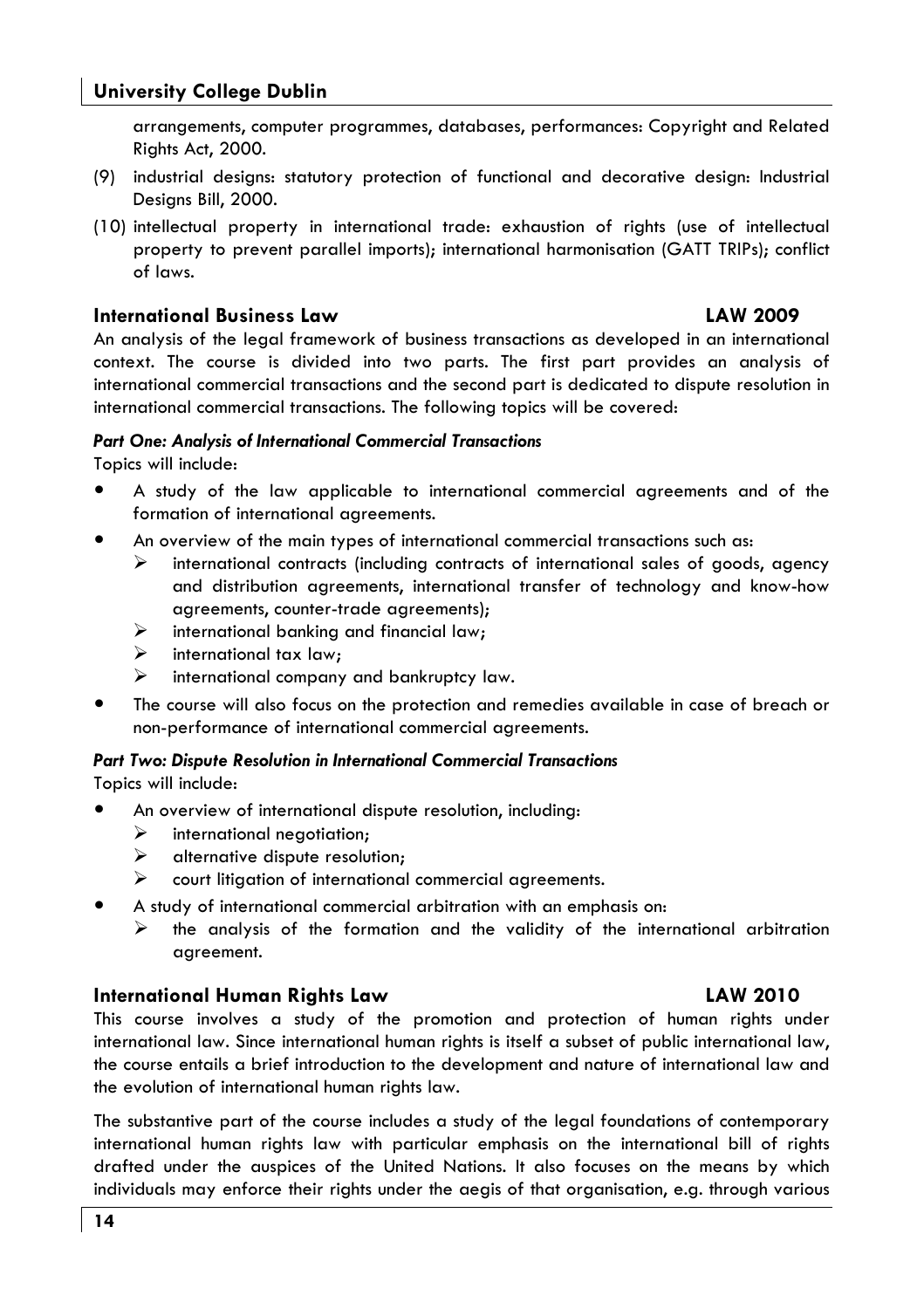#### **University College Dublin**

arrangements, computer programmes, databases, performances: Copyright and Related Rights Act, 2000.

- (9) industrial designs: statutory protection of functional and decorative design: Industrial Desians Bill, 2000.
- (10) intellectual property in international trade: exhaustion of rights (use of intellectual property to prevent parallel imports); international harmonisation (GATT TRIPs); conflict of laws

#### **International Business Law**

#### **LAW 2009**

**LAW 2010** 

An analysis of the leagl framework of business transactions as developed in an international context. The course is divided into two parts. The first part provides an analysis of international commercial transactions and the second part is dedicated to dispute resolution in international commercial transactions. The following topics will be covered:

#### **Part One: Analysis of International Commercial Transactions**

Topics will include:

- A study of the law applicable to international commercial agreements and of the formation of international agreements.
- $\bullet$ An overview of the main types of international commercial transactions such as:
	- ≻ international contracts (including contracts of international sales of goods, agency and distribution agreements, international transfer of technology and know-how agreements, counter-trade agreements);
	- ≻ international banking and financial law;
	- $\blacktriangleright$ international tax law:
	- $\blacktriangle$ international company and bankruptcy law.
- The course will also focus on the protection and remedies available in case of breach or non-performance of international commercial agreements.

#### Part Two: Dispute Resolution in International Commercial Transactions

Topics will include:

- An overview of international dispute resolution, including:
	- $\blacktriangle$ international negotiation;
	- $\blacktriangleright$ alternative dispute resolution;
	- $\blacktriangleright$ court litigation of international commercial agreements.
- A study of international commercial arbitration with an emphasis on:
	- ➤ the analysis of the formation and the validity of the international arbitration agreement.

#### **International Human Rights Law**

This course involves a study of the promotion and protection of human rights under international law. Since international human rights is itself a subset of public international law, the course entails a brief introduction to the development and nature of international law and the evolution of international human rights law.

The substantive part of the course includes a study of the legal foundations of contemporary international human rights law with particular emphasis on the international bill of rights drafted under the auspices of the United Nations. It also focuses on the means by which individuals may enforce their rights under the aegis of that organisation, e.g. through various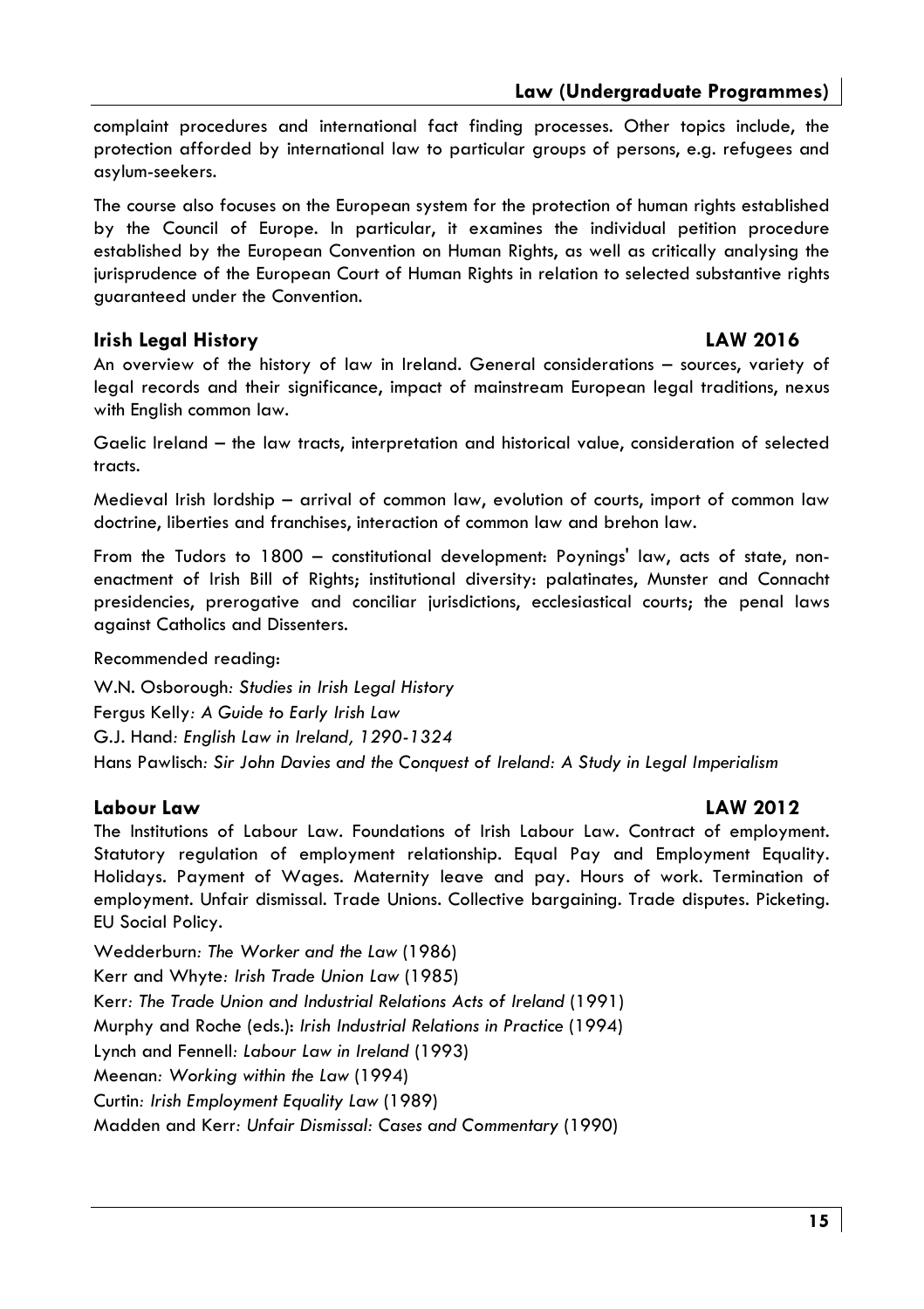complaint procedures and international fact finding processes. Other topics include, the protection afforded by international law to particular groups of persons, e.g. refugees and asylum-seekers.

The course also focuses on the European system for the protection of human rights established by the Council of Europe. In particular, it examines the individual petition procedure established by the European Convention on Human Rights, as well as critically analysing the jurisprudence of the European Court of Human Rights in relation to selected substantive rights guaranteed under the Convention.

#### **Irish Leaal History**

#### **I AW 2016**

An overview of the history of law in Ireland. General considerations - sources, variety of legal records and their significance, impact of mainstream European legal traditions, nexus with Enalish common law.

Gaelic Ireland - the law tracts, interpretation and historical value, consideration of selected tracts.

Medieval Irish lordship - arrival of common law, evolution of courts, import of common law doctrine, liberties and franchises, interaction of common law and brehon law.

From the Tudors to 1800 - constitutional development: Poynings' law, acts of state, nonenactment of Irish Bill of Rights; institutional diversity: palatinates, Munster and Connacht presidencies, prerogative and conciliar jurisdictions, ecclesiastical courts; the penal laws against Catholics and Dissenters.

Recommended reading:

W.N. Osborough: Studies in Irish Legal History Fergus Kelly: A Guide to Early Irish Law G.J. Hand: Enalish Law in Ireland, 1290-1324 Hans Pawlisch: Sir John Davies and the Conquest of Ireland: A Study in Legal Imperialism

#### Labour Law

#### **LAW 2012**

The Institutions of Labour Law. Foundations of Irish Labour Law. Contract of employment. Statutory regulation of employment relationship. Equal Pay and Employment Equality. Holidays. Payment of Wages. Maternity leave and pay. Hours of work. Termination of employment. Unfair dismissal. Trade Unions. Collective bargaining. Trade disputes. Picketing. **EU Social Policy.** 

Wedderburn: The Worker and the Law (1986) Kerr and Whyte: Irish Trade Union Law (1985) Kerr: The Trade Union and Industrial Relations Acts of Ireland (1991) Murphy and Roche (eds.): Irish Industrial Relations in Practice (1994) Lynch and Fennell: Labour Law in Ireland (1993) Meenan: Working within the Law (1994) Curtin: Irish Employment Equality Law (1989) Madden and Kerr: Unfair Dismissal: Cases and Commentary (1990)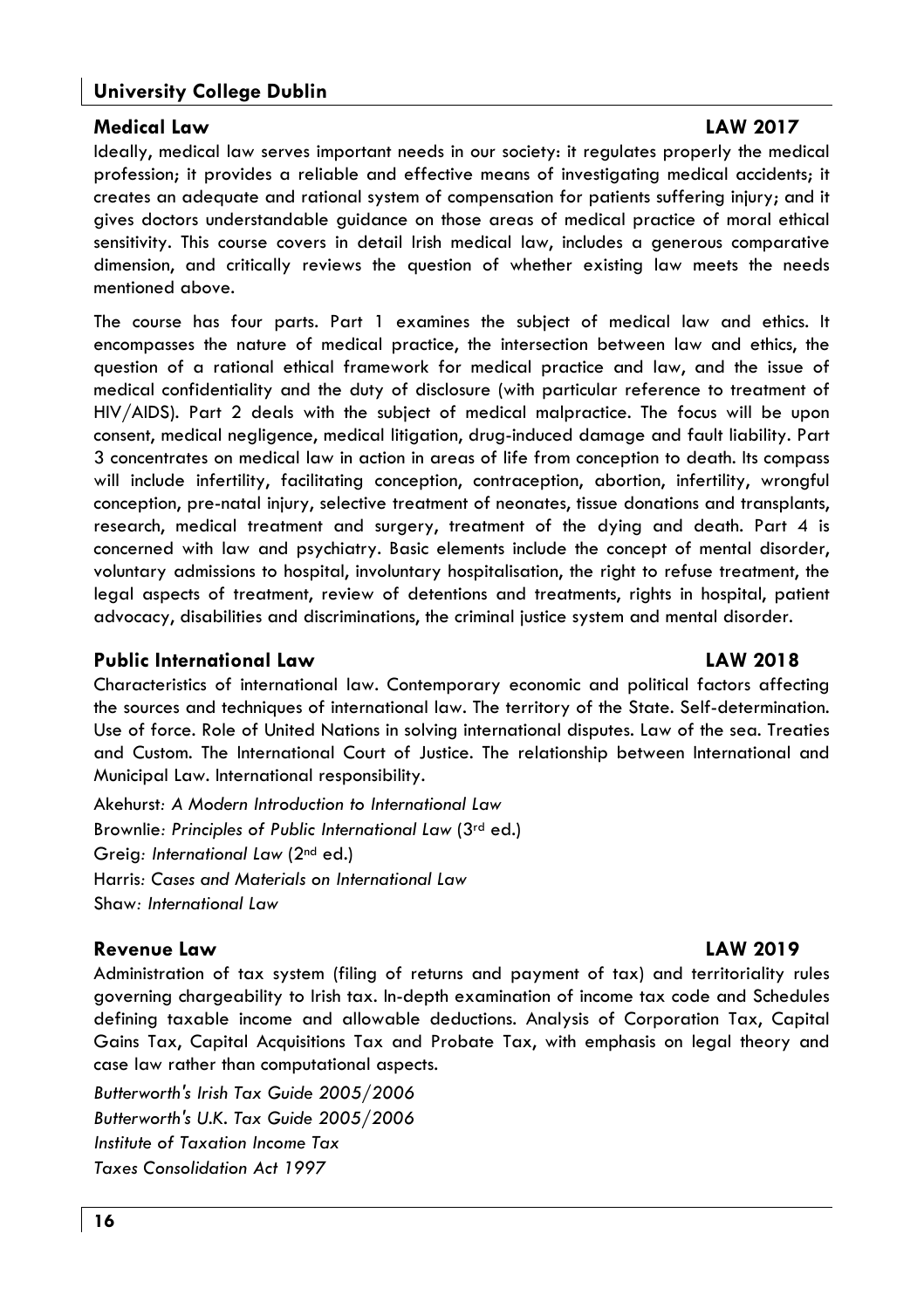#### **University College Dublin**

#### **Medical Law**

Ideally, medical law serves important needs in our society: it regulates properly the medical profession: it provides a reliable and effective means of investiagting medical accidents: it creates an adequate and rational system of compensation for patients suffering injury; and it gives doctors understandable quidance on those areas of medical practice of moral ethical sensitivity. This course covers in detail Irish medical law, includes a generous comparative dimension, and critically reviews the auestion of whether existina law meets the needs mentioned above.

The course has four parts. Part 1 examines the subject of medical law and ethics. It encompasses the nature of medical practice, the intersection between law and ethics, the question of a rational ethical framework for medical practice and law, and the issue of medical confidentiality and the duty of disclosure (with particular reference to treatment of HIV/AIDS). Part 2 deals with the subject of medical malpractice. The focus will be upon consent, medical negligence, medical litigation, drug-induced damage and fault liability. Part 3 concentrates on medical law in action in areas of life from conception to death. Its compass will include infertility, facilitating conception, contraception, abortion, infertility, wrongful conception, pre-natal injury, selective treatment of neonates, tissue donations and transplants, research, medical treatment and surgery, treatment of the dying and death. Part 4 is concerned with law and psychiatry. Basic elements include the concept of mental disorder, voluntary admissions to hospital, involuntary hospitalisation, the right to refuse treatment, the legal aspects of treatment, review of detentions and treatments, rights in hospital, patient advocacy, disabilities and discriminations, the criminal justice system and mental disorder.

#### **Public International Law**

#### **LAW 2018**

Characteristics of international law. Contemporary economic and political factors affecting the sources and techniques of international law. The territory of the State. Self-determination. Use of force. Role of United Nations in solving international disputes. Law of the sea. Treaties and Custom. The International Court of Justice. The relationship between International and Municipal Law. International responsibility.

Akehurst: A Modern Introduction to International Law Brownlie: Principles of Public International Law (3rd ed.) Greia: International Law (2<sup>nd</sup> ed.) Harris: Cases and Materials on International Law Shaw: International Law

#### **Revenue Law**

#### **LAW 2019**

Administration of tax system (filing of returns and payment of tax) and territoriality rules governing chargeability to Irish tax. In-depth examination of income tax code and Schedules defining taxable income and allowable deductions. Analysis of Corporation Tax, Capital Gains Tax, Capital Acquisitions Tax and Probate Tax, with emphasis on legal theory and case law rather than computational aspects.

Butterworth's Irish Tax Guide 2005/2006 Butterworth's U.K. Tax Guide 2005/2006 Institute of Taxation Income Tax Taxes Consolidation Act 1997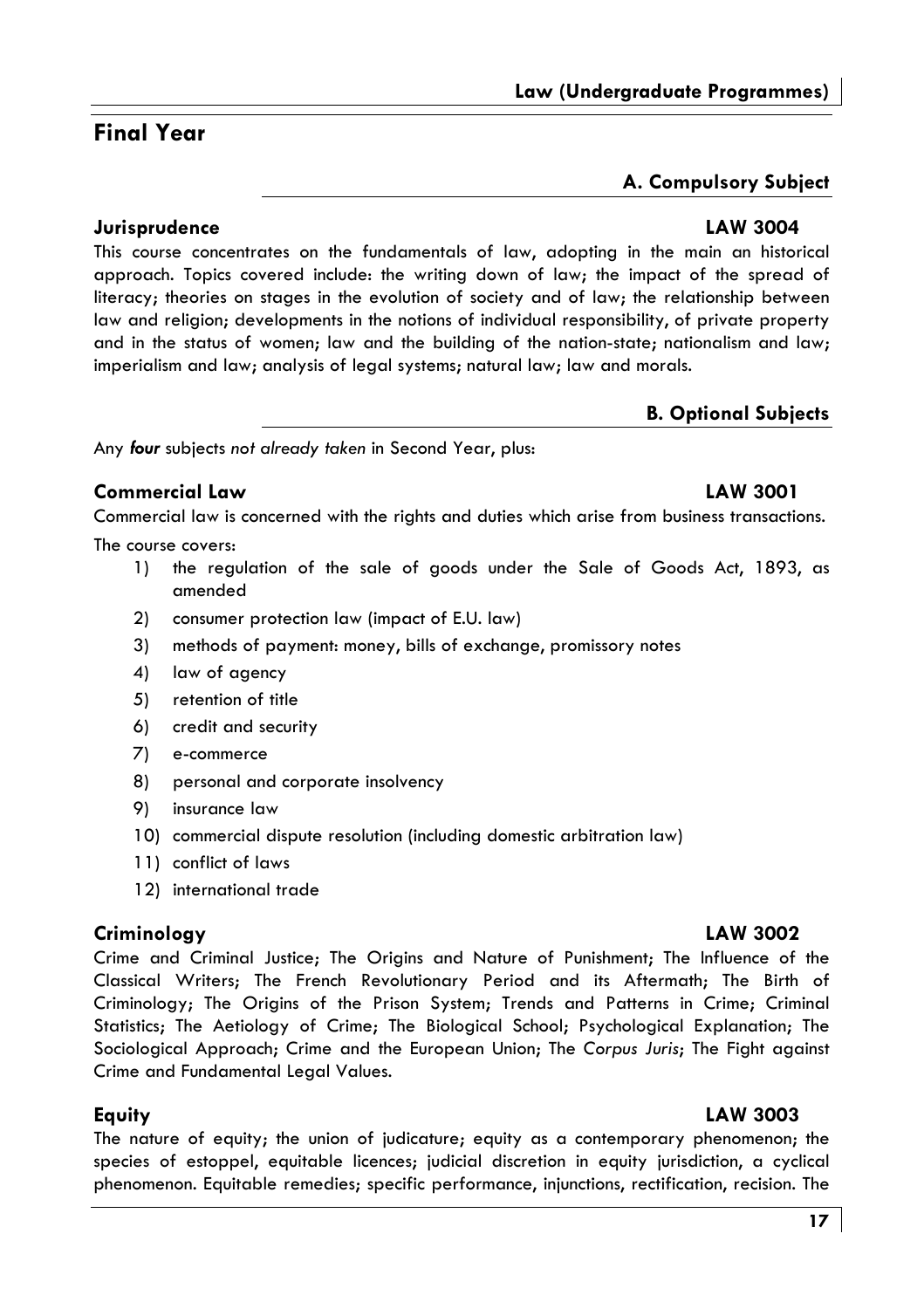#### Law (Underaraduate Proarammes

# A. Compulsory Subject

#### Jurisprudence

**Final Year** 

This course concentrates on the fundamentals of law, adopting in the main an historical approach. Topics covered include: the writing down of law; the impact of the spread of literacy; theories on stages in the evolution of society and of law; the relationship between law and religion; developments in the notions of individual responsibility, of private property and in the status of women; law and the building of the nation-state; nationalism and law; imperialism and law; analysis of legal systems; natural law; law and morals.

#### **B. Optional Subjects**

Any four subjects not already taken in Second Year, plus:

#### Commercial Law

Commercial law is concerned with the rights and duties which arise from business transactions.

The course covers:

- $1)$ the regulation of the sale of goods under the Sale of Goods Act, 1893, as amended
- $2)$ consumer protection law (impact of E.U. law)
- $3)$ methods of payment: money, bills of exchange, promissory notes
- $4)$ law of agency
- $5)$ retention of title
- 6) credit and security
- $7)$ e-commerce
- 8) personal and corporate insolvency
- 9) insurance law
- 10) commercial dispute resolution (including domestic arbitration law)
- 11) conflict of laws
- 12) international trade

Crime and Fundamental Legal Values.

### Criminology

Equity

LAW 3003

The nature of equity; the union of judicature; equity as a contemporary phenomenon; the species of estoppel, equitable licences; judicial discretion in equity jurisdiction, a cyclical phenomenon. Equitable remedies; specific performance, injunctions, rectification, recision. The

Classical Writers; The French Revolutionary Period and its Aftermath; The Birth of Criminology; The Origins of the Prison System; Trends and Patterns in Crime; Criminal Statistics; The Aetiology of Crime; The Biological School; Psychological Explanation; The Sociological Approach; Crime and the European Union; The Corpus Juris; The Fight against

# **LAW 3004**

#### LAW 3002 Crime and Criminal Justice; The Origins and Nature of Punishment; The Influence of the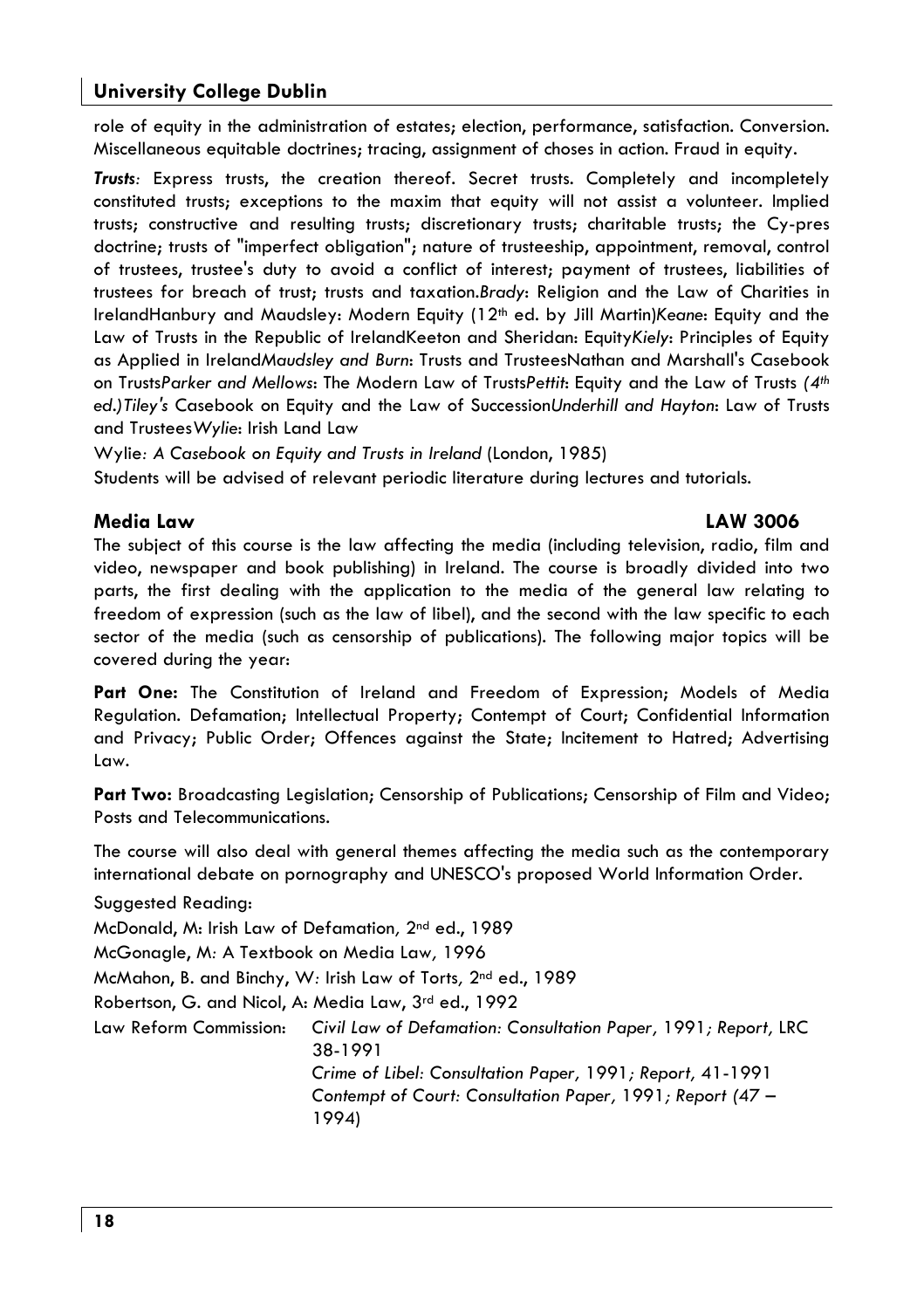role of equity in the administration of estates: election, performance, satisfaction, Conversion, Miscellaneous equitable doctrines; tracing, assignment of choses in action. Fraud in equity.

Trusts: Express trusts, the creation thereof. Secret trusts. Completely and incompletely constituted trusts; exceptions to the maxim that equity will not assist a volunteer. Implied trusts: constructive and resulting trusts: discretionary trusts: charitable trusts: the Cy-pres doctrine; trusts of "imperfect obligation"; nature of trusteeship, appointment, removal, control of trustees, trustee's duty to avoid a conflict of interest; payment of trustees, liabilities of trustees for breach of trust; trusts and taxation. Brady: Religion and the Law of Charities in IrelandHanbury and Maudsley: Modern Equity (12<sup>th</sup> ed. by Jill Martin)Keane: Equity and the Law of Trusts in the Republic of IrelandKeeton and Sheridan: Equity Kiely: Principles of Equity as Applied in IrelandMaudsley and Burn: Trusts and TrusteesNathan and Marshall's Casebook on TrustsParker and Mellows: The Modern Law of TrustsPettit: Equity and the Law of Trusts (4th ed.) Tiley's Casebook on Equity and the Law of Succession Underhill and Hayton: Law of Trusts and Trustees Wylie: Irish Land Law

Wylie: A Casebook on Eauity and Trusts in Ireland (London, 1985)

Students will be advised of relevant periodic literature during lectures and tutorials.

#### **Media Law**

#### **LAW 3006**

The subject of this course is the law affecting the media (including television, radio, film and video, newspaper and book publishing) in Ireland. The course is broadly divided into two parts, the first dealing with the application to the media of the general law relating to freedom of expression (such as the law of libel), and the second with the law specific to each sector of the media (such as censorship of publications). The following major topics will be covered during the year:

Part One: The Constitution of Ireland and Freedom of Expression; Models of Media Regulation. Defamation; Intellectual Property; Contempt of Court; Confidential Information and Privacy; Public Order; Offences against the State; Incitement to Hatred; Advertising Law.

Part Two: Broadcasting Legislation; Censorship of Publications; Censorship of Film and Video; Posts and Telecommunications.

The course will also deal with general themes affecting the media such as the contemporary international debate on pornography and UNESCO's proposed World Information Order.

Suggested Reading:

McDonald, M: Irish Law of Defamation, 2<sup>nd</sup> ed., 1989

McGonagle, M: A Textbook on Media Law, 1996

McMahon, B. and Binchy, W: Irish Law of Torts, 2nd ed., 1989

Robertson, G. and Nicol, A: Media Law, 3rd ed., 1992

Law Reform Commission: Civil Law of Defamation: Consultation Paper, 1991; Report, LRC 38-1991 Crime of Libel: Consultation Paper, 1991; Report, 41-1991

Contempt of Court: Consultation Paper, 1991; Report (47 -1994)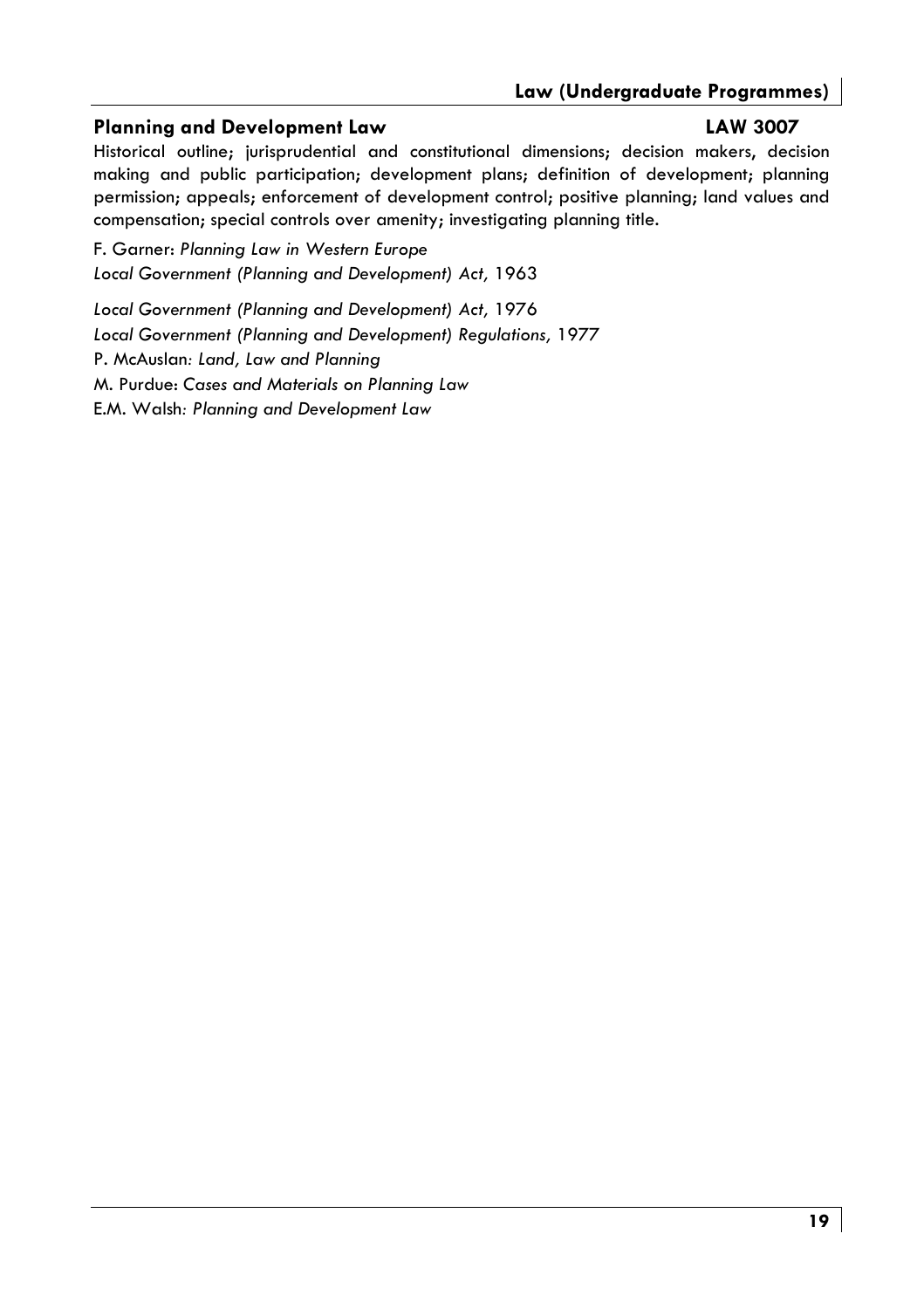#### **Planning and Development Law**

#### **LAW 3007**

Historical outline; jurisprudential and constitutional dimensions; decision makers, decision making and public participation; development plans; definition of development; planning permission; appeals; enforcement of development control; positive planning; land values and compensation; special controls over amenity; investigating planning title.

F. Garner: Planning Law in Western Europe Local Government (Planning and Development) Act, 1963

Local Government (Planning and Development) Act, 1976 Local Government (Planning and Development) Regulations, 1977 P. McAuslan: Land, Law and Planning M. Purdue: Cases and Materials on Planning Law E.M. Walsh: Planning and Development Law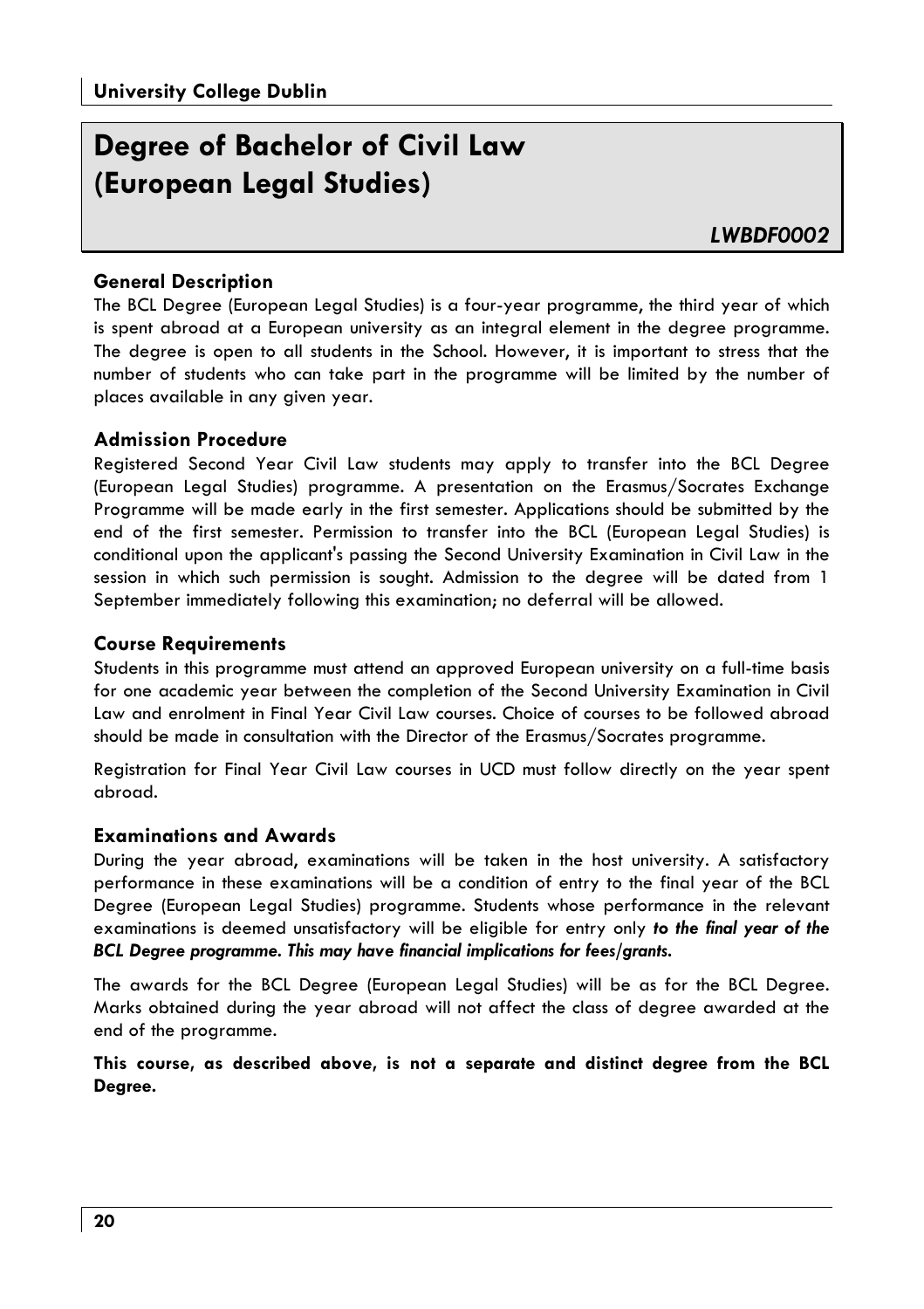# Degree of Bachelor of Civil Law (European Legal Studies)

#### **General Description**

The BCL Degree (European Legal Studies) is a four-year programme, the third year of which is spent abroad at a European university as an integral element in the degree programme. The degree is open to all students in the School. However, it is important to stress that the number of students who can take part in the programme will be limited by the number of places available in any given year.

#### **Admission Procedure**

Registered Second Year Civil Law students may apply to transfer into the BCL Degree (European Legal Studies) programme. A presentation on the Erasmus/Socrates Exchange Programme will be made early in the first semester. Applications should be submitted by the end of the first semester. Permission to transfer into the BCL (European Legal Studies) is conditional upon the applicant's passing the Second University Examination in Civil Law in the session in which such permission is sought. Admission to the degree will be dated from 1 September immediately following this examination; no deferral will be allowed.

#### **Course Requirements**

Students in this programme must attend an approved European university on a full-time basis for one academic year between the completion of the Second University Examination in Civil Law and enrolment in Final Year Civil Law courses. Choice of courses to be followed abroad should be made in consultation with the Director of the Erasmus/Socrates programme.

Registration for Final Year Civil Law courses in UCD must follow directly on the year spent ahroad.

#### **Examinations and Awards**

During the year abroad, examinations will be taken in the host university. A satisfactory performance in these examinations will be a condition of entry to the final year of the BCL Degree (European Legal Studies) programme. Students whose performance in the relevant examinations is deemed unsatisfactory will be eligible for entry only to the final year of the BCL Degree programme. This may have financial implications for fees/grants.

The awards for the BCL Degree (European Legal Studies) will be as for the BCL Degree. Marks obtained during the year abroad will not affect the class of degree awarded at the end of the programme.

This course, as described above, is not a separate and distinct degree from the BCL Degree.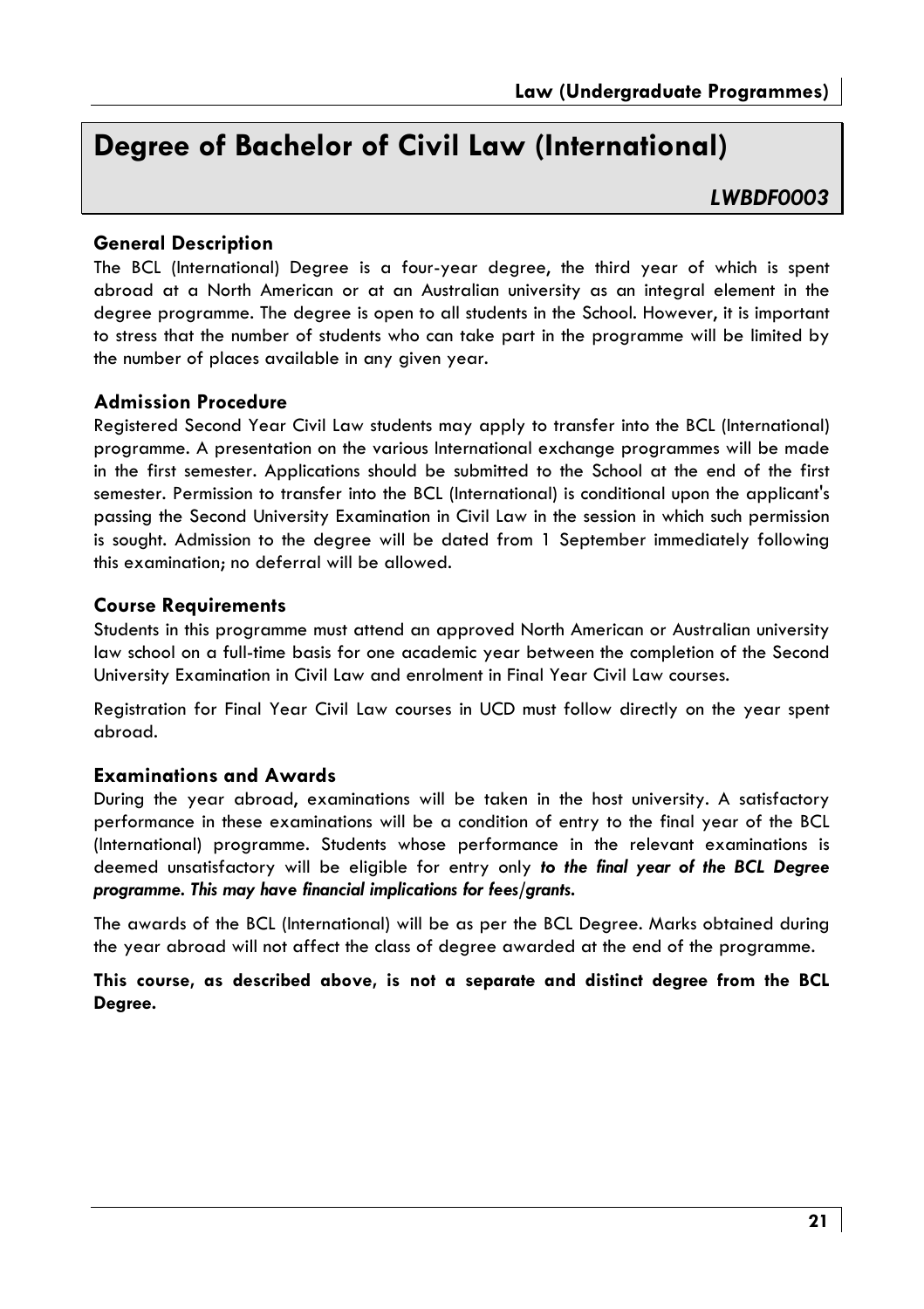# Dearee of Bachelor of Civil Law (International)

#### **I WRDF0003**

#### **General Description**

The BCL (International) Degree is a four-year degree, the third year of which is spent abroad at a North American or at an Australian university as an integral element in the dearee programme. The dearee is open to all students in the School. However, it is important to stress that the number of students who can take part in the programme will be limited by the number of places available in any given year.

#### **Admission Procedure**

Registered Second Year Civil Law students may apply to transfer into the BCL (International) programme. A presentation on the various International exchange programmes will be made in the first semester. Applications should be submitted to the School at the end of the first semester. Permission to transfer into the BCL (International) is conditional upon the applicant's passing the Second University Examination in Civil Law in the session in which such permission is sought. Admission to the degree will be dated from 1 September immediately following this examination: no deferral will be allowed.

#### **Course Requirements**

Students in this programme must attend an approved North American or Australian university law school on a full-time basis for one academic year between the completion of the Second University Examination in Civil Law and enrolment in Final Year Civil Law courses.

Registration for Final Year Civil Law courses in UCD must follow directly on the year spent ahroad.

#### **Examinations and Awards**

During the year abroad, examinations will be taken in the host university. A satisfactory performance in these examinations will be a condition of entry to the final year of the BCL (International) programme. Students whose performance in the relevant examinations is deemed unsatisfactory will be eligible for entry only to the final year of the BCL Degree programme. This may have financial implications for fees/grants.

The awards of the BCL (International) will be as per the BCL Degree. Marks obtained during the year abroad will not affect the class of degree awarded at the end of the programme.

This course, as described above, is not a separate and distinct degree from the BCL Dearee.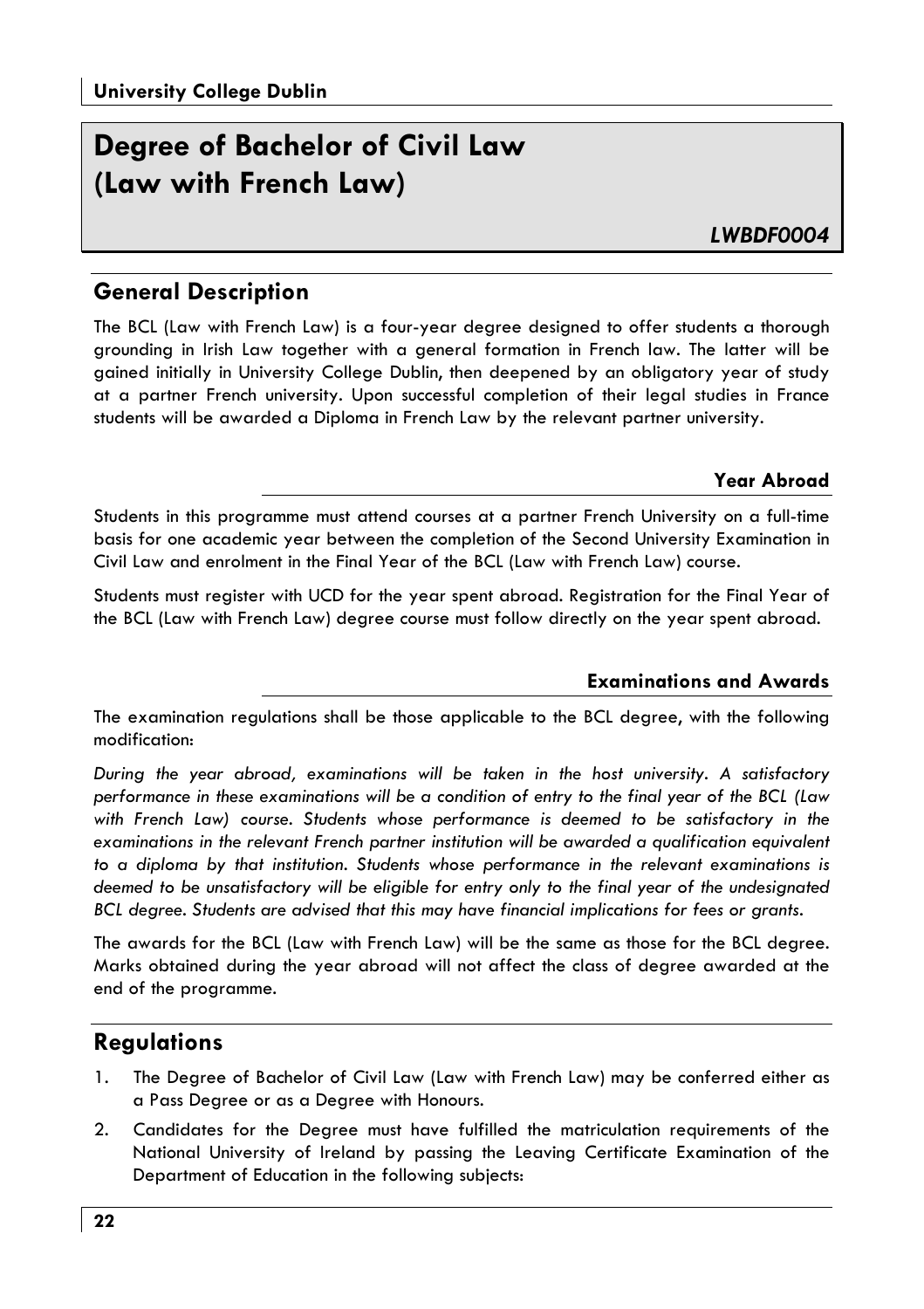# Degree of Bachelor of Civil Law (Law with French Law)

I WRDF0004

#### **General Description**

The BCL (Law with French Law) is a four-year degree designed to offer students a thorough grounding in Irish Law together with a general formation in French law. The latter will be gained initially in University College Dublin, then deepened by an obligatory year of study at a partner French university. Upon successful completion of their legal studies in France students will be awarded a Diploma in French Law by the relevant partner university.

#### Year Abroad

Students in this programme must attend courses at a partner French University on a full-time basis for one academic year between the completion of the Second University Examination in Civil Law and enrolment in the Final Year of the BCL (Law with French Law) course.

Students must register with UCD for the year spent abroad. Registration for the Final Year of the BCL (Law with French Law) degree course must follow directly on the year spent abroad.

#### **Examinations and Awards**

The examination regulations shall be those applicable to the BCL degree, with the following modification·

During the year abroad, examinations will be taken in the host university. A satisfactory performance in these examinations will be a condition of entry to the final year of the BCL (Law with French Law) course. Students whose performance is deemed to be satisfactory in the examinations in the relevant French partner institution will be awarded a qualification equivalent to a diploma by that institution. Students whose performance in the relevant examinations is deemed to be unsatisfactory will be eligible for entry only to the final year of the undesignated BCL degree. Students are advised that this may have financial implications for fees or grants.

The awards for the BCL (Law with French Law) will be the same as those for the BCL degree. Marks obtained during the year abroad will not affect the class of degree awarded at the end of the programme.

#### **Requlations**

- 1. The Degree of Bachelor of Civil Law (Law with French Law) may be conferred either as a Pass Degree or as a Degree with Honours.
- $2.$ Candidates for the Degree must have fulfilled the matriculation requirements of the National University of Ireland by passing the Leaving Certificate Examination of the Department of Education in the following subjects: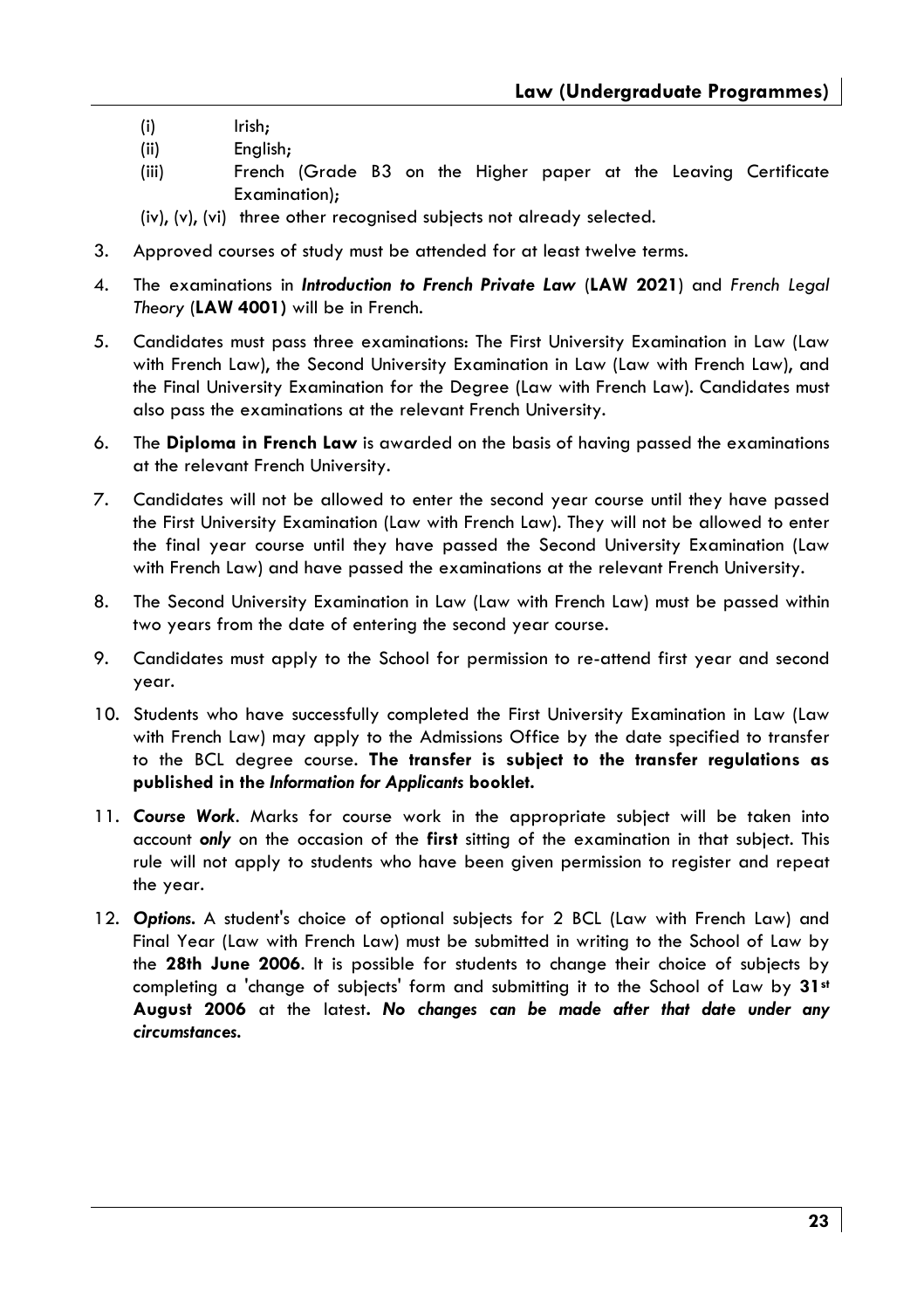- $(i)$ Irish:
- $(iii)$ English;
- French (Grade B3 on the Higher paper at the Leaving Certificate  $(iii)$ Examination):

(iv), (v), (vi) three other recognised subjects not glready selected.

- 3. Approved courses of study must be attended for at least twelve terms.
- $\mathbf{A}$ . The examinations in *Introduction to French Private Law (LAW 2021)* and *French Leaal* Theory (LAW 4001) will be in French.
- 5. Candidates must pass three examinations: The First University Examination in Law (Law with French Law), the Second University Examination in Law (Law with French Law), and the Final University Examination for the Degree (Law with French Law). Candidates must also pass the examinations at the relevant French University.
- 6. The **Diploma in French Law** is awarded on the basis of having passed the examinations at the relevant French University.
- 7. Candidates will not be allowed to enter the second year course until they have passed the First University Examination (Law with French Law). They will not be allowed to enter the final year course until they have passed the Second University Examination (Law with French Law) and have passed the examinations at the relevant French University.
- 8. The Second University Examination in Law (Law with French Law) must be passed within two years from the date of entering the second year course.
- 9. Candidates must apply to the School for permission to re-attend first year and second year.
- 10. Students who have successfully completed the First University Examination in Law (Law with French Law) may apply to the Admissions Office by the date specified to transfer to the BCL degree course. The transfer is subject to the transfer regulations as published in the Information for Applicants booklet.
- 11. Course Work. Marks for course work in the appropriate subject will be taken into account only on the occasion of the first sitting of the examination in that subject. This rule will not apply to students who have been given permission to register and repeat the year.
- 12. Options. A student's choice of optional subjects for 2 BCL (Law with French Law) and Final Year (Law with French Law) must be submitted in writing to the School of Law by the 28th June 2006. It is possible for students to change their choice of subjects by completing a 'change of subjects' form and submitting it to the School of Law by 31st August 2006 at the latest. No changes can be made after that date under any circumstances.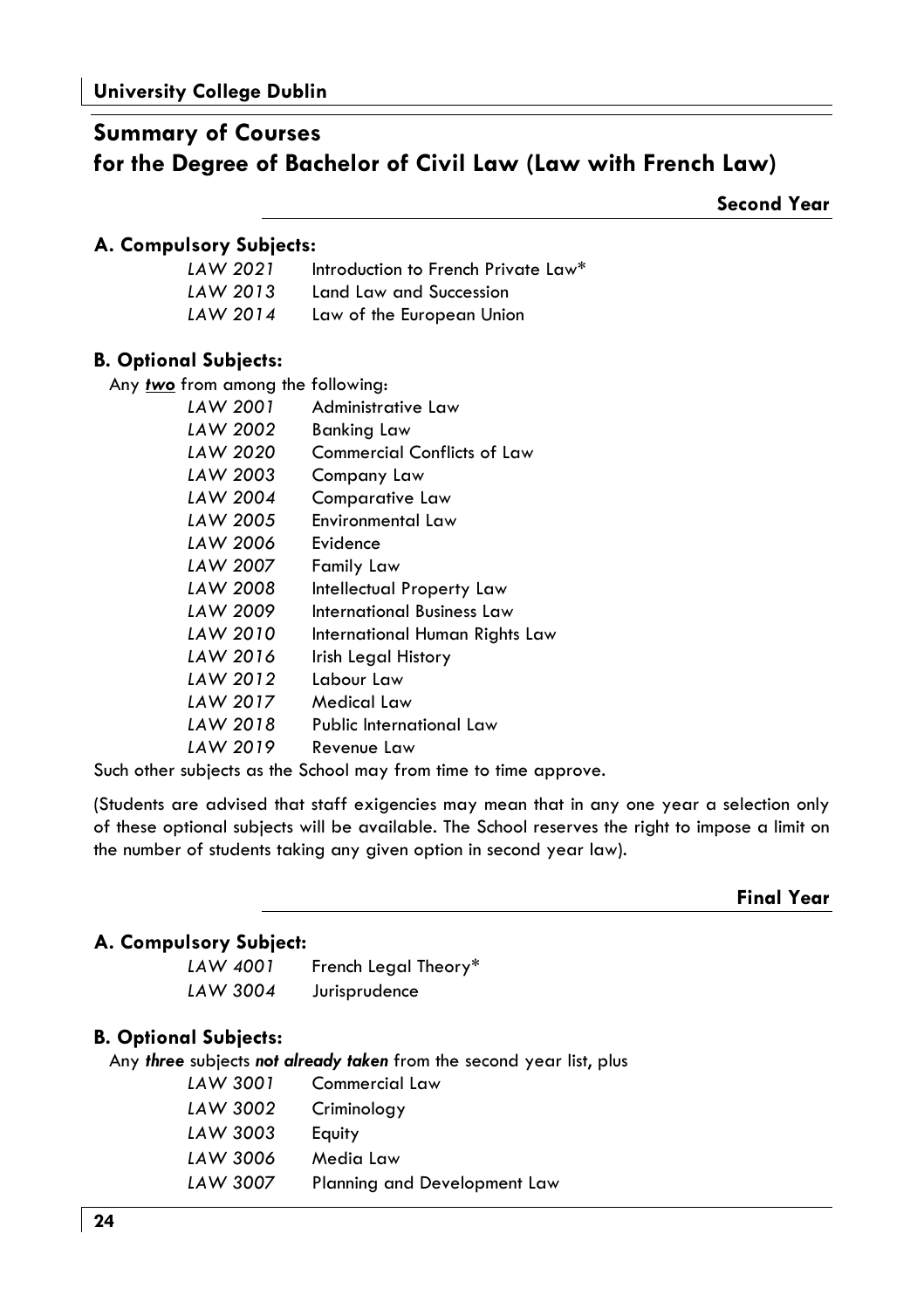# **Summary of Courses** for the Degree of Bachelor of Civil Law (Law with French Law)

**Second Year** 

#### A. Compulsory Subjects:

| LAW 2021 | Introduction to French Private Law <sup>*</sup> |
|----------|-------------------------------------------------|
| LAW 2013 | Land Law and Succession                         |
| LAW 2014 | Law of the European Union                       |

#### **B. Optional Subjects:**

Any two from among the following:

| LAW 2001 | Administrative Law                 |
|----------|------------------------------------|
| LAW 2002 | Banking Law                        |
| LAW 2020 | <b>Commercial Conflicts of Law</b> |
| LAW 2003 | Company Law                        |
| LAW 2004 | Comparative Law                    |
| LAW 2005 | <b>Environmental Law</b>           |
| LAW 2006 | Evidence                           |
| LAW 2007 | Family Law                         |
| LAW 2008 | Intellectual Property Law          |
| LAW 2009 | International Business Law         |
| LAW 2010 | International Human Rights Law     |
| LAW 2016 | Irish Legal History                |
| LAW 2012 | Labour Law                         |
| LAW 2017 | Medical Law                        |
| LAW 2018 | Public International Law           |
| LAW 2019 | Revenue Law                        |

Such other subjects as the School may from time to time approve.

(Students are advised that staff exigencies may mean that in any one year a selection only of these optional subjects will be available. The School reserves the right to impose a limit on the number of students taking any given option in second year law).

**Final Year** 

#### A. Compulsory Subject:

| LAW 4001 | French Legal Theory <sup>*</sup> |
|----------|----------------------------------|
| LAW 3004 | Jurisprudence                    |

#### **B. Optional Subjects:**

Any three subjects not already taken from the second year list, plus

| LAW 300 I | Commercial Law               |
|-----------|------------------------------|
| LAW 3002  | Criminology                  |
| LAW 3003  | Equity                       |
| LAW 3006  | Media Law                    |
| LAW 3007  | Planning and Development Law |
|           |                              |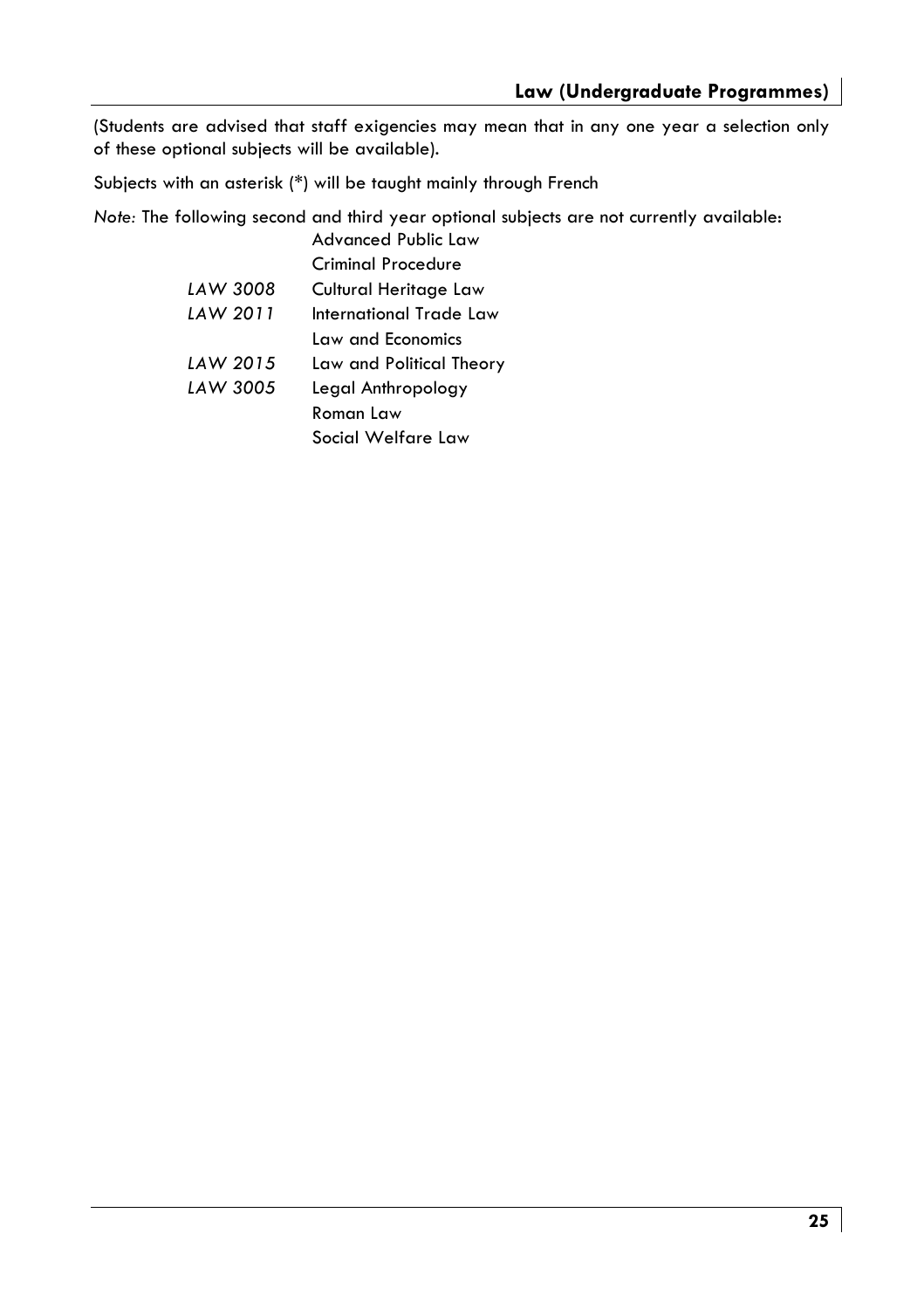(Students are advised that staff exigencies may mean that in any one year a selection only of these optional subjects will be available).

Subjects with an asterisk (\*) will be taught mainly through French

Note: The following second and third year optional subjects are not currently available: Advanced Public Law

|          | Criminal Procedure       |
|----------|--------------------------|
| LAW 3008 | Cultural Heritage Law    |
| LAW 2011 | International Trade Law  |
|          | Law and Economics        |
| LAW 2015 | Law and Political Theory |
| LAW 3005 | Legal Anthropology       |
|          | Roman Law                |
|          | Social Welfare Law       |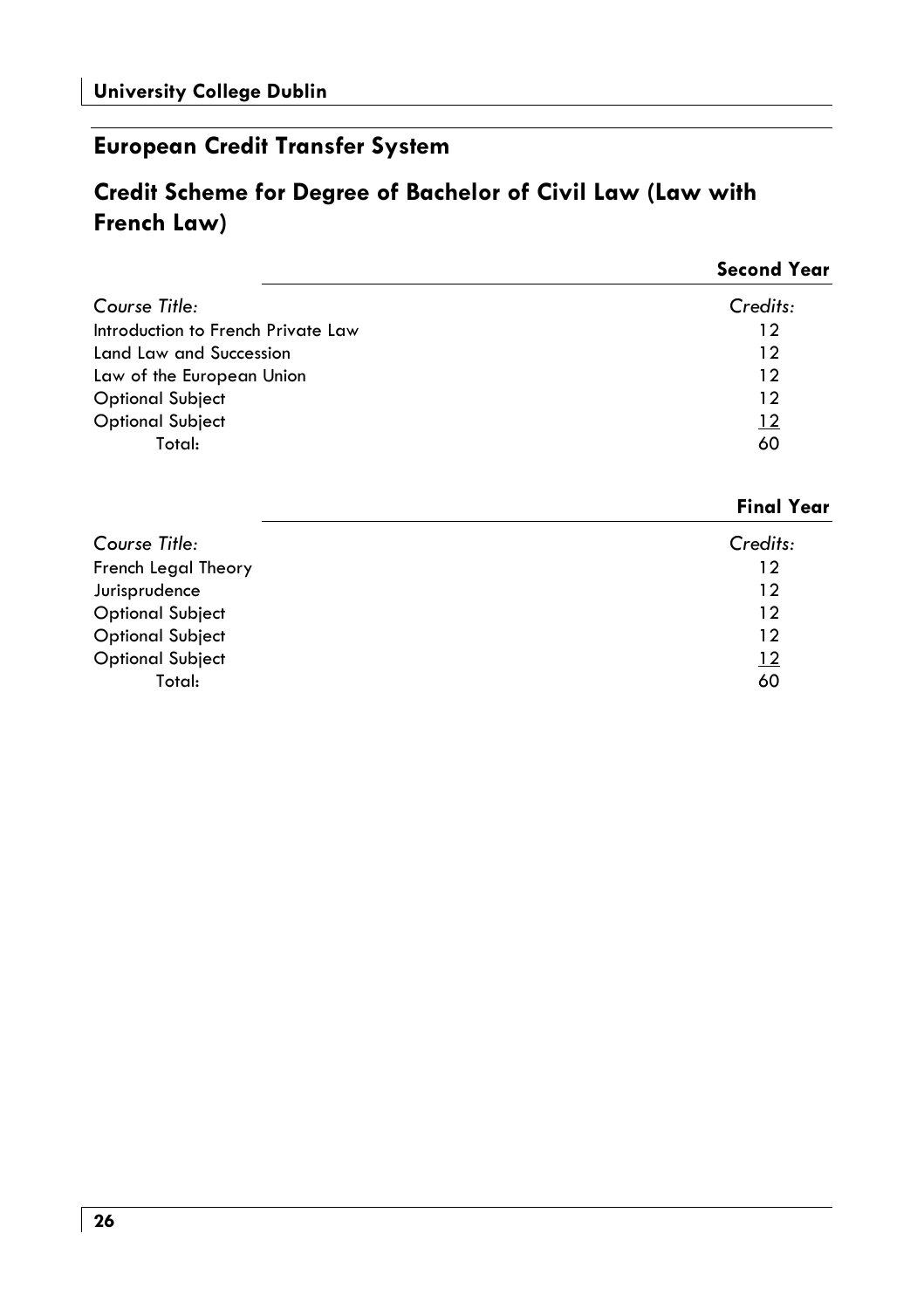# **European Credit Transfer System**

# Credit Scheme for Degree of Bachelor of Civil Law (Law with French Law)

|                                    | <b>Second Year</b> |
|------------------------------------|--------------------|
| Course Title:                      | Credits:           |
| Introduction to French Private Law | 12                 |
| Land Law and Succession            | 12                 |
| Law of the European Union          | 12                 |
| <b>Optional Subject</b>            | 12                 |
| <b>Optional Subject</b>            | $\frac{12}{1}$     |
| Total:                             | 60                 |

#### **Final Year**

| Course Title:           | Credits:        |
|-------------------------|-----------------|
| French Legal Theory     | 12              |
| Jurisprudence           | 12              |
| <b>Optional Subject</b> | 12              |
| <b>Optional Subject</b> | 12              |
| <b>Optional Subject</b> | $\overline{12}$ |
| Total:                  | 60              |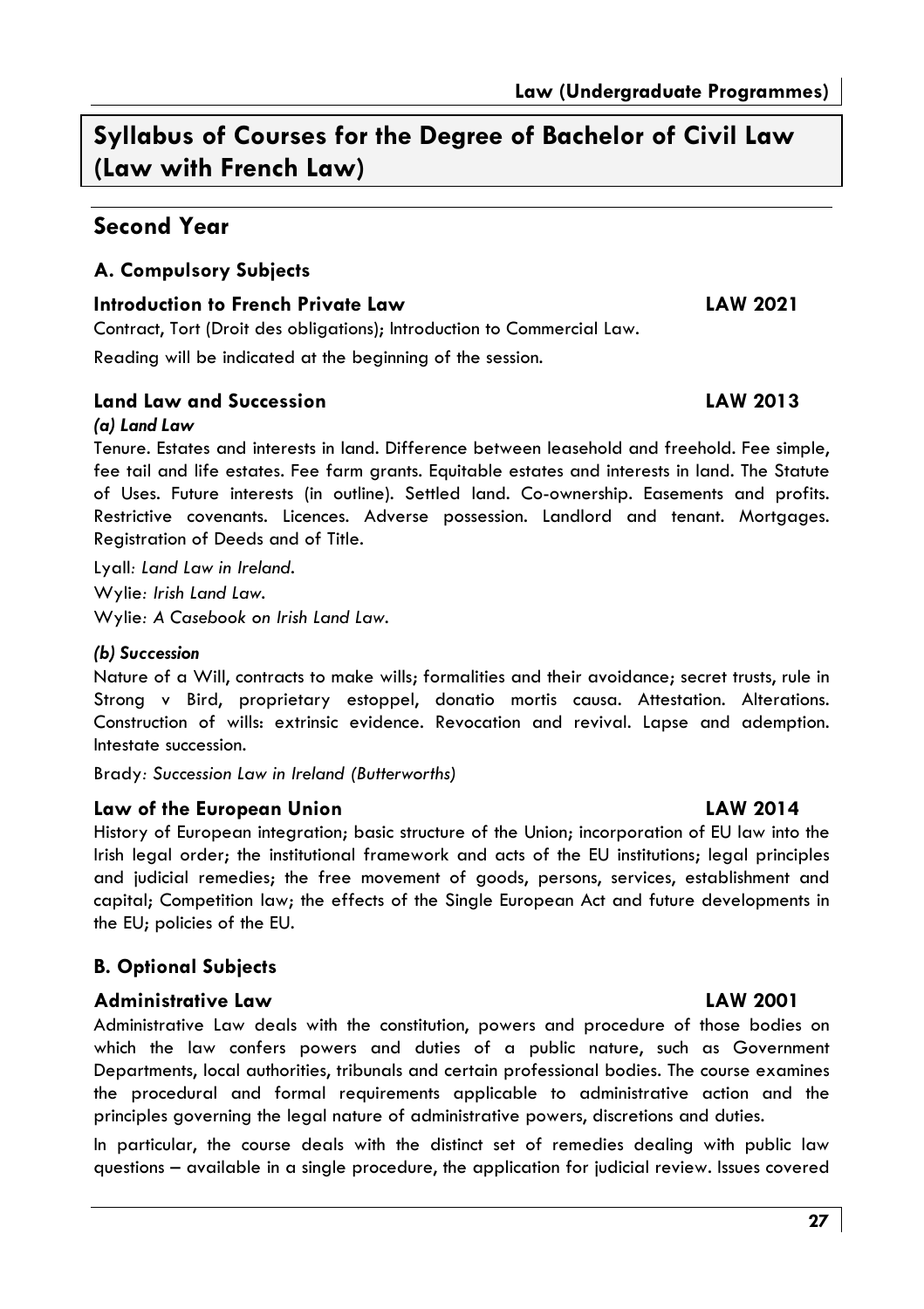Syllabus of Courses for the Dearee of Bachelor of Civil Law (Law with French Law)

### Second Year

#### A. Compulsory Subjects

#### **Introduction to French Private Law**

Contract, Tort (Droit des obligations); Introduction to Commercial Law.

Reading will be indicated at the beginning of the session.

#### Land Law and Succession

#### (a) Land Law

Tenure, Estates and interests in land. Difference between leasehold and freehold. Fee simple, fee tail and life estates. Fee farm arants, Eauitable estates and interests in land. The Statute of Uses. Future interests (in outline). Settled land. Co-ownership. Easements and profits. Restrictive covenants. Licences. Adverse possession. Landlord and tenant. Mortgages. Registration of Deeds and of Title.

Lyall: Land Law in Ireland. Wylie: Irish Land Law. Wylie: A Casebook on Irish Land Law.

#### (b) Succession

Nature of a Will, contracts to make wills; formalities and their avoidance; secret trusts, rule in Strong v Bird, proprietary estoppel, donatio mortis causa. Attestation. Alterations. Construction of wills: extrinsic evidence. Revocation and revival. Lapse and ademption. Intestate succession.

Brady: Succession Law in Ireland (Butterworths)

#### Law of the European Union

History of European integration; basic structure of the Union; incorporation of EU law into the Irish legal order; the institutional framework and acts of the EU institutions; legal principles and judicial remedies; the free movement of goods, persons, services, establishment and capital; Competition law; the effects of the Single European Act and future developments in the EU; policies of the EU.

#### **B. Optional Subjects**

#### **Administrative Law**

Administrative Law deals with the constitution, powers and procedure of those bodies on which the law confers powers and duties of a public nature, such as Government Departments, local authorities, tribunals and certain professional bodies. The course examines the procedural and formal requirements applicable to administrative action and the principles governing the legal nature of administrative powers, discretions and duties.

In particular, the course deals with the distinct set of remedies dealing with public law questions – available in a single procedure, the application for judicial review. Issues covered

#### **LAW 2014**

#### **LAW 2001**

# **LAW 2021**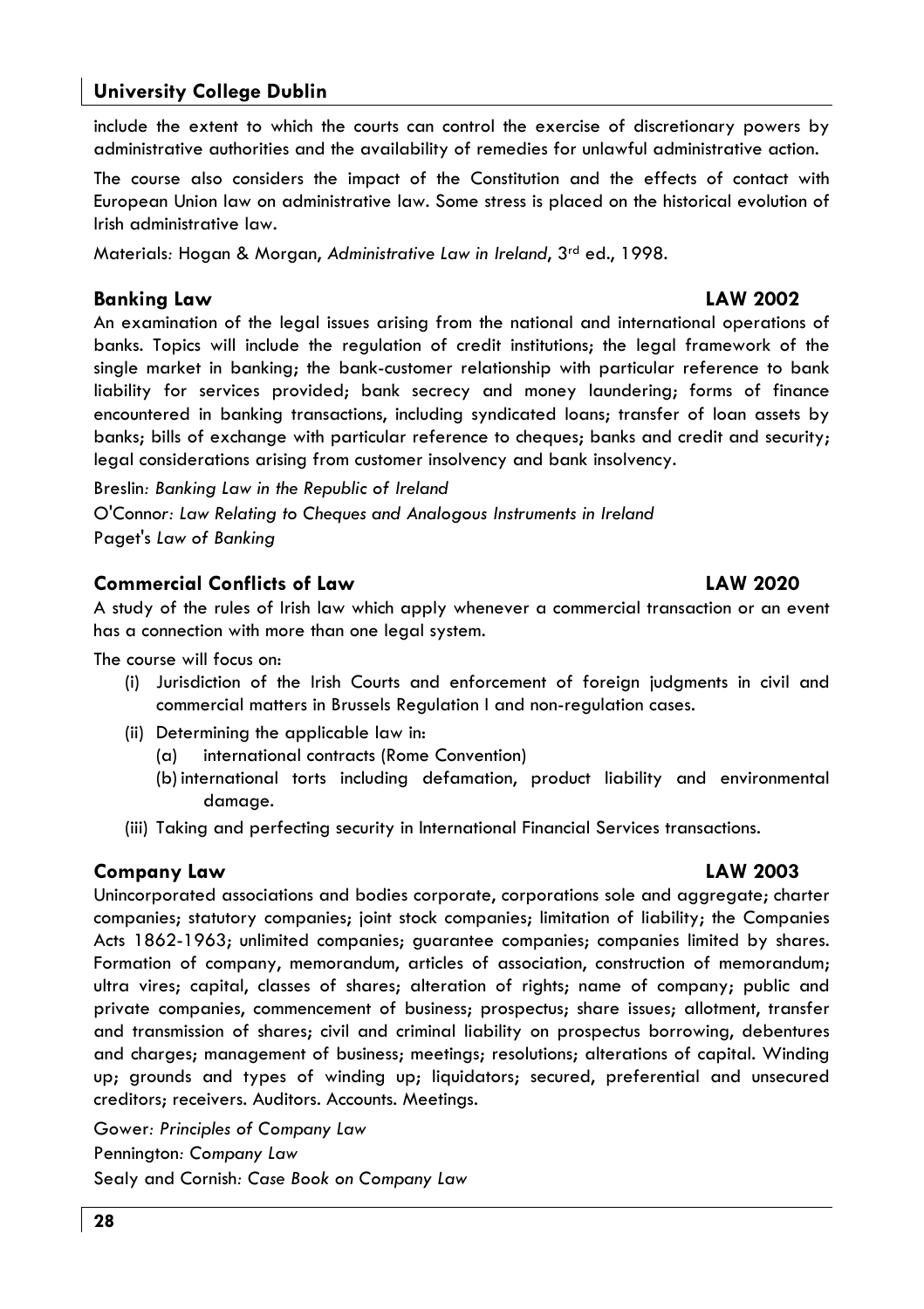#### **University College Dublin**

include the extent to which the courts can control the exercise of discretionary powers by administrative authorities and the availability of remedies for unlawful administrative action.

The course also considers the impact of the Constitution and the effects of contact with European Union law on administrative law. Some stress is placed on the historical evolution of Irish administrative law.

Materials: Hogan & Morgan, Administrative Law in Ireland, 3rd ed., 1998.

#### **Bankina Law**

An examination of the legal issues arising from the national and international operations of banks. Topics will include the regulation of credit institutions; the legal framework of the single market in banking; the bank-customer relationship with particular reference to bank liability for services provided; bank secrecy and money laundering; forms of finance encountered in banking transactions, including syndicated loans; transfer of loan assets by banks; bills of exchange with particular reference to cheques; banks and credit and security; legal considerations arising from customer insolvency and bank insolvency.

Breslin: Banking Law in the Republic of Ireland O'Connor: Law Relating to Cheques and Analogous Instruments in Ireland Paget's Law of Banking

#### **Commercial Conflicts of Law**

A study of the rules of Irish law which apply whenever a commercial transaction or an event has a connection with more than one legal system.

The course will focus on:

- (i) Jurisdiction of the Irish Courts and enforcement of foreign judgments in civil and commercial matters in Brussels Regulation I and non-regulation cases.
- (ii) Determining the applicable law in:
	- international contracts (Rome Convention)  $(a)$
	- (b) international torts including defamation, product liability and environmental damage.
- (iii) Taking and perfecting security in International Financial Services transactions.

#### Company Law

Unincorporated associations and bodies corporate, corporations sole and aggregate; charter companies; statutory companies; joint stock companies; limitation of liability; the Companies Acts 1862-1963; unlimited companies; quarantee companies; companies limited by shares. Formation of company, memorandum, articles of association, construction of memorandum; ultra vires; capital, classes of shares; alteration of rights; name of company; public and private companies, commencement of business; prospectus; share issues; allotment, transfer and transmission of shares; civil and criminal liability on prospectus borrowing, debentures and charges; management of business; meetings; resolutions; alterations of capital. Winding up; grounds and types of winding up; liquidators; secured, preferential and unsecured creditors; receivers. Auditors. Accounts. Meetings.

Gower: Principles of Company Law

Pennington: Company Law

Sealy and Cornish: Case Book on Company Law

# **LAW 2003**

#### **LAW 2002**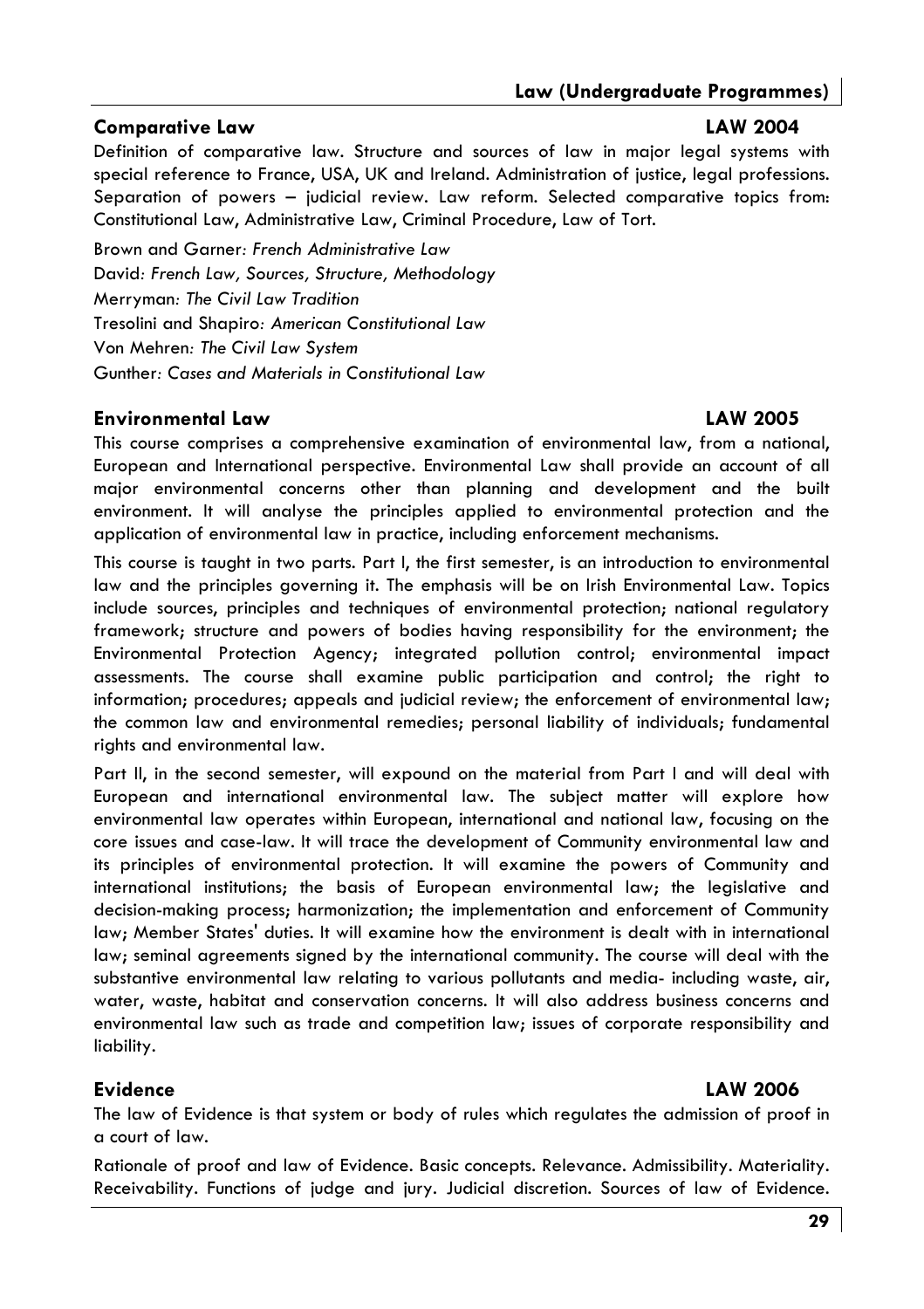#### **Comparative Law**

#### **LAW 2004**

Definition of comparative law. Structure and sources of law in major leagl systems with special reference to France, USA, UK and Ireland, Administration of justice, leagl professions, Separation of powers - judicial review. Law reform. Selected comparative topics from: Constitutional Law, Administrative Law, Criminal Procedure, Law of Tort.

Brown and Garner: French Administrative Law David: French Law, Sources, Structure, Methodology **Merryman: The Civil Law Tradition** Tresolini and Shapiro: American Constitutional Law Von Mehren: The Civil Law System Gunther: Cases and Materials in Constitutional Law

#### **Environmental Law**

#### **LAW 2005**

This course comprises a comprehensive examination of environmental law, from a national, European and International perspective. Environmental Law shall provide an account of all major environmental concerns other than planning and development and the built environment. It will analyse the principles applied to environmental protection and the application of environmental law in practice, including enforcement mechanisms.

This course is taught in two parts. Part I, the first semester, is an introduction to environmental law and the principles governing it. The emphasis will be on Irish Environmental Law. Topics include sources, principles and techniques of environmental protection; national regulatory framework; structure and powers of bodies having responsibility for the environment; the Environmental Protection Agency; integrated pollution control; environmental impact assessments. The course shall examine public participation and control; the right to information; procedures; appeals and judicial review; the enforcement of environmental law; the common law and environmental remedies; personal liability of individuals; fundamental rights and environmental law.

Part II, in the second semester, will expound on the material from Part I and will deal with European and international environmental law. The subject matter will explore how environmental law operates within European, international and national law, focusing on the core issues and case-law. It will trace the development of Community environmental law and its principles of environmental protection. It will examine the powers of Community and international institutions; the basis of European environmental law; the legislative and decision-making process; harmonization; the implementation and enforcement of Community law; Member States' duties. It will examine how the environment is dealt with in international law; seminal agreements signed by the international community. The course will deal with the substantive environmental law relating to various pollutants and media- including waste, air, water, waste, habitat and conservation concerns. It will also address business concerns and environmental law such as trade and competition law; issues of corporate responsibility and liability.

#### **Evidence**

#### **LAW 2006**

The law of Evidence is that system or body of rules which regulates the admission of proof in a court of law.

Rationale of proof and law of Evidence. Basic concepts. Relevance. Admissibility. Materiality. Receivability. Functions of judge and jury. Judicial discretion. Sources of law of Evidence.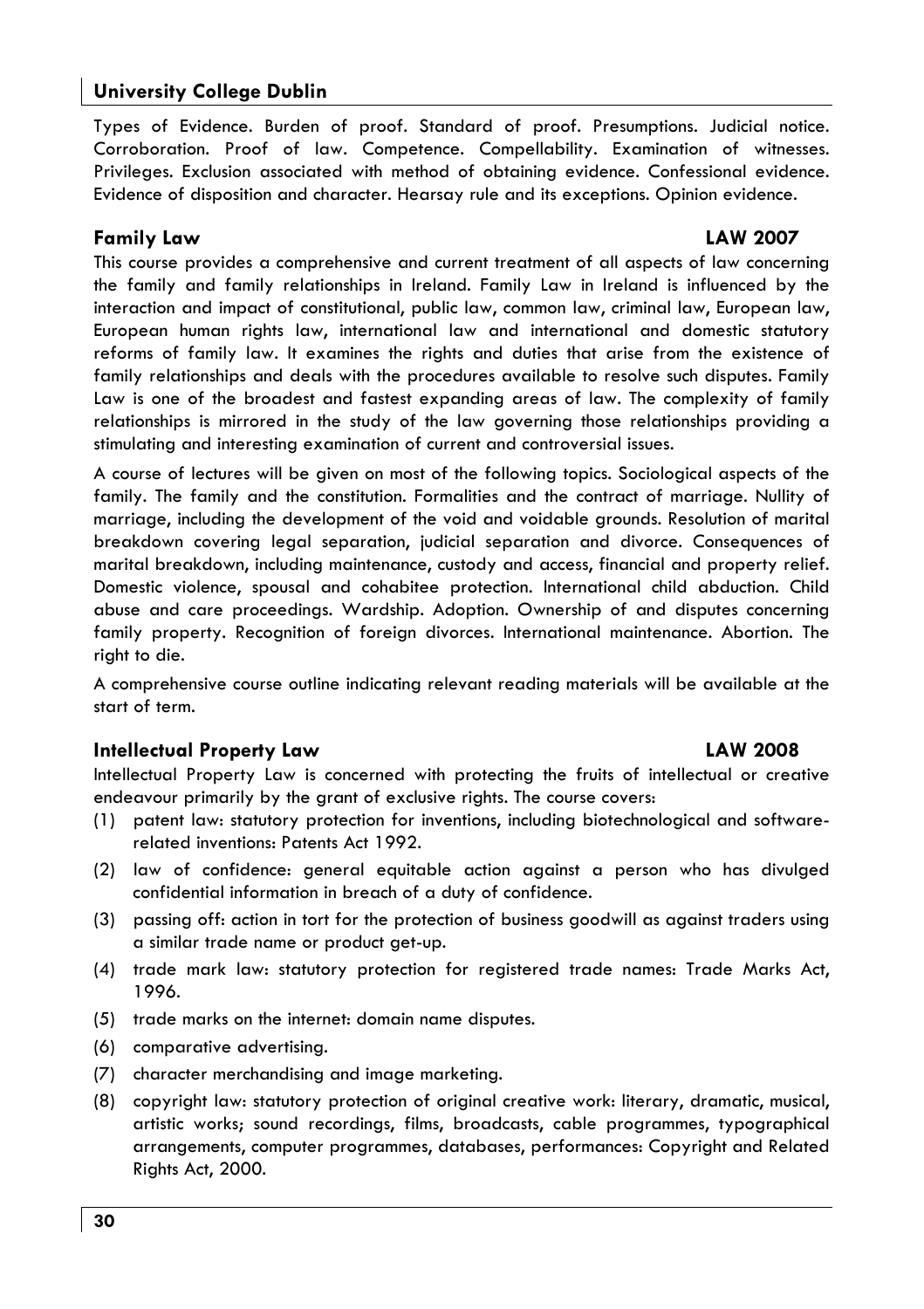#### **University College Dublin**

Types of Evidence, Burden of proof, Standard of proof, Presumptions, Judicial notice, Corroboration. Proof of law. Competence. Compellability. Examination of witnesses. Privileges. Exclusion associated with method of obtaining evidence. Confessional evidence. Evidence of disposition and character. Hearsay rule and its exceptions. Opinion evidence.

#### **Family Law**

#### **LAW 2007**

**LAW 2008** 

This course provides a comprehensive and current treatment of all aspects of law concerning the family and family relationships in Ireland. Family Law in Ireland is influenced by the interaction and impact of constitutional, public law, common law, criminal law, European law, European human rights law, international law and international and domestic statutory reforms of family law. It examines the rights and duties that arise from the existence of family relationships and deals with the procedures available to resolve such disputes. Family Law is one of the broadest and fastest expanding areas of law. The complexity of family relationships is mirrored in the study of the law governing those relationships providing a stimulating and interesting examination of current and controversial issues.

A course of lectures will be given on most of the following topics. Sociological aspects of the family. The family and the constitution. Formalities and the contract of marriage. Nullity of marriage, including the development of the void and voidable grounds. Resolution of marital breakdown covering legal separation, judicial separation and divorce. Consequences of marital breakdown, including maintenance, custody and access, financial and property relief. Domestic violence, spousal and cohabitee protection. International child abduction. Child abuse and care proceedings. Wardship. Adoption. Ownership of and disputes concerning family property. Recognition of foreign divorces. International maintenance. Abortion. The right to die.

A comprehensive course outline indicating relevant reading materials will be available at the start of term.

#### **Intellectual Property Law**

#### Intellectual Property Law is concerned with protecting the fruits of intellectual or creative endeavour primarily by the grant of exclusive rights. The course covers:

- (1) patent law: statutory protection for inventions, including biotechnological and softwarerelated inventions: Patents Act 1992.
- (2) law of confidence: general equitable action against a person who has divulged confidential information in breach of a duty of confidence.
- (3) passing off: action in tort for the protection of business goodwill as against traders using a similar trade name or product get-up.
- (4) trade mark law: statutory protection for registered trade names: Trade Marks Act, 1996.
- (5) trade marks on the internet: domain name disputes.
- (6) comparative advertising.
- (7) character merchandising and image marketing.
- (8) copyright law: statutory protection of original creative work: literary, dramatic, musical, artistic works; sound recordings, films, broadcasts, cable programmes, typographical arrangements, computer programmes, databases, performances: Copyright and Related Rights Act, 2000.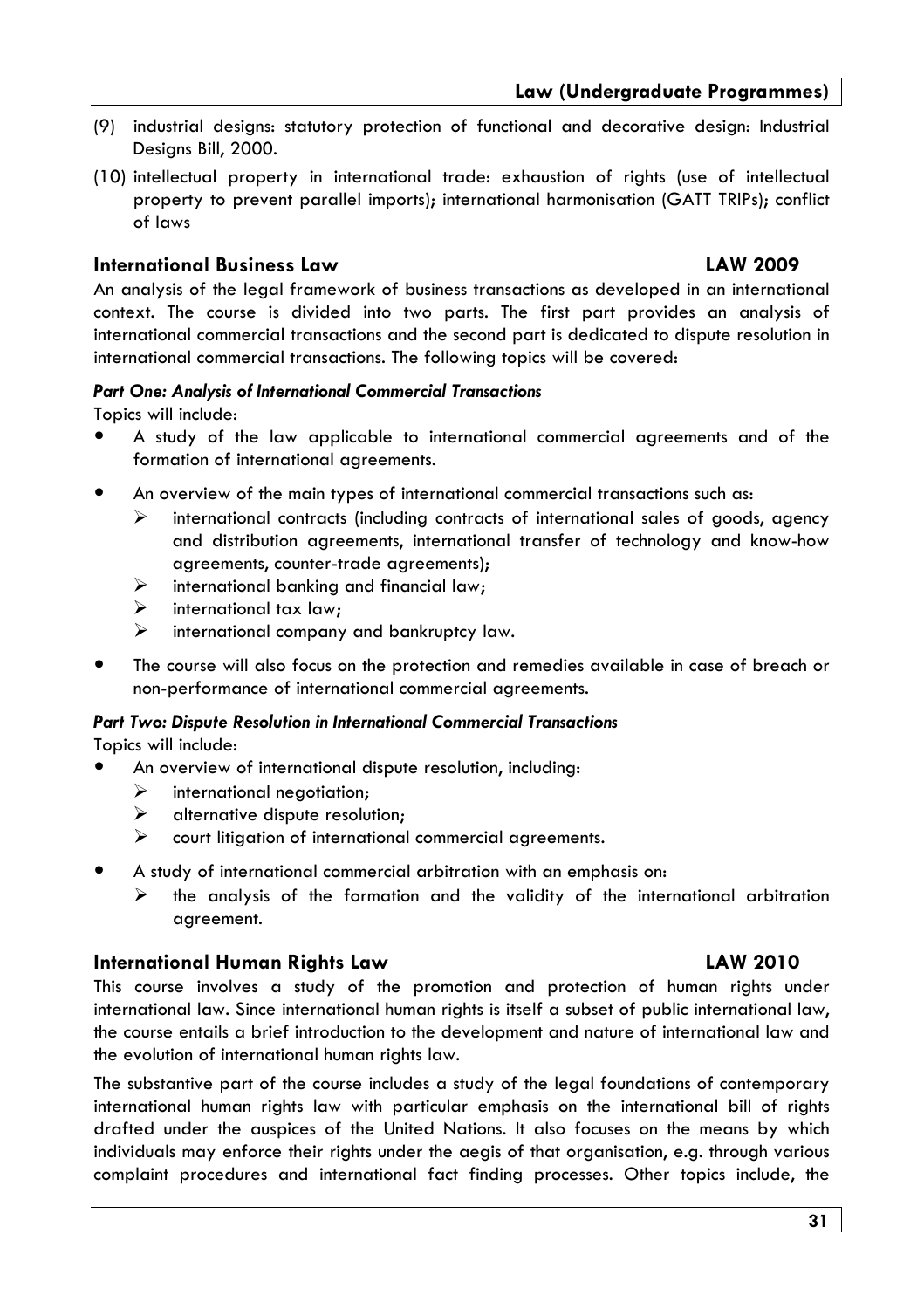- (9) industrial desians: statutory protection of functional and decorative desian: Industrial Designs Bill, 2000.
- (10) intellectual property in international trade: exhaustion of rights (use of intellectual property to prevent parallel imports): international harmonisation (GATT TRIPs): conflict of laws

#### **International Business Law**

#### **LAW 2009**

An analysis of the legal framework of business transactions as developed in an international context. The course is divided into two parts. The first part provides an analysis of international commercial transactions and the second part is dedicated to dispute resolution in international commercial transactions. The following topics will be covered:

#### Part One: Analysis of International Commercial Transactions

Topics will include:

- A study of the law applicable to international commercial agreements and of the formation of international agreements.
- An overview of the main types of international commercial transactions such as:
	- $\blacktriangleright$ international contracts (includina contracts of international sales of goods, gaency and distribution agreements, international transfer of technology and know-how agreements, counter-trade agreements);
	- $\blacktriangle$ international banking and financial law;
	- $\blacktriangle$ international tax law:
	- ➤ international company and bankruptcy law.
- The course will also focus on the protection and remedies available in case of breach or non-performance of international commercial agreements.

#### Part Two: Dispute Resolution in International Commercial Transactions

Topics will include:

- An overview of international dispute resolution, including:
	- $\blacktriangleright$ international negotiation;
	- $\blacktriangleright$ alternative dispute resolution:
	- court litigation of international commercial agreements.
- A study of international commercial arbitration with an emphasis on:
	- $\blacktriangleright$ the analysis of the formation and the validity of the international arbitration aareement.

#### **International Human Rights Law**

This course involves a study of the promotion and protection of human rights under international law. Since international human rights is itself a subset of public international law, the course entails a brief introduction to the development and nature of international law and the evolution of international human rights law.

The substantive part of the course includes a study of the legal foundations of contemporary international human rights law with particular emphasis on the international bill of rights drafted under the auspices of the United Nations. It also focuses on the means by which individuals may enforce their rights under the aegis of that organisation, e.g. through various complaint procedures and international fact finding processes. Other topics include, the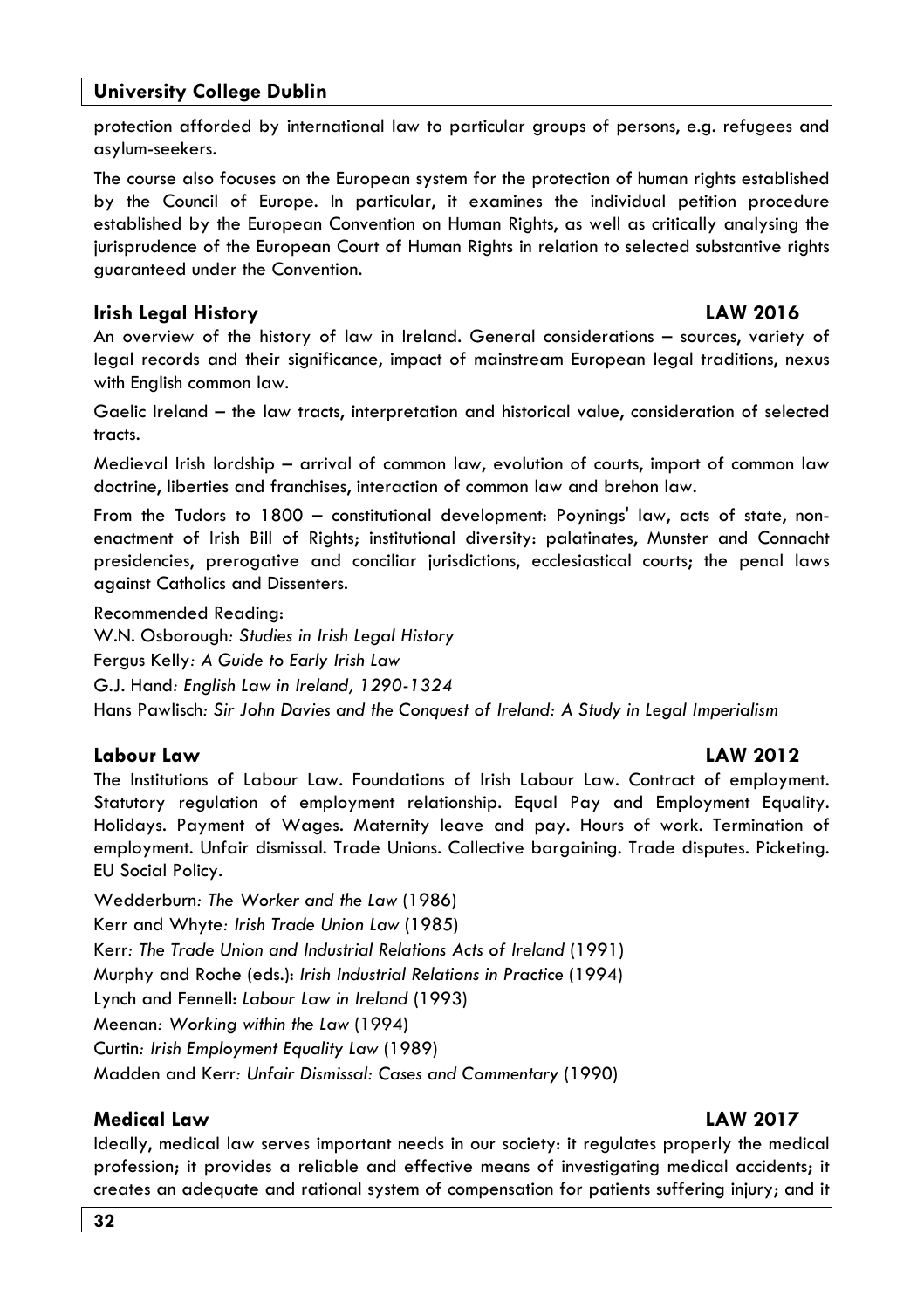#### **University College Dublin**

protection afforded by international law to particular aroups of persons, e.g. refugees and asylum-seekers.

The course also focuses on the European system for the protection of human rights established by the Council of Europe. In particular, it examines the individual petition procedure established by the European Convention on Human Riahts, as well as critically analysing the jurisprudence of the European Court of Human Rights in relation to selected substantive rights quaranteed under the Convention.

#### **Irish Legal History**

#### **LAW 2016**

An overview of the history of law in Ireland. General considerations - sources, variety of legal records and their significance, impact of mainstream European legal traditions, nexus with Enalish common law.

Gaelic Ireland - the law tracts, interpretation and historical value, consideration of selected tracts.

Medieval Irish lordship - arrival of common law, evolution of courts, import of common law doctrine, liberties and franchises, interaction of common law and brehon law.

From the Tudors to 1800 - constitutional development: Poynings' law, acts of state, nonenactment of Irish Bill of Rights; institutional diversity: palatinates, Munster and Connacht presidencies, prerogative and conciliar jurisdictions, ecclesiastical courts; the penal laws against Catholics and Dissenters.

Recommended Reading:

W.N. Osborough: Studies in Irish Legal History

Fergus Kelly: A Guide to Early Irish Law

G.J. Hand: English Law in Ireland, 1290-1324

Hans Pawlisch: Sir John Davies and the Conquest of Ireland: A Study in Legal Imperialism

#### **Labour Law**

#### **I AW 2012**

The Institutions of Labour Law. Foundations of Irish Labour Law. Contract of employment. Statutory regulation of employment relationship. Equal Pay and Employment Equality. Holidays. Payment of Wages. Maternity leave and pay. Hours of work. Termination of employment. Unfair dismissal. Trade Unions. Collective bargaining. Trade disputes. Picketing. EU Social Policy.

Wedderburn: The Worker and the Law (1986) Kerr and Whyte: Irish Trade Union Law (1985) Kerr: The Trade Union and Industrial Relations Acts of Ireland (1991) Murphy and Roche (eds.): Irish Industrial Relations in Practice (1994) Lynch and Fennell: Labour Law in Ireland (1993) Meenan: Working within the Law (1994) Curtin: Irish Employment Equality Law (1989) Madden and Kerr: Unfair Dismissal: Cases and Commentary (1990)

#### **Medical Law**

#### **LAW 2017**

Ideally, medical law serves important needs in our society: it requlates properly the medical profession; it provides a reliable and effective means of investigating medical accidents; it creates an adequate and rational system of compensation for patients suffering injury; and it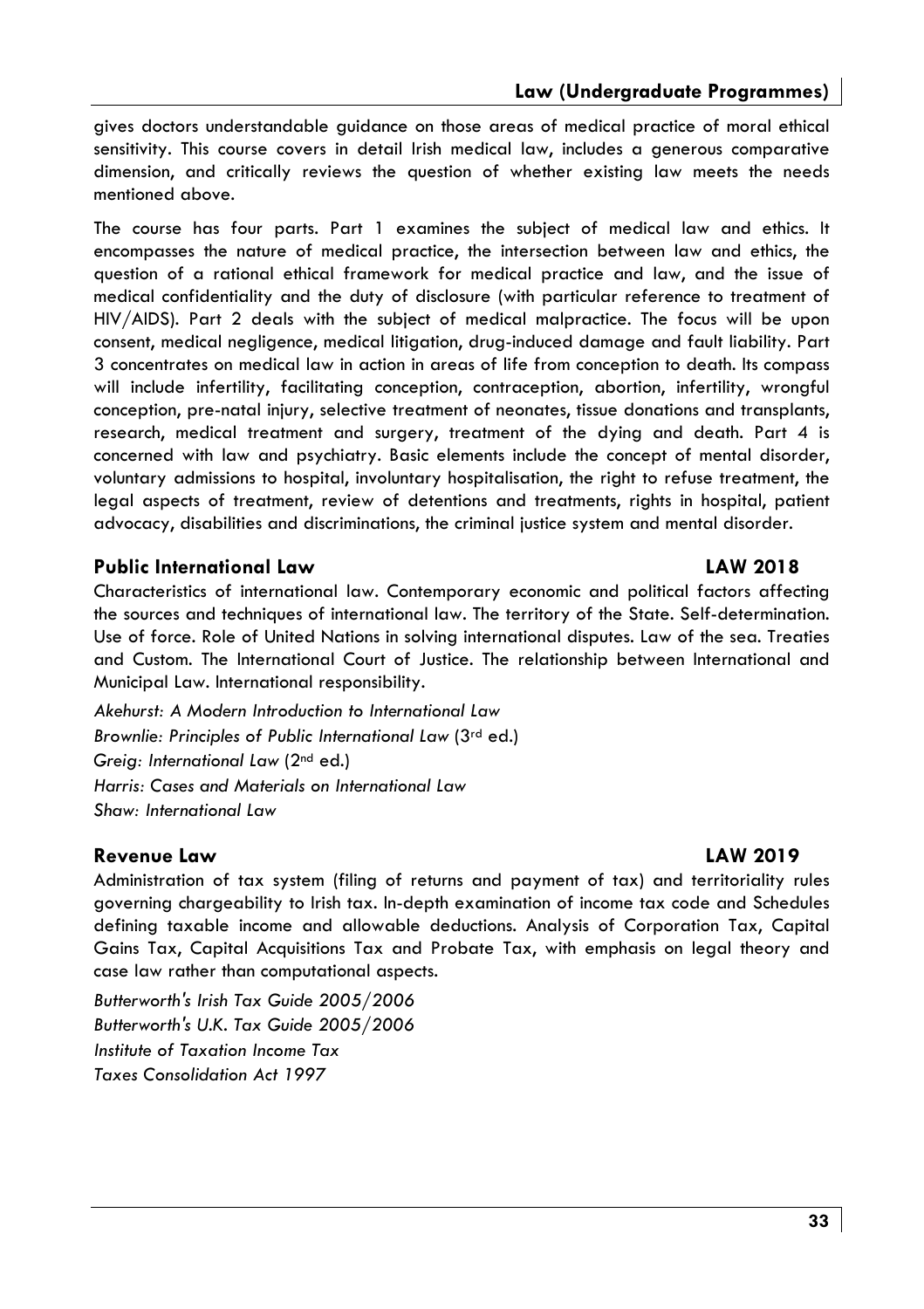gives doctors understandable quidance on those greas of medical practice of moral ethical sensitivity. This course covers in detail Irish medical law, includes a generous comparative dimension, and critically reviews the question of whether existing law meets the needs mentioned above.

The course has four parts. Part 1 examines the subject of medical law and ethics. It encompasses the nature of medical practice, the intersection between law and ethics, the question of a rational ethical framework for medical practice and law, and the issue of medical confidentiality and the duty of disclosure (with particular reference to treatment of HIV/AIDS). Part 2 deals with the subject of medical malpractice. The focus will be upon consent, medical negligence, medical litigation, drug-induced damage and fault liability. Part 3 concentrates on medical law in action in areas of life from conception to death. Its compass will include infertility, facilitating conception, contraception, abortion, infertility, wrongful conception, pre-natal injury, selective treatment of neonates, tissue donations and transplants, research, medical treatment and surgery, treatment of the dying and death. Part 4 is concerned with law and psychiatry. Basic elements include the concept of mental disorder, voluntary admissions to hospital, involuntary hospitalisation, the right to refuse treatment, the leaal aspects of treatment, review of detentions and treatments, riahts in hospital, patient advocacy, disabilities and discriminations, the criminal justice system and mental disorder.

#### **Public International Law**

Characteristics of international law. Contemporary economic and political factors affecting the sources and techniques of international law. The territory of the State. Self-determination. Use of force. Role of United Nations in solving international disputes. Law of the sea. Treaties and Custom. The International Court of Justice. The relationship between International and Municipal Law. International responsibility.

Akehurst: A Modern Introduction to International Law Brownlie: Principles of Public International Law (3rd ed.) Greig: International Law (2<sup>nd</sup> ed.) Harris: Cases and Materials on International Law Shaw: International Law

#### Revenue Law

Administration of tax system (filing of returns and payment of tax) and territoriality rules governing chargeability to Irish tax. In-depth examination of income tax code and Schedules defining taxable income and allowable deductions. Analysis of Corporation Tax, Capital Gains Tax, Capital Acquisitions Tax and Probate Tax, with emphasis on legal theory and case law rather than computational aspects.

Butterworth's Irish Tax Guide 2005/2006 Butterworth's U.K. Tax Guide 2005/2006 Institute of Taxation Income Tax **Taxes Consolidation Act 1997** 

#### **LAW 2018**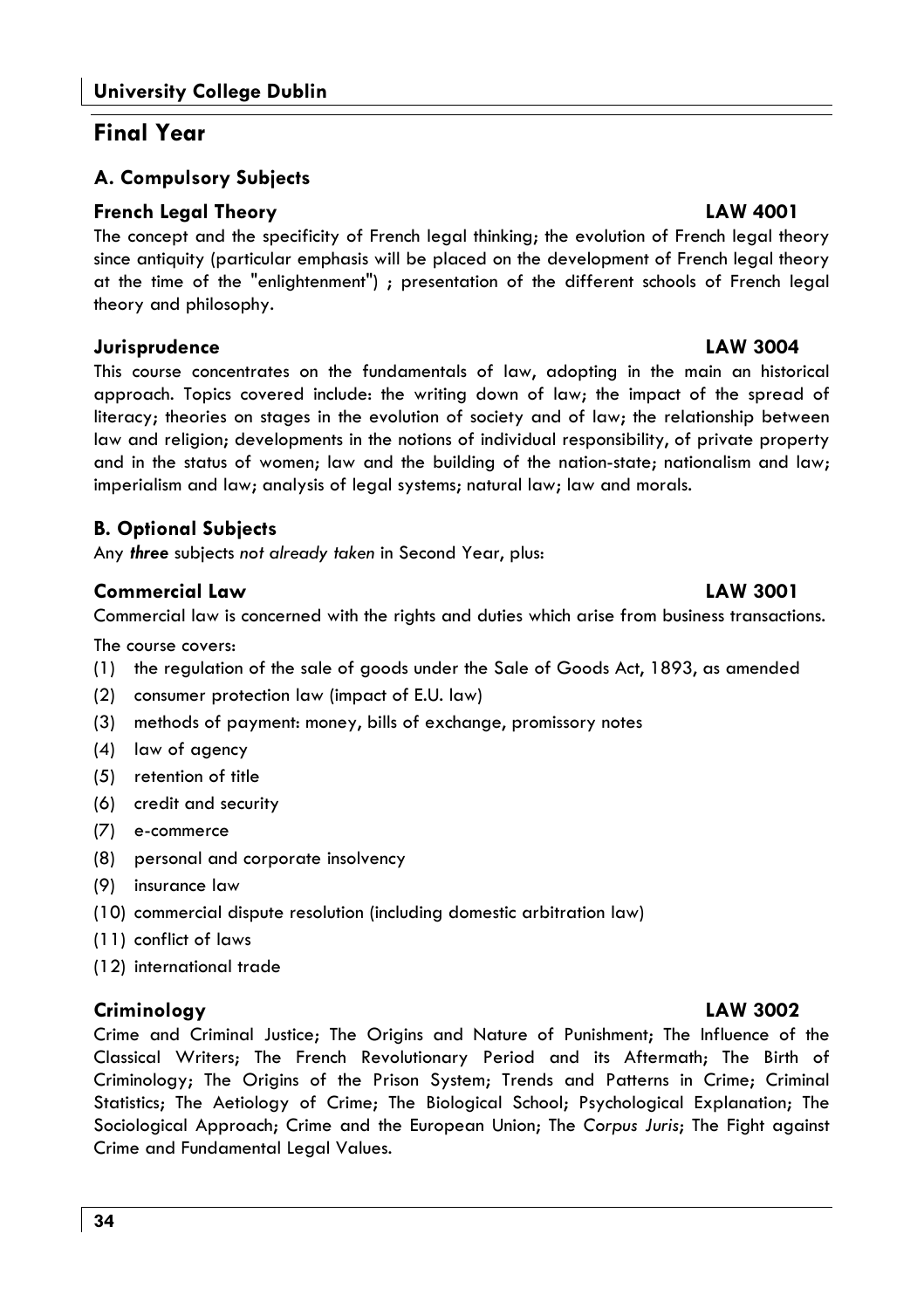#### **Final Year**

#### A. Compulsory Subjects

#### **French Legal Theory**

The concept and the specificity of French legal thinking; the evolution of French legal theory since antiquity (particular emphasis will be placed on the development of French legal theory at the time of the "enlightenment") ; presentation of the different schools of French legal theory and philosophy.

#### Jurisprudence

This course concentrates on the fundamentals of law, adopting in the main an historical approach. Topics covered include: the writing down of law; the impact of the spread of literacy; theories on stages in the evolution of society and of law; the relationship between law and religion; developments in the notions of individual responsibility, of private property and in the status of women; law and the building of the nation-state; nationalism and law; imperialism and law; analysis of legal systems; natural law; law and morals.

#### **B. Optional Subjects**

Any three subjects not already taken in Second Year, plus:

#### **Commercial Law**

Commercial law is concerned with the rights and duties which arise from business transactions.

The course covers:

- (1) the regulation of the sale of goods under the Sale of Goods Act, 1893, as amended
- (2) consumer protection law (impact of E.U. law)
- (3) methods of payment: money, bills of exchange, promissory notes
- (4) law of agency
- (5) retention of title
- (6) credit and security
- (7) e-commerce
- (8) personal and corporate insolvency
- (9) insurance law
- (10) commercial dispute resolution (including domestic arbitration law)
- (11) conflict of laws
- (12) international trade

#### Criminology

Crime and Criminal Justice; The Origins and Nature of Punishment; The Influence of the Classical Writers; The French Revolutionary Period and its Aftermath; The Birth of Criminology; The Origins of the Prison System; Trends and Patterns in Crime; Criminal Statistics; The Aetiology of Crime; The Biological School; Psychological Explanation; The Sociological Approach; Crime and the European Union; The Corpus Juris; The Fight against Crime and Fundamental Legal Values.

#### **LAW 4001**

#### **LAW 3004**

#### **LAW 3001**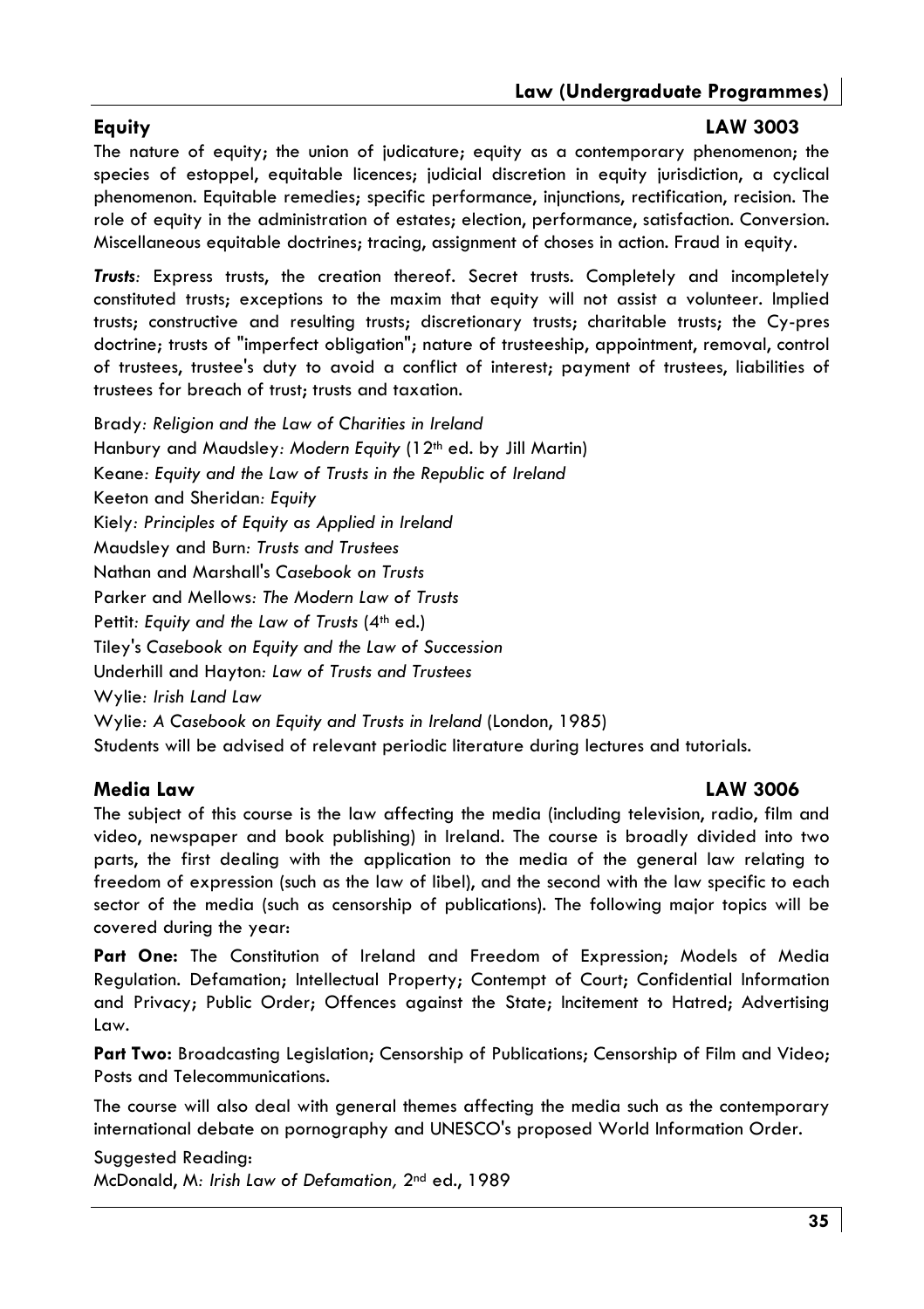#### Eauitv

#### **LAW 3003**

The nature of equity; the union of judicature; equity as a contemporary phenomenon; the species of estoppel, equitable licences: judicial discretion in equity jurisdiction, a cyclical phenomenon. Equitable remedies; specific performance, injunctions, rectification, recision. The role of equity in the administration of estates; election, performance, satisfaction. Conversion. Miscellaneous equitable doctrines; tracing, assignment of choses in action. Fraud in equity.

Trusts: Express trusts, the creation thereof. Secret trusts. Completely and incompletely constituted trusts; exceptions to the maxim that equity will not assist a volunteer. Implied trusts; constructive and resulting trusts; discretionary trusts; charitable trusts; the Cy-pres doctrine: trusts of "imperfect obligation": nature of trusteeship, appointment, removal, control of trustees, trustee's duty to avoid a conflict of interest; payment of trustees, liabilities of trustees for breach of trust; trusts and taxation.

Brady: Religion and the Law of Charities in Ireland Hanbury and Maudsley: Modern Equity (12<sup>th</sup> ed. by Jill Martin) Keane: Equity and the Law of Trusts in the Republic of Ireland Keeton and Sheridan: Equity Kiely: Principles of Equity as Applied in Ireland Maudsley and Burn: Trusts and Trustees Nathan and Marshall's Casebook on Trusts Parker and Mellows: The Modern Law of Trusts Pettit: Equity and the Law of Trusts (4th ed.) Tiley's Casebook on Equity and the Law of Succession Underhill and Hayton: Law of Trusts and Trustees Wylie: Irish Land Law Wylie: A Casebook on Equity and Trusts in Ireland (London, 1985) Students will be advised of relevant periodic literature during lectures and tutorials.

#### Media Law

#### **LAW 3006**

The subject of this course is the law affecting the media (including television, radio, film and video, newspaper and book publishing) in Ireland. The course is broadly divided into two parts, the first dealing with the application to the media of the general law relating to freedom of expression (such as the law of libel), and the second with the law specific to each sector of the media (such as censorship of publications). The following major topics will be covered during the year:

Part One: The Constitution of Ireland and Freedom of Expression; Models of Media Regulation. Defamation; Intellectual Property; Contempt of Court; Confidential Information and Privacy; Public Order; Offences against the State; Incitement to Hatred; Advertising Law.

Part Two: Broadcasting Legislation; Censorship of Publications; Censorship of Film and Video; Posts and Telecommunications.

The course will also deal with general themes affecting the media such as the contemporary international debate on pornography and UNESCO's proposed World Information Order.

Suggested Reading: McDonald, M: Irish Law of Defamation, 2<sup>nd</sup> ed., 1989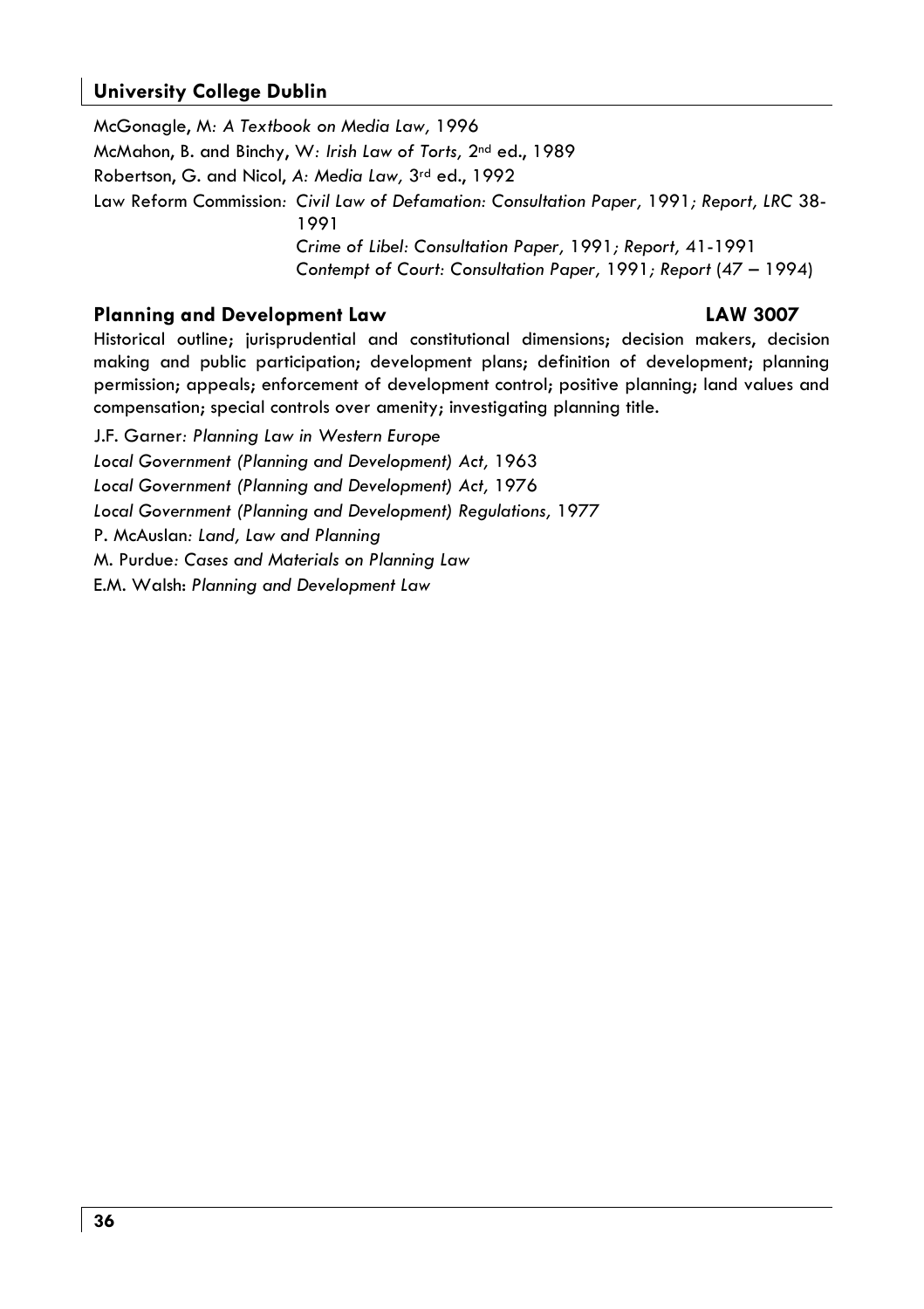#### **University College Dublin**

McGonaale, M: A Textbook on Media Law, 1996 McMahon, B. and Binchy, W: Irish Law of Torts, 2<sup>nd</sup> ed., 1989 Robertson, G. and Nicol, A: Media Law, 3rd ed., 1992 Law Reform Commission: Civil Law of Defamation: Consultation Paper, 1991; Report, LRC 38-1991 Crime of Libel: Consultation Paper, 1991; Report, 41-1991 Contempt of Court: Consultation Paper, 1991; Report (47 - 1994)

#### **Planning and Development Law**

#### **LAW 3007**

Historical outline; jurisprudential and constitutional dimensions; decision makers, decision making and public participation; development plans; definition of development; planning permission; appeals; enforcement of development control; positive planning; land values and compensation; special controls over amenity; investigating planning title.

J.F. Garner: Planning Law in Western Europe Local Government (Planning and Development) Act, 1963 Local Government (Planning and Development) Act, 1976 Local Government (Planning and Development) Regulations, 1977 P. McAuslan: Land, Law and Planning M. Purdue: Cases and Materials on Planning Law E.M. Walsh: Planning and Development Law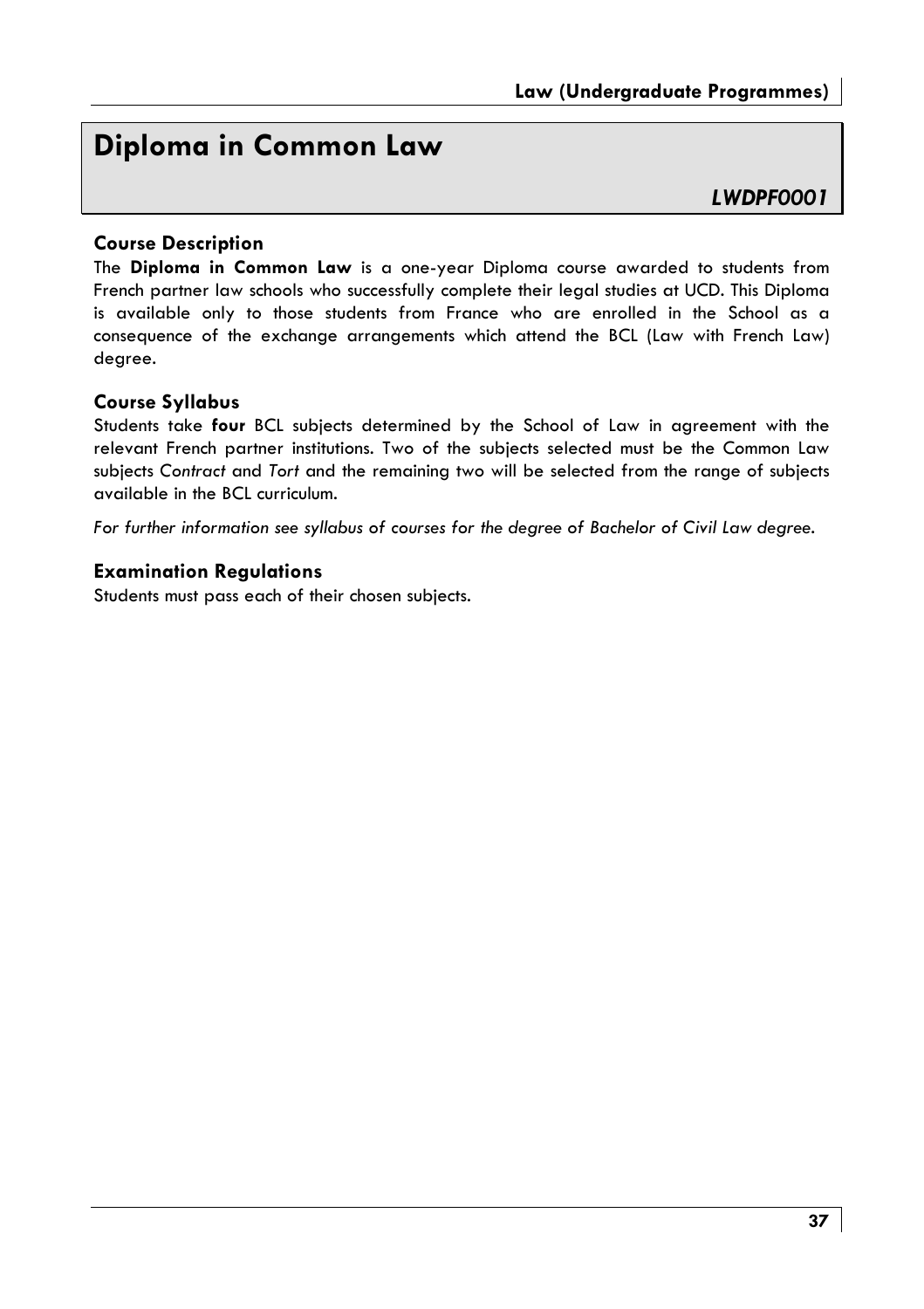# Diploma in Common Law

#### I WDPF0001

#### **Course Description**

The Diploma in Common Law is a one-year Diploma course awarded to students from French partner law schools who successfully complete their legal studies at UCD. This Diploma is available only to those students from France who are enrolled in the School as a consequence of the exchange arrangements which attend the BCL (Law with French Law) degree.

#### **Course Syllabus**

Students take four BCL subjects determined by the School of Law in agreement with the relevant French partner institutions. Two of the subjects selected must be the Common Law subjects Contract and Tort and the remaining two will be selected from the range of subjects available in the BCL curriculum.

For further information see syllabus of courses for the degree of Bachelor of Civil Law degree.

#### **Examination Regulations**

Students must pass each of their chosen subjects.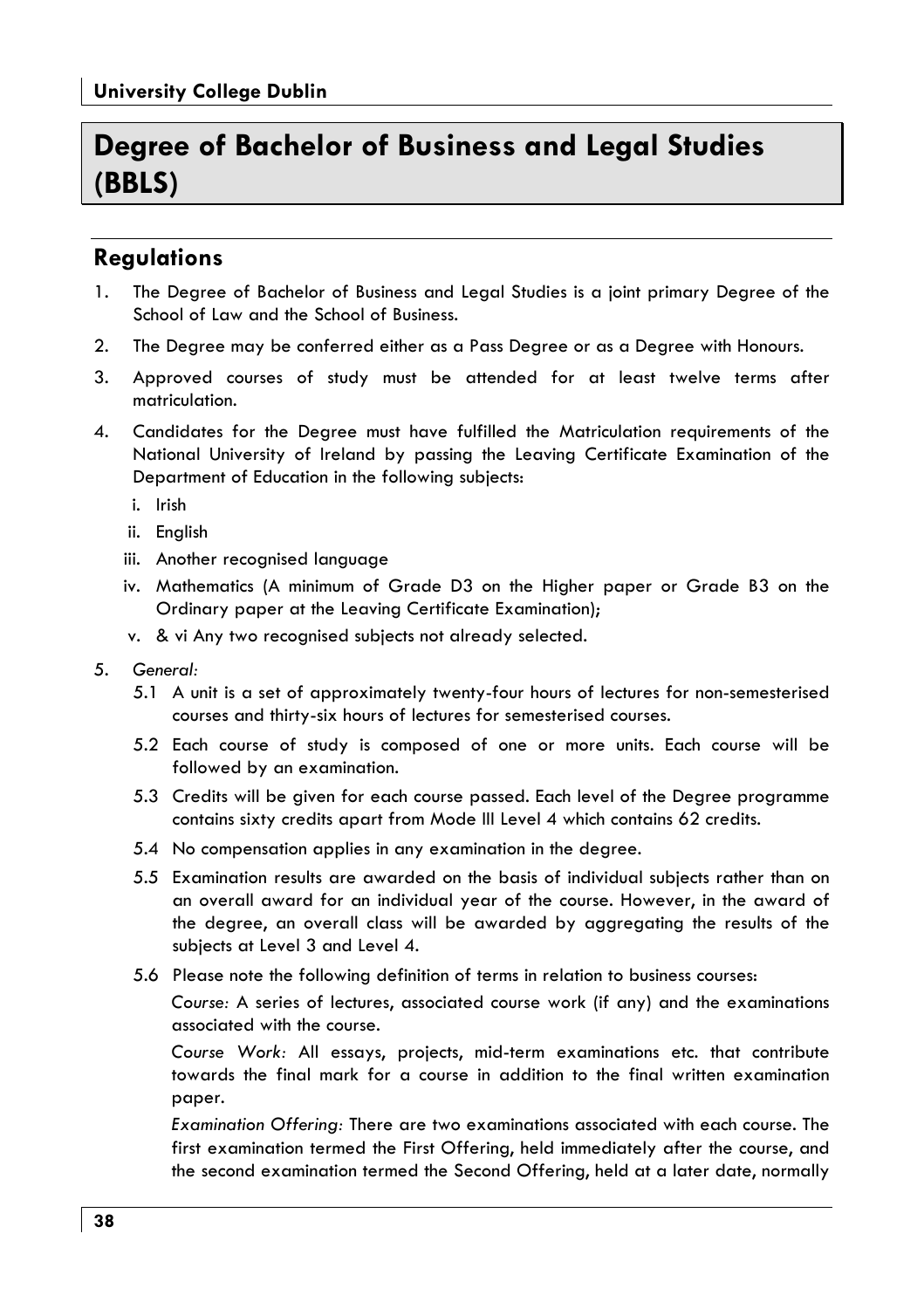# Degree of Bachelor of Business and Legal Studies (BBLS)

# **Requlations**

- $\mathbf{1}$ . The Degree of Bachelor of Business and Legal Studies is a joint primary Degree of the School of Law and the School of Business.
- The Degree may be conferred either as a Pass Degree or as a Degree with Honours.  $2.$
- 3. Approved courses of study must be attended for at least twelve terms after matriculation.
- $\mathbf{\Delta}$ Candidates for the Degree must have fulfilled the Matriculation requirements of the National University of Ireland by passing the Leaving Certificate Examination of the Department of Education in the following subjects:
	- i. Irish
	- ii. Enalish
	- iii. Another recognised language
	- iv. Mathematics (A minimum of Grade D3 on the Higher paper or Grade B3 on the Ordinary paper at the Leaving Certificate Examination);
	- v. & vi Any two recognised subjects not already selected.
- 5. General:
	- 5.1 A unit is a set of approximately twenty-four hours of lectures for non-semesterised courses and thirty-six hours of lectures for semesterised courses.
	- 5.2 Each course of study is composed of one or more units. Each course will be followed by an examination.
	- 5.3 Credits will be given for each course passed. Each level of the Degree programme contains sixty credits apart from Mode III Level 4 which contains 62 credits.
	- 5.4 No compensation applies in any examination in the degree.
	- 5.5 Examination results are awarded on the basis of individual subjects rather than on an overall award for an individual year of the course. However, in the award of the degree, an overall class will be awarded by aggregating the results of the subjects at Level 3 and Level 4.
	- 5.6 Please note the following definition of terms in relation to business courses:

Course: A series of lectures, associated course work (if any) and the examinations associated with the course.

Course Work: All essays, projects, mid-term examinations etc. that contribute towards the final mark for a course in addition to the final written examination paper.

Examination Offering: There are two examinations associated with each course. The first examination termed the First Offering, held immediately after the course, and the second examination termed the Second Offering, held at a later date, normally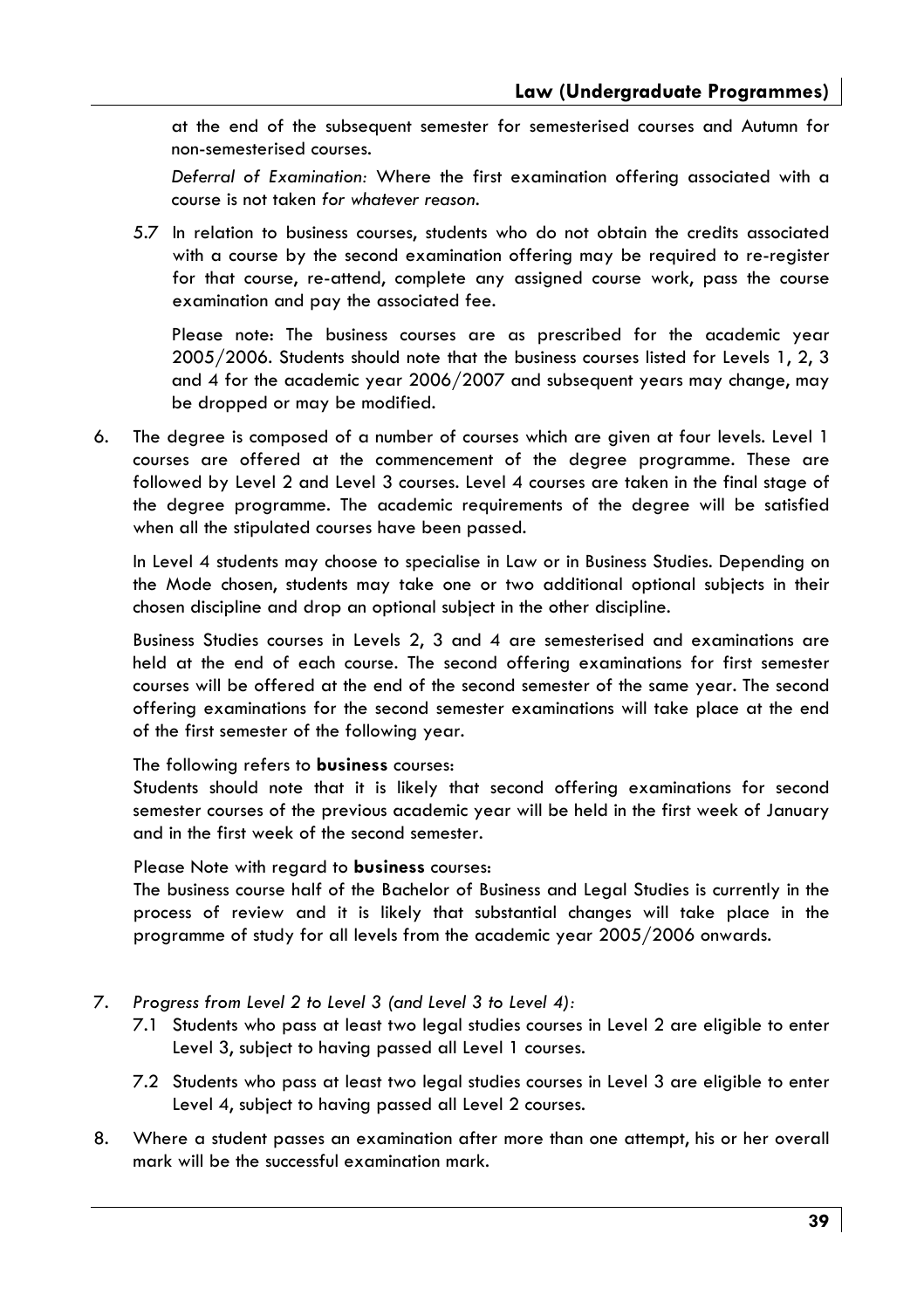at the end of the subsequent semester for semesterised courses and Autumn for non-semesterised courses.

Deferral of Examination: Where the first examination offering associated with a course is not taken for whatever reason.

5.7 In relation to business courses, students who do not obtain the credits associated with a course by the second examination offering may be required to re-register for that course, re-attend, complete any assigned course work, pass the course examination and pay the associated fee.

Please note: The business courses are as prescribed for the academic year 2005/2006. Students should note that the business courses listed for Levels 1, 2, 3 and 4 for the academic year 2006/2007 and subsequent years may change, may be dropped or may be modified.

The degree is composed of a number of courses which are given at four levels. Level 1 6. courses are offered at the commencement of the degree programme. These are followed by Level 2 and Level 3 courses. Level 4 courses are taken in the final stage of the degree programme. The academic requirements of the degree will be satisfied when all the stipulated courses have been passed.

In Level 4 students may choose to specialise in Law or in Business Studies. Depending on the Mode chosen, students may take one or two additional optional subjects in their chosen discipline and drop an optional subject in the other discipline.

Business Studies courses in Levels 2, 3 and 4 are semesterised and examinations are held at the end of each course. The second offering examinations for first semester courses will be offered at the end of the second semester of the same year. The second offering examinations for the second semester examinations will take place at the end of the first semester of the following year.

The following refers to **business** courses:

Students should note that it is likely that second offering examinations for second semester courses of the previous academic year will be held in the first week of January and in the first week of the second semester.

Please Note with regard to **business** courses:

The business course half of the Bachelor of Business and Legal Studies is currently in the process of review and it is likely that substantial changes will take place in the programme of study for all levels from the academic year 2005/2006 onwards.

- 7. Progress from Level 2 to Level 3 (and Level 3 to Level 4):
	- 7.1 Students who pass at least two legal studies courses in Level 2 are eligible to enter Level 3, subject to having passed all Level 1 courses.
	- 7.2 Students who pass at least two legal studies courses in Level 3 are eligible to enter Level 4, subject to having passed all Level 2 courses.
- 8. Where a student passes an examination after more than one attempt, his or her overall mark will be the successful examination mark.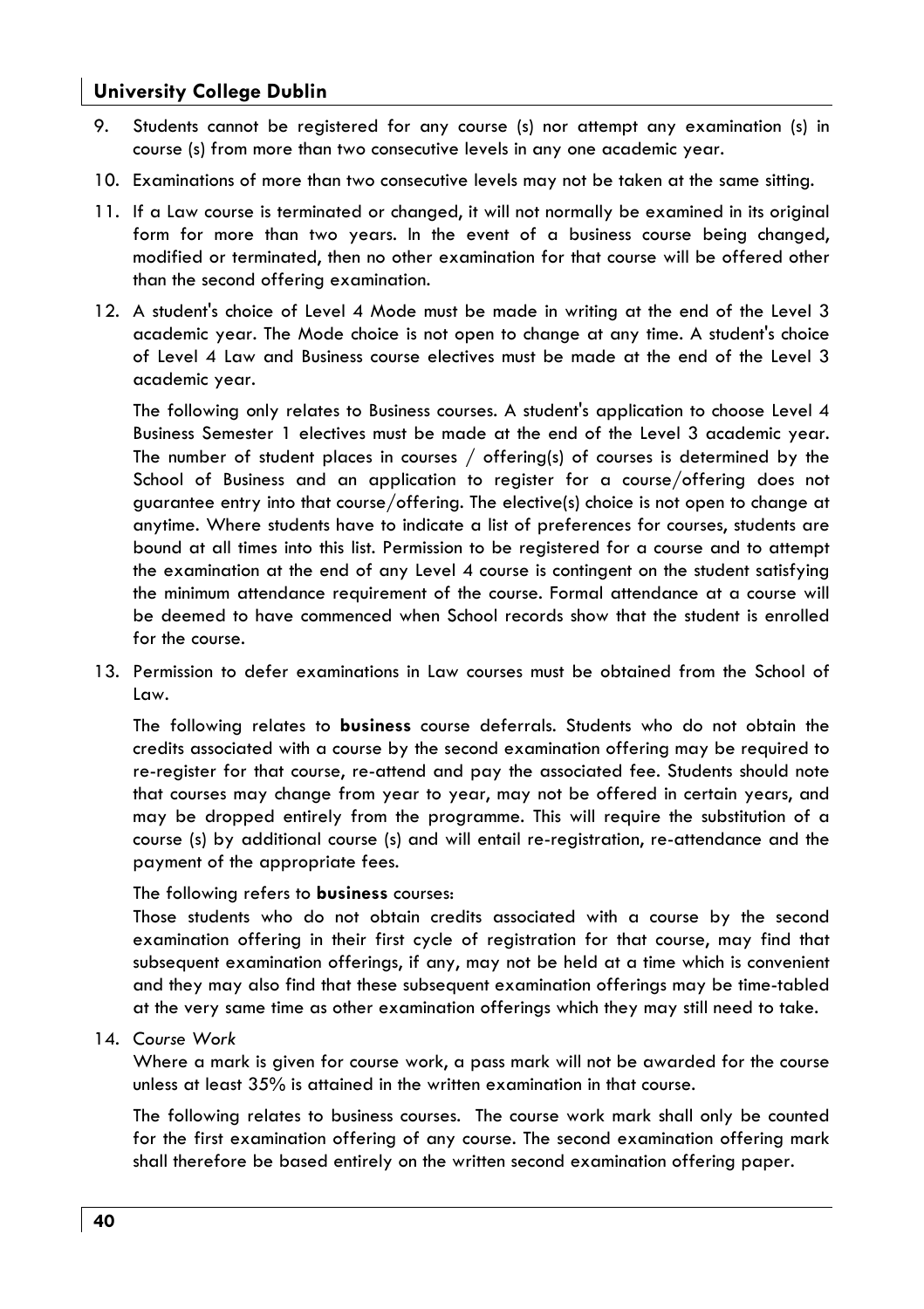- 9. Students cannot be reaistered for any course (s) nor attempt any examination (s) in course (s) from more than two consecutive levels in any one academic year.
- 10. Examinations of more than two consecutive levels may not be taken at the same sitting.
- 11. If a Law course is terminated or changed, it will not normally be examined in its original form for more than two years. In the event of a business course being changed, modified or terminated, then no other examination for that course will be offered other than the second offering examination.
- 12. A student's choice of Level 4 Mode must be made in writing at the end of the Level 3 academic year. The Mode choice is not open to change at any time. A student's choice of Level 4 Law and Business course electives must be made at the end of the Level 3 academic year.

The following only relates to Business courses. A student's application to choose Level 4 Business Semester 1 electives must be made at the end of the Level 3 academic year. The number of student places in courses / offering(s) of courses is determined by the School of Business and an application to register for a course/offering does not guarantee entry into that course/offering. The elective(s) choice is not open to change at anytime. Where students have to indicate a list of preferences for courses, students are bound at all times into this list. Permission to be registered for a course and to attempt the examination at the end of any Level 4 course is contingent on the student satisfying the minimum attendance requirement of the course. Formal attendance at a course will be deemed to have commenced when School records show that the student is enrolled for the course.

13. Permission to defer examinations in Law courses must be obtained from the School of l aw.

The following relates to **business** course deferrals. Students who do not obtain the credits associated with a course by the second examination offering may be required to re-register for that course, re-attend and pay the associated fee. Students should note that courses may change from year to year, may not be offered in certain years, and may be dropped entirely from the programme. This will require the substitution of a course (s) by additional course (s) and will entail re-registration, re-attendance and the payment of the appropriate fees.

#### The following refers to **business** courses:

Those students who do not obtain credits associated with a course by the second examination offering in their first cycle of registration for that course, may find that subsequent examination offerings, if any, may not be held at a time which is convenient and they may also find that these subsequent examination offerings may be time-tabled at the very same time as other examination offerings which they may still need to take.

#### 14. Course Work

Where a mark is given for course work, a pass mark will not be awarded for the course unless at least  $35\%$  is attained in the written examination in that course.

The following relates to business courses. The course work mark shall only be counted for the first examination offering of any course. The second examination offering mark shall therefore be based entirely on the written second examination offering paper.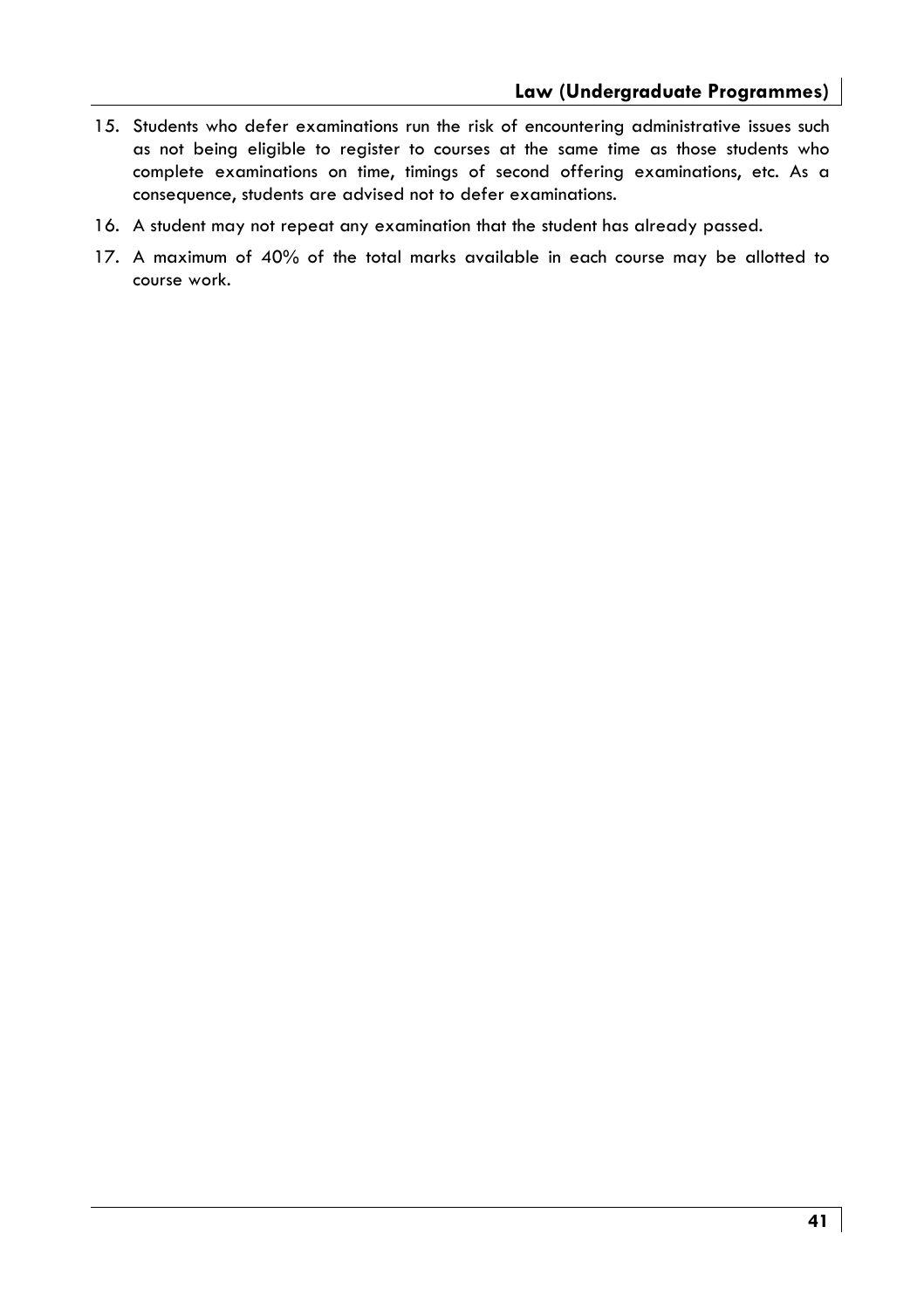- 15. Students who defer examinations run the risk of encountering administrative issues such as not being eligible to register to courses at the same time as those students who complete examinations on time, timings of second offering examinations, etc. As a consequence, students are advised not to defer examinations.
- 16. A student may not repeat any examination that the student has already passed.
- 17. A maximum of 40% of the total marks available in each course may be allotted to course work.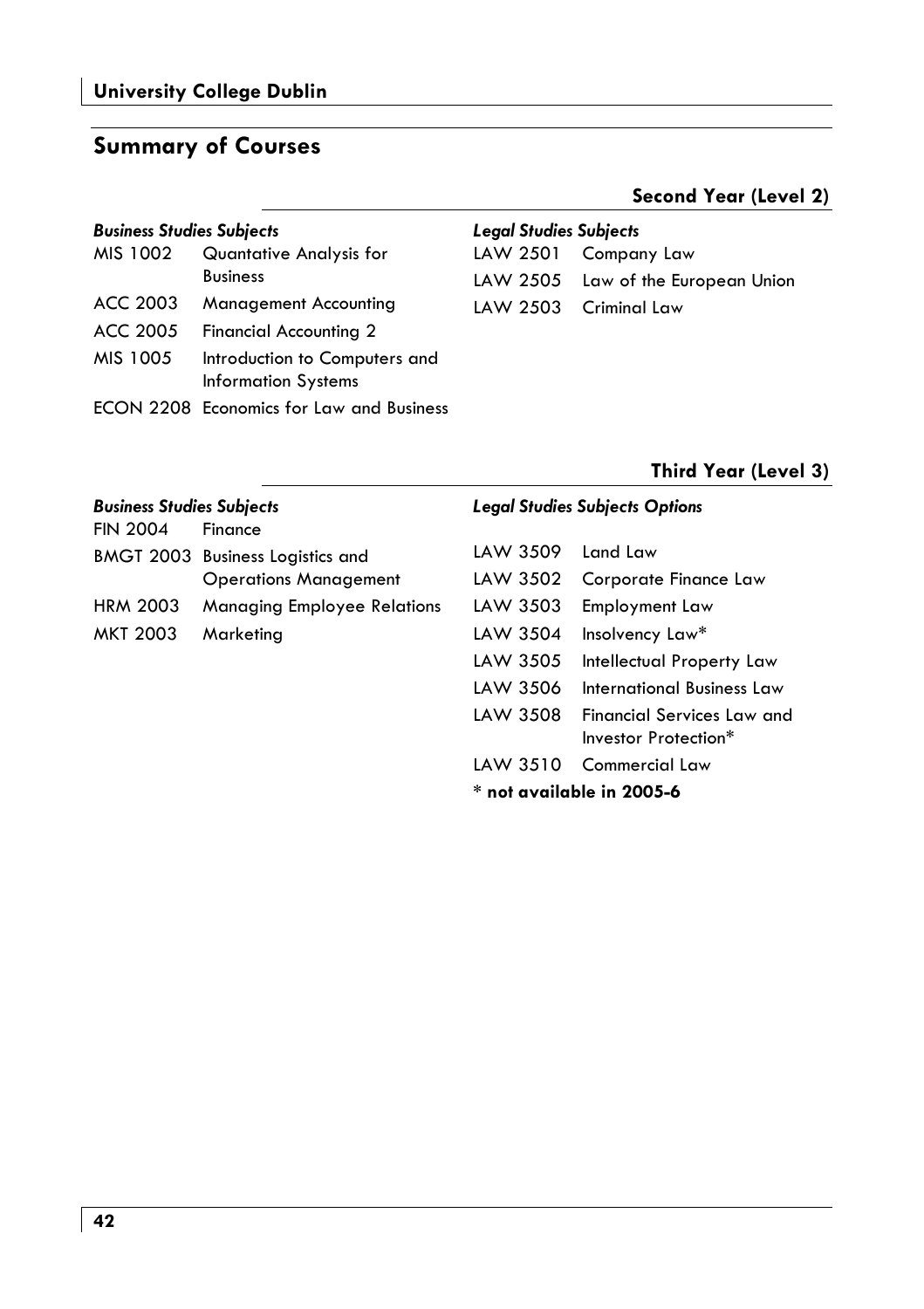## **Summary of Courses**

#### **Business Studies Subjects**

| MIS 1002 | Quantative Analysis for<br><b>Business</b>                  |
|----------|-------------------------------------------------------------|
| ACC 2003 | Management Accounting                                       |
| ACC 2005 | <b>Financial Accounting 2</b>                               |
| MIS 1005 | Introduction to Computers and<br><b>Information Systems</b> |
|          | <b>ECON 2208 Economics for Law and Business</b>             |

#### **Legal Studies Subjects**

| LAW 2501 Company Law               |
|------------------------------------|
| LAW 2505 Law of the European Union |
| LAW 2503 Criminal Law              |

#### Third Year (Level 3)

Second Year (Level 2)

| <b>Business Studies Subjects</b><br><b>FIN 2004</b> | Finance                                 |                             | <b>Legal Studies Subjects Options</b>                     |
|-----------------------------------------------------|-----------------------------------------|-----------------------------|-----------------------------------------------------------|
|                                                     | <b>BMGT 2003 Business Logistics and</b> | LAW 3509                    | l and Law                                                 |
|                                                     | <b>Operations Management</b>            | LAW 3502                    | Corporate Finance Law                                     |
| <b>HRM 2003</b>                                     | <b>Managing Employee Relations</b>      | LAW 3503                    | Employment Law                                            |
| MKT 2003                                            | Marketing                               | LAW 3504                    | Insolvency Law*                                           |
|                                                     |                                         | LAW 3505                    | Intellectual Property Law                                 |
|                                                     |                                         | LAW 3506                    | International Business Law                                |
|                                                     |                                         | LAW 3508                    | <b>Financial Services Law and</b><br>Investor Protection* |
|                                                     |                                         | LAW 3510                    | Commercial Law                                            |
|                                                     |                                         | $*$ not available in 2005-6 |                                                           |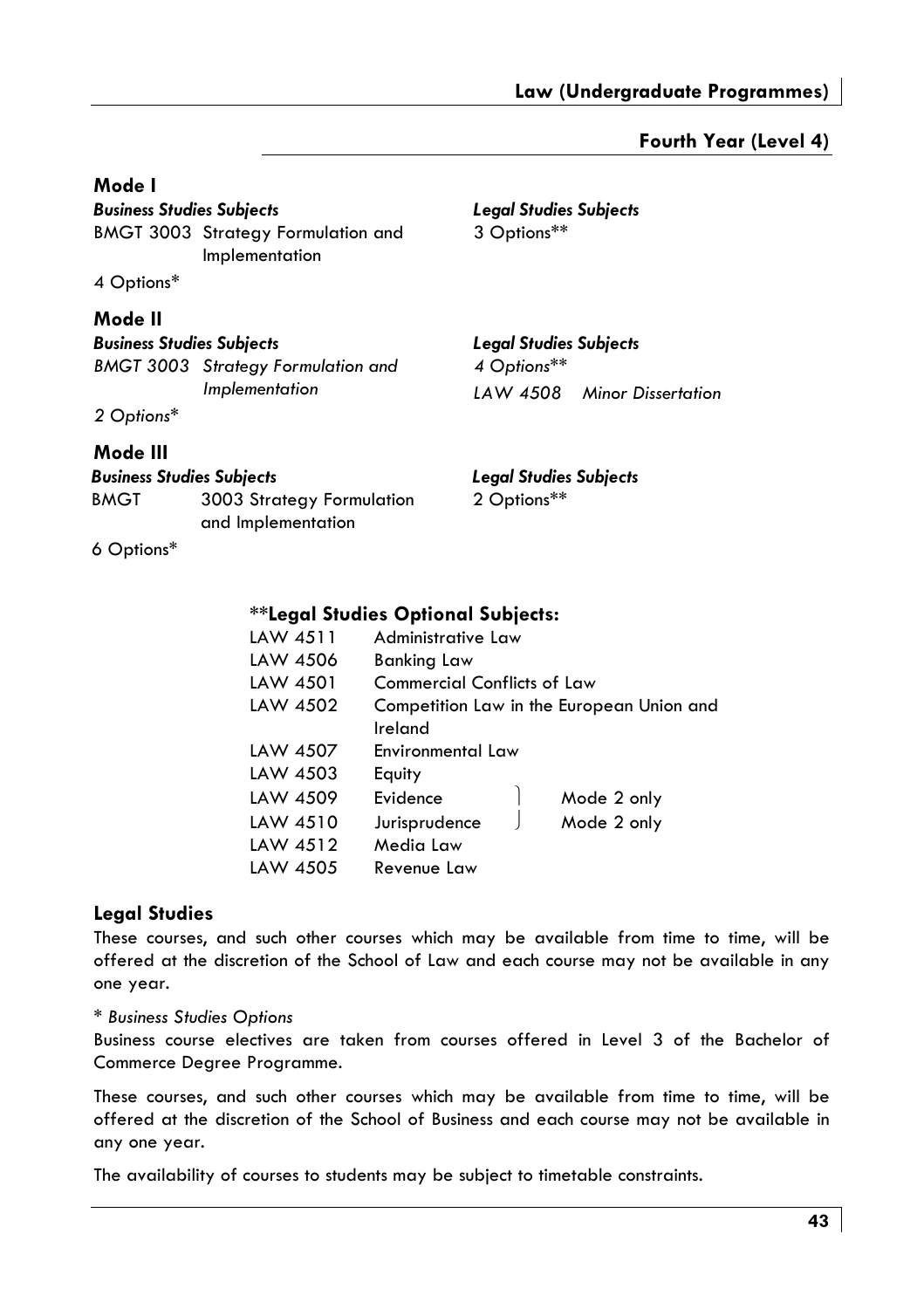**Legal Studies Subjects** 

**Legal Studies Subjects** 

3 Options\*\*

#### Fourth Year (Level 4)

#### Mode I

**Business Studies Subjects BMGT 3003 Strategy Formulation and** Implementation

4 Options\*

#### Mode II

**Business Studies Subjects BMGT 3003** Strateay Formulation and

#### M

|                                  | <b>BMGT 3003</b> Strategy Formulation and       | 4 Options**                   |                    |
|----------------------------------|-------------------------------------------------|-------------------------------|--------------------|
|                                  | Implementation                                  | LAW 4508                      | Minor Dissertation |
| 2 Options*                       |                                                 |                               |                    |
| Mode III                         |                                                 |                               |                    |
| <b>Business Studies Subjects</b> |                                                 | <b>Legal Studies Subjects</b> |                    |
| <b>BMGT</b>                      | 3003 Strategy Formulation<br>and Implementation | 2 Options**                   |                    |

6 Options\*

#### **\*\*Legal Studies Optional Subjects:**

| LAW 4511 | Administrative Law                 |                                           |
|----------|------------------------------------|-------------------------------------------|
|          |                                    |                                           |
| LAW 4506 | <b>Banking Law</b>                 |                                           |
| LAW 4501 | <b>Commercial Conflicts of Law</b> |                                           |
| LAW 4502 |                                    | Competition Law in the European Union and |
|          | Ireland                            |                                           |
| LAW 4507 | Environmental Law                  |                                           |
| LAW 4503 | Equity                             |                                           |
| LAW 4509 | Evidence                           | Mode 2 only                               |
| LAW 4510 | Jurisprudence                      | Mode 2 only                               |
| LAW 4512 | Media Law                          |                                           |
| LAW 4505 | Revenue Law                        |                                           |

#### **Legal Studies**

These courses, and such other courses which may be available from time to time, will be offered at the discretion of the School of Law and each course may not be available in any one year.

#### \* Business Studies Options

Business course electives are taken from courses offered in Level 3 of the Bachelor of Commerce Degree Programme.

These courses, and such other courses which may be available from time to time, will be offered at the discretion of the School of Business and each course may not be available in any one year.

The availability of courses to students may be subject to timetable constraints.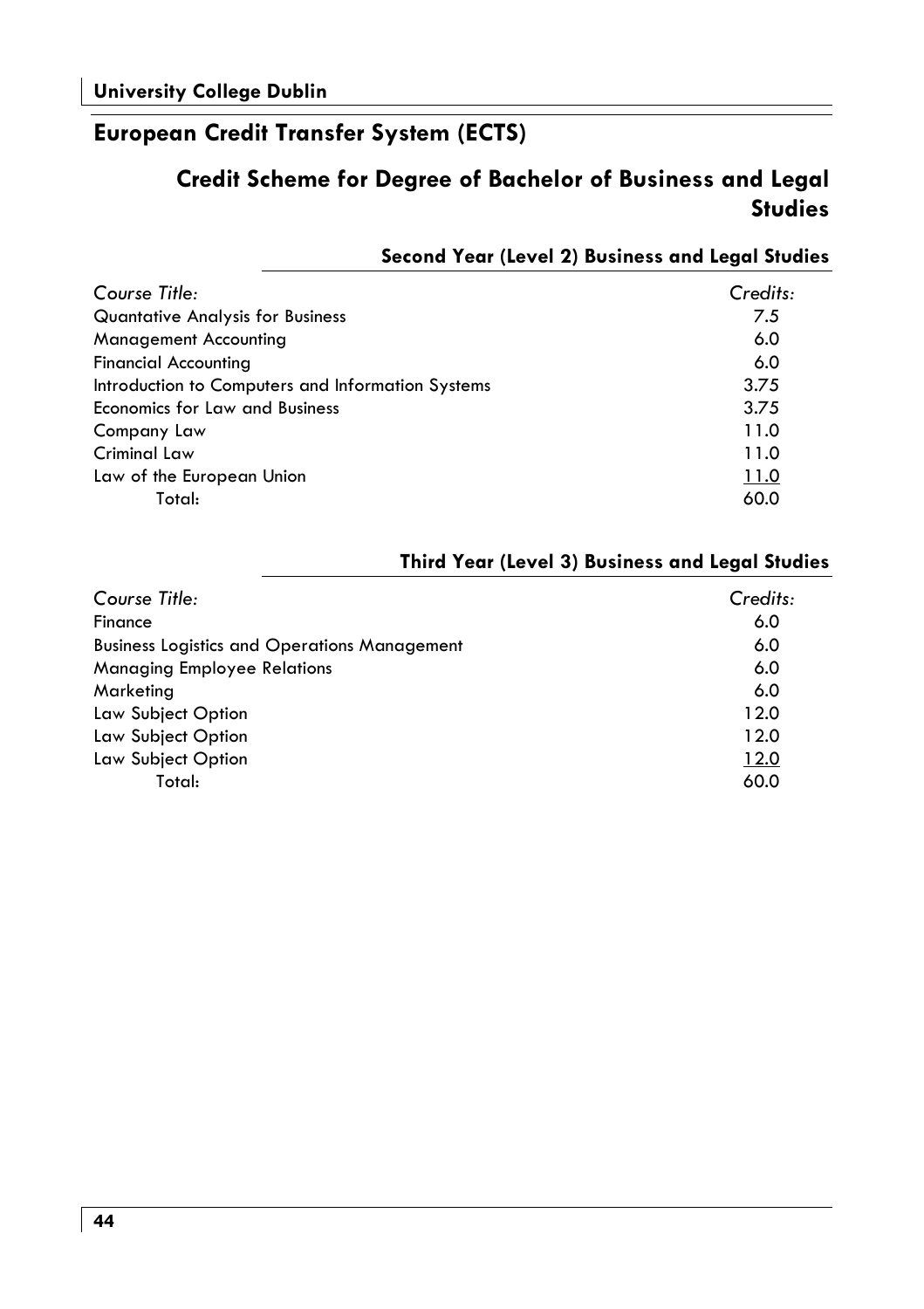# European Credit Transfer System (ECTS)

# Credit Scheme for Degree of Bachelor of Business and Legal **Studies**

### Second Year (Level 2) Business and Legal Studies

| Course Title:                                     | Credits: |
|---------------------------------------------------|----------|
| <b>Quantative Analysis for Business</b>           | 7.5      |
| Management Accounting                             | 6.0      |
| <b>Financial Accounting</b>                       | 6.0      |
| Introduction to Computers and Information Systems | 3.75     |
| <b>Economics for Law and Business</b>             | 3.75     |
| Company Law                                       | 11.0     |
| <b>Criminal Law</b>                               | 11.0     |
| Law of the European Union                         | 11.0     |
| Total:                                            | 60.0     |

#### Third Year (Level 3) Business and Legal Studies

| Course Title:                                       | Credits: |
|-----------------------------------------------------|----------|
| Finance                                             | 6.0      |
| <b>Business Logistics and Operations Management</b> | 6.0      |
| <b>Managing Employee Relations</b>                  | 6.0      |
| Marketing                                           | 6.0      |
| Law Subject Option                                  | 12.0     |
| Law Subject Option                                  | 12.0     |
| Law Subject Option                                  | 12.0     |
| Total:                                              | 60.0     |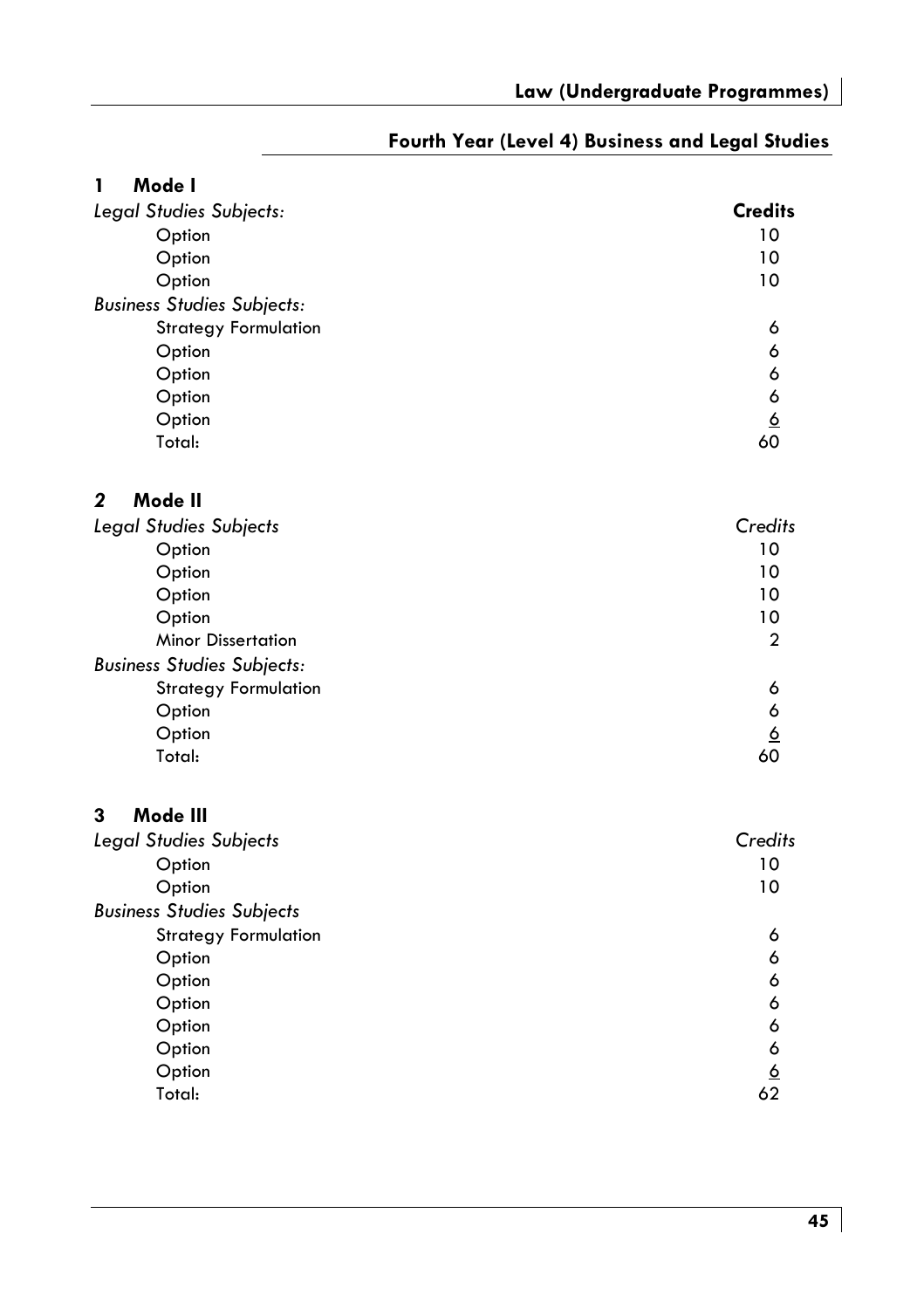| Mode I<br>1                       |                 |
|-----------------------------------|-----------------|
| Legal Studies Subjects:           | <b>Credits</b>  |
| Option                            | 10              |
| Option                            | 10              |
| Option                            | 10              |
| <b>Business Studies Subjects:</b> |                 |
| <b>Strategy Formulation</b>       | 6               |
| Option                            | 6               |
| Option                            | 6               |
| Option                            | 6               |
| Option                            | $\underline{6}$ |
| Total:                            | 60              |
| Mode II<br>$\mathbf{2}$           |                 |
| <b>Legal Studies Subjects</b>     | Credits         |
| Option                            | 10              |
| Option                            | 10              |
| Option                            | 10              |
| Option                            | 10              |
| <b>Minor Dissertation</b>         | $\mathbf{c}$    |
| <b>Business Studies Subjects:</b> |                 |
| <b>Strategy Formulation</b>       | 6               |
| Option                            | 6               |
| Option                            | <u>6</u>        |
| Total:                            | 60              |
| 3<br>Mode III                     |                 |
| Legal Studies Subjects            | Credits         |
| Option                            | 10              |
| Option                            | 10              |
| <b>Business Studies Subjects</b>  |                 |
| <b>Strategy Formulation</b>       | 6               |
| Option                            | 6               |
| Option                            | 6               |
| Option                            | 6               |
| Option                            | 6<br>6          |
| Option<br>Option                  |                 |
| Total:                            | <u>6</u><br>62  |
|                                   |                 |

#### Fourth Year (Level 4) Business and Legal Studies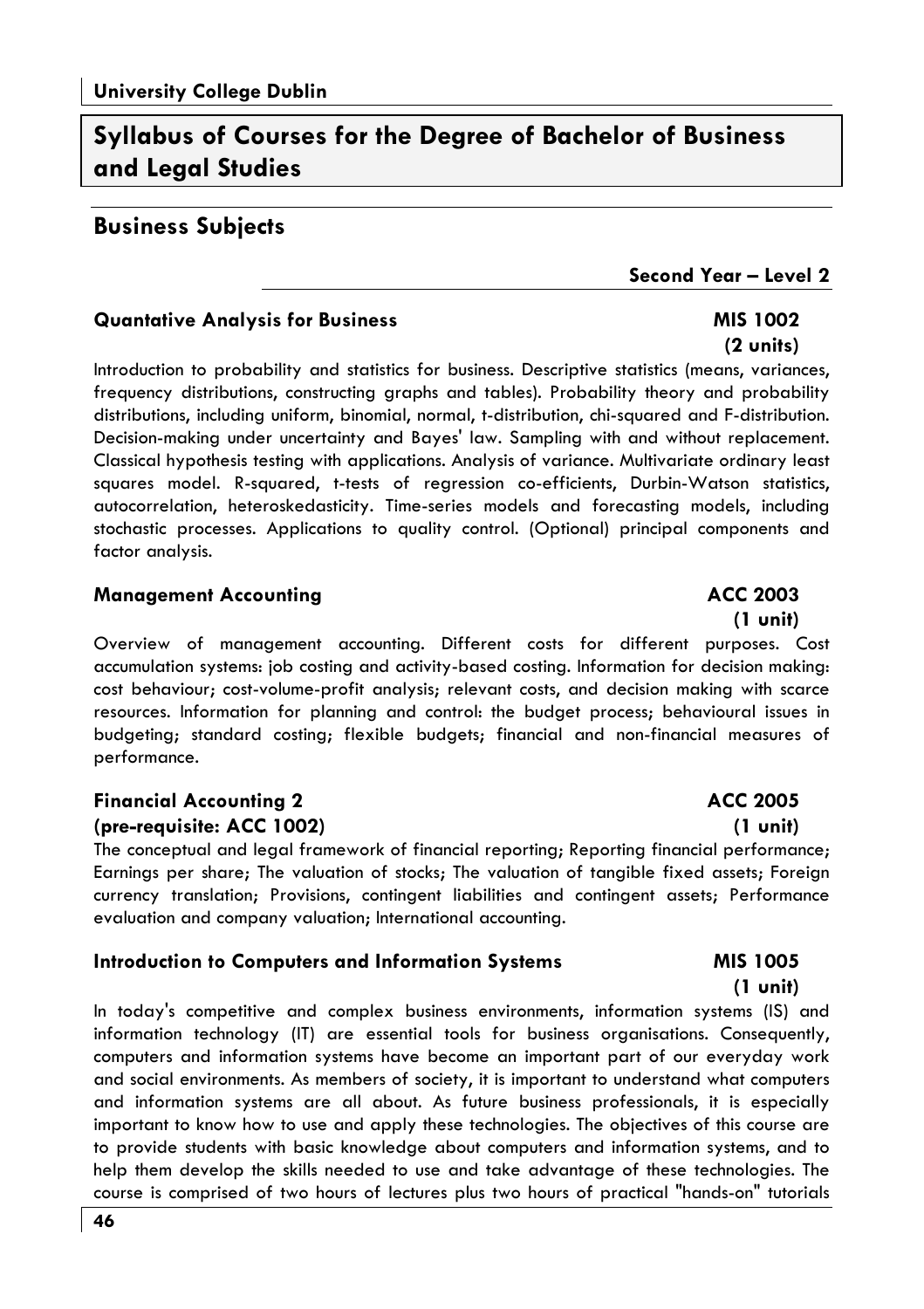# Syllabus of Courses for the Dearee of Bachelor of Business and Leaal Studies

#### **Business Subjects**

#### Second Year - Level 2

**MIS 1002** 

#### **Quantative Analysis for Business**

 $(2 \text{ units})$ Introduction to probability and statistics for business. Descriptive statistics (means, variances, frequency distributions, constructing graphs and tables). Probability theory and probability distributions, including uniform, binomial, normal, t-distribution, chi-squared and F-distribution. Decision-making under uncertainty and Bayes' law. Sampling with and without replacement. Classical hypothesis testing with applications. Analysis of variance. Multivariate ordinary least squares model. R-squared, t-tests of regression co-efficients, Durbin-Watson statistics, autocorrelation, heteroskedasticity. Time-series models and forecasting models, including stochastic processes. Applications to quality control. (Optional) principal components and factor analysis.

#### **Management Accounting**

Overview of management accounting. Different costs for different purposes. Cost accumulation systems: job costing and activity-based costing. Information for decision making: cost behaviour; cost-volume-profit analysis; relevant costs, and decision making with scarce resources. Information for planning and control: the budget process; behavioural issues in budgeting; standard costing; flexible budgets; financial and non-financial measures of performance.

#### **Financial Accounting 2** (pre-requisite: ACC 1002)

The conceptual and legal framework of financial reporting; Reporting financial performance; Earnings per share; The valuation of stocks; The valuation of tangible fixed assets; Foreign currency translation; Provisions, contingent liabilities and contingent assets; Performance evaluation and company valuation; International accounting.

#### **Introduction to Computers and Information Systems**

In today's competitive and complex business environments, information systems (IS) and information technology (IT) are essential tools for business organisations. Consequently, computers and information systems have become an important part of our everyday work and social environments. As members of society, it is important to understand what computers and information systems are all about. As future business professionals, it is especially important to know how to use and apply these technologies. The objectives of this course are to provide students with basic knowledge about computers and information systems, and to help them develop the skills needed to use and take advantage of these technologies. The course is comprised of two hours of lectures plus two hours of practical "hands-on" tutorials

#### **ACC 2003**  $(1 \text{ unit})$

**ACC 2005** 

 $(1 \text{ unit})$ 

#### **MIS 1005**  $(1 \text{ unit})$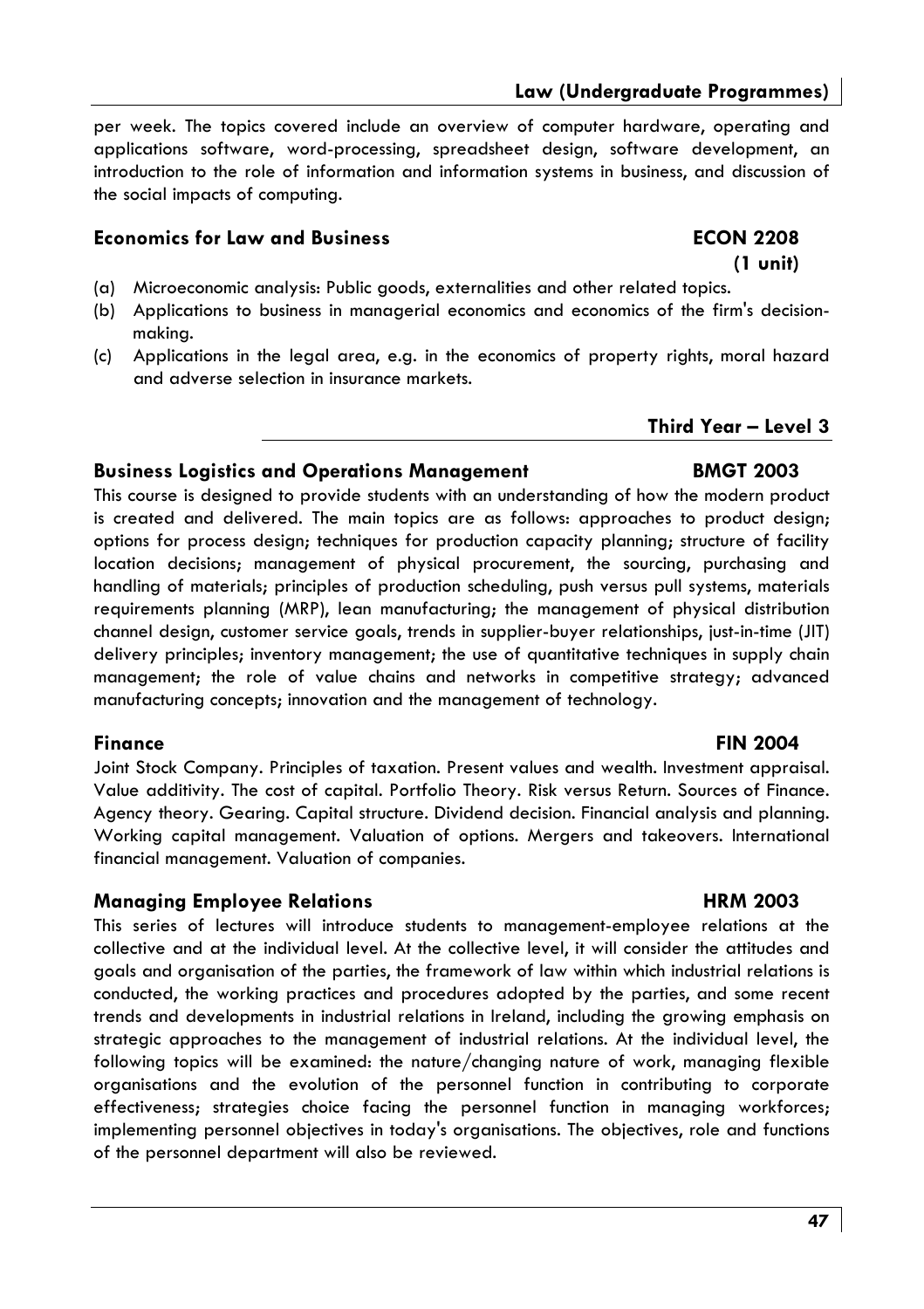#### Law (Underaraduate Proarammes)

per week. The topics covered include an overview of computer hardware, operating and applications software, word-processing, spreadsheet design, software development, an introduction to the role of information and information systems in business, and discussion of the social impacts of computing.

#### **Economics for Law and Business**

### $(1 \text{ unit})$

- (a) Microeconomic analysis: Public goods, externalities and other related topics.
- (b) Applications to business in managerial economics and economics of the firm's decisionmakina.
- (c) Applications in the legal area, e.g. in the economics of property rights, moral hazard and adverse selection in insurance markets.

### Third Year - Level 3

#### **Business Logistics and Operations Management**

This course is designed to provide students with an understanding of how the modern product is created and delivered. The main topics are as follows: approaches to product design; options for process design; techniques for production capacity planning; structure of facility location decisions; management of physical procurement, the sourcing, purchasing and handling of materials; principles of production scheduling, push versus pull systems, materials requirements planning (MRP), lean manufacturing; the management of physical distribution channel desian, customer service goals, trends in supplier-buyer relationships, just-in-time (JIT) delivery principles; inventory management; the use of quantitative techniques in supply chain management; the role of value chains and networks in competitive strategy; advanced manufacturing concepts; innovation and the management of technology.

#### **Finance**

Joint Stock Company. Principles of taxation. Present values and wealth. Investment appraisal. Value additivity. The cost of capital. Portfolio Theory. Risk versus Return. Sources of Finance. Agency theory. Gearing. Capital structure. Dividend decision. Financial analysis and planning. Working capital management. Valuation of options. Mergers and takeovers. International financial management. Valuation of companies.

#### **Managing Employee Relations**

This series of lectures will introduce students to management-employee relations at the collective and at the individual level. At the collective level, it will consider the attitudes and goals and organisation of the parties, the framework of law within which industrial relations is conducted, the working practices and procedures adopted by the parties, and some recent trends and developments in industrial relations in Ireland, including the growing emphasis on strategic approaches to the management of industrial relations. At the individual level, the following topics will be examined: the nature/changing nature of work, managing flexible organisations and the evolution of the personnel function in contributing to corporate effectiveness; strategies choice facing the personnel function in managing workforces; implementing personnel objectives in today's organisations. The objectives, role and functions of the personnel department will also be reviewed.

#### **FIN 2004**

#### **HRM 2003**

#### **BMGT 2003**

**ECON 2208**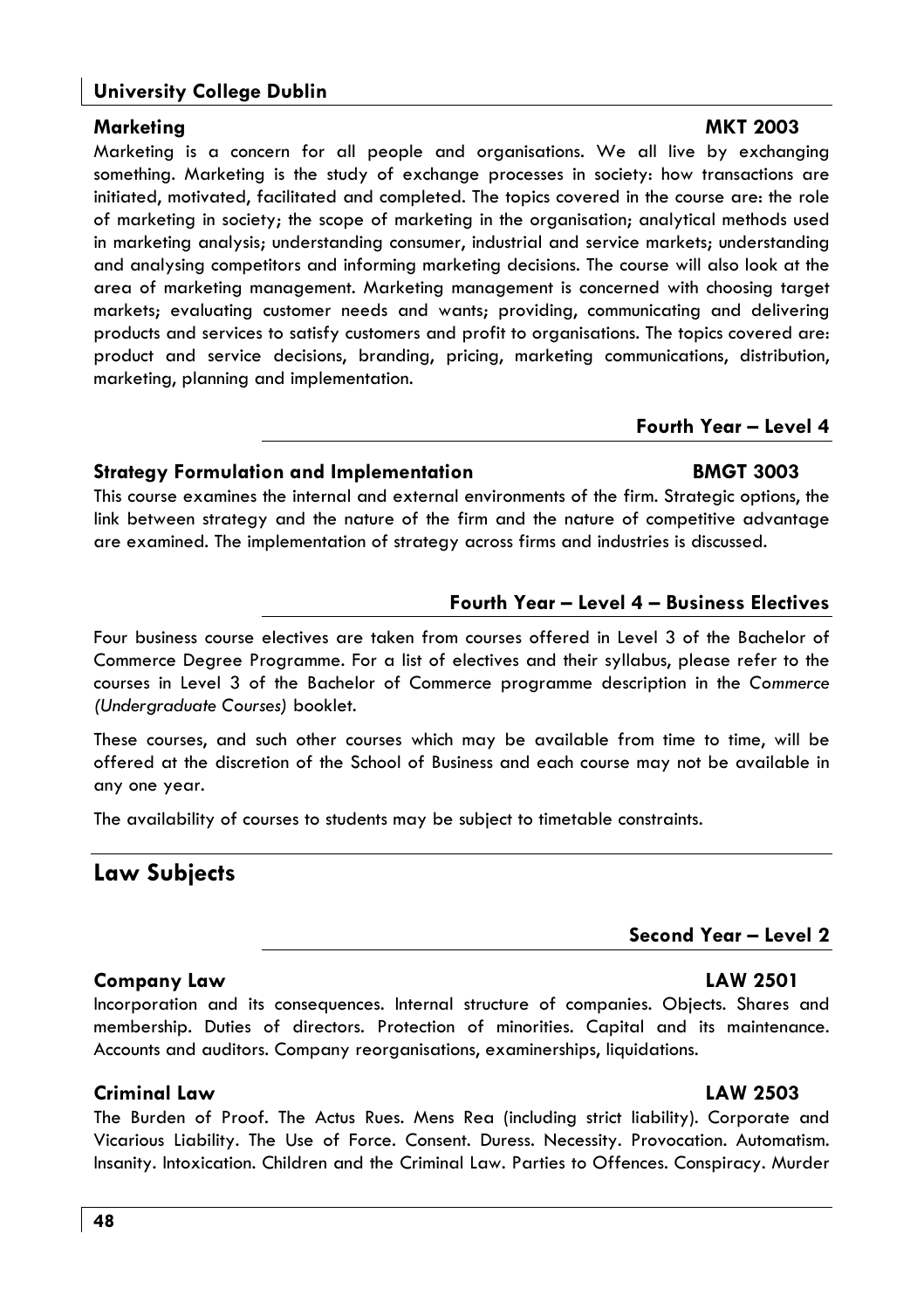#### **University College Dublin**

#### Marketina

Marketing is a concern for all people and organisations. We all live by exchanging something. Marketing is the study of exchange processes in society: how transactions are initiated, motivated, facilitated and completed. The topics covered in the course are: the role of marketing in society; the scope of marketing in the organisation; analytical methods used in marketing analysis; understanding consumer, industrial and service markets; understanding and analysing competitors and informing marketing decisions. The course will also look at the area of marketing management. Marketing management is concerned with choosing target markets; evaluating customer needs and wants; providing, communicating and delivering products and services to satisfy customers and profit to organisations. The topics covered are: product and service decisions, brandina, pricina, marketina communications, distribution, marketing, planning and implementation.

#### Fourth Year - Level 4

**BMGT 3003** 

#### **Strategy Formulation and Implementation**

This course examines the internal and external environments of the firm. Strategic options, the link between strategy and the nature of the firm and the nature of competitive advantage are examined. The implementation of strategy across firms and industries is discussed.

#### **Fourth Year - Level 4 - Business Electives**

Four business course electives are taken from courses offered in Level 3 of the Bachelor of Commerce Degree Programme. For a list of electives and their syllabus, please refer to the courses in Level 3 of the Bachelor of Commerce programme description in the Commerce (Undergraduate Courses) booklet.

These courses, and such other courses which may be available from time to time, will be offered at the discretion of the School of Business and each course may not be available in any one year.

The availability of courses to students may be subject to timetable constraints.

#### **Law Subjects**

#### Second Year - Level 2

#### Company Law

Incorporation and its consequences. Internal structure of companies. Objects. Shares and membership. Duties of directors. Protection of minorities. Capital and its maintenance. Accounts and auditors. Company reorganisations, examinerships, liquidations.

#### Criminal Law

The Burden of Proof. The Actus Rues. Mens Rea (including strict liability). Corporate and Vicarious Liability. The Use of Force. Consent. Duress. Necessity. Provocation. Automatism. Insanity. Intoxication. Children and the Criminal Law. Parties to Offences. Conspiracy. Murder

#### LAW 2503

#### **MKT 2003**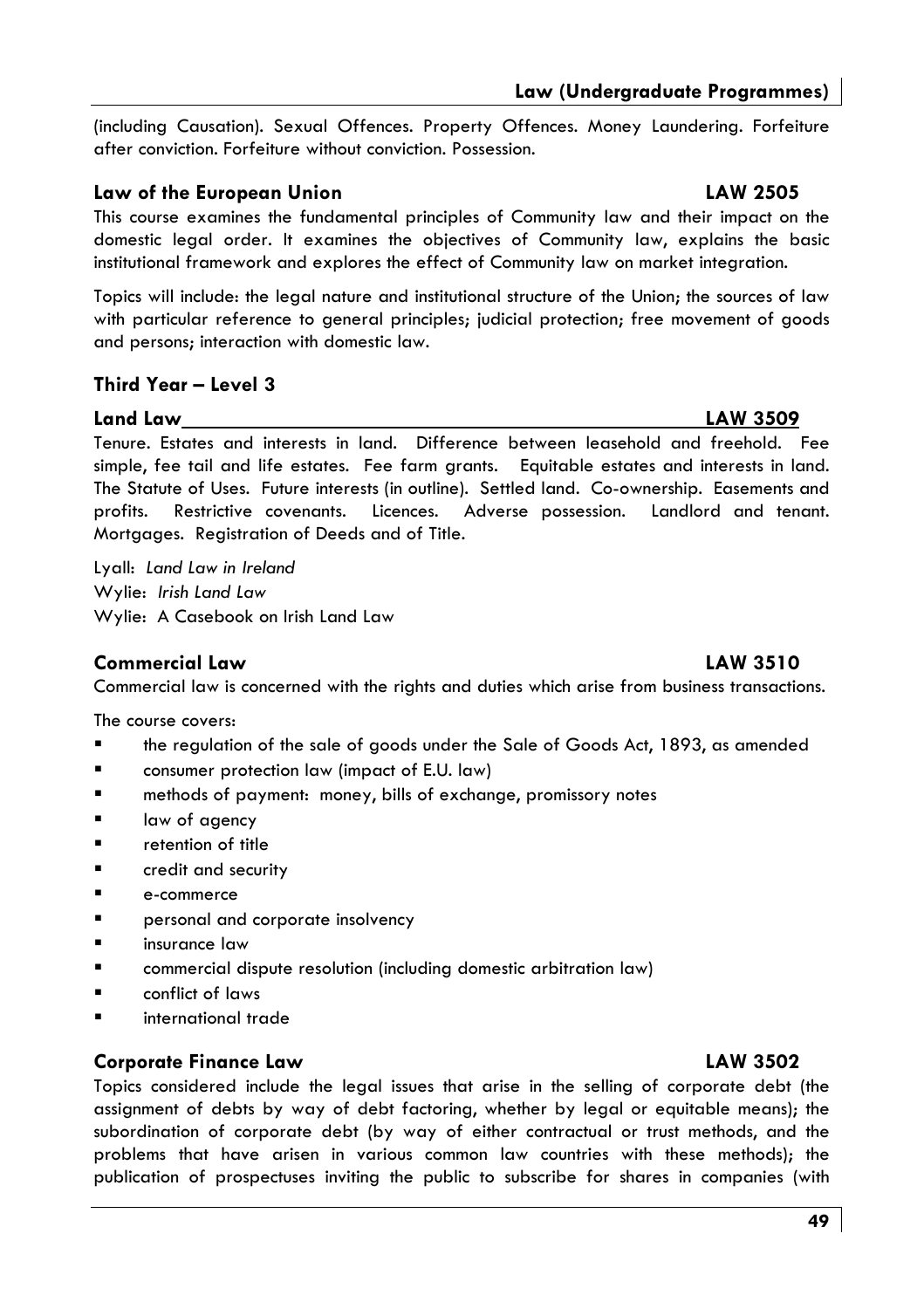(including Causation), Sexual Offences, Property Offences, Money Laundering, Forfeiture after conviction. Forfeiture without conviction. Possession.

#### Law of the European Union

This course examines the fundamental principles of Community law and their impact on the domestic legal order. It examines the objectives of Community law, explains the basic institutional framework and explores the effect of Community law on market integration.

Topics will include: the legal nature and institutional structure of the Union: the sources of law with particular reference to general principles; judicial protection; free movement of goods and persons; interaction with domestic law.

#### Third Year - Level 3

#### Land Law

Tenure. Estates and interests in land. Difference between leasehold and freehold. Fee simple, fee tail and life estates. Fee farm grants. Equitable estates and interests in land. The Statute of Uses. Future interests (in outline). Settled land. Co-ownership. Easements and profits. Restrictive covenants. Licences. Adverse possession. Landlord and tenant. Mortgages. Registration of Deeds and of Title.

Lyall: Land Law in Ireland Wylie: Irish Land Law Wylie: A Casebook on Irish Land Law

#### **Commercial Law**

Commercial law is concerned with the rights and duties which arise from business transactions.

The course covers:

- $\blacksquare$ the regulation of the sale of goods under the Sale of Goods Act, 1893, as amended
- consumer protection law (impact of E.U. law)
- methods of payment: money, bills of exchange, promissory notes
- law of agency  $\blacksquare$
- retention of title  $\blacksquare$
- credit and security  $\blacksquare$
- $\blacksquare$ e-commerce
- $\blacksquare$ personal and corporate insolvency
- insurance law
- $\blacksquare$ commercial dispute resolution (including domestic arbitration law)
- $\blacksquare$ conflict of laws
- international trade

#### **Corporate Finance Law**

Topics considered include the legal issues that arise in the selling of corporate debt (the assignment of debts by way of debt factoring, whether by legal or equitable means); the subordination of corporate debt (by way of either contractual or trust methods, and the problems that have arisen in various common law countries with these methods); the publication of prospectuses inviting the public to subscribe for shares in companies (with

# **LAW 2505**

**LAW 3509** 

#### **LAW 3510**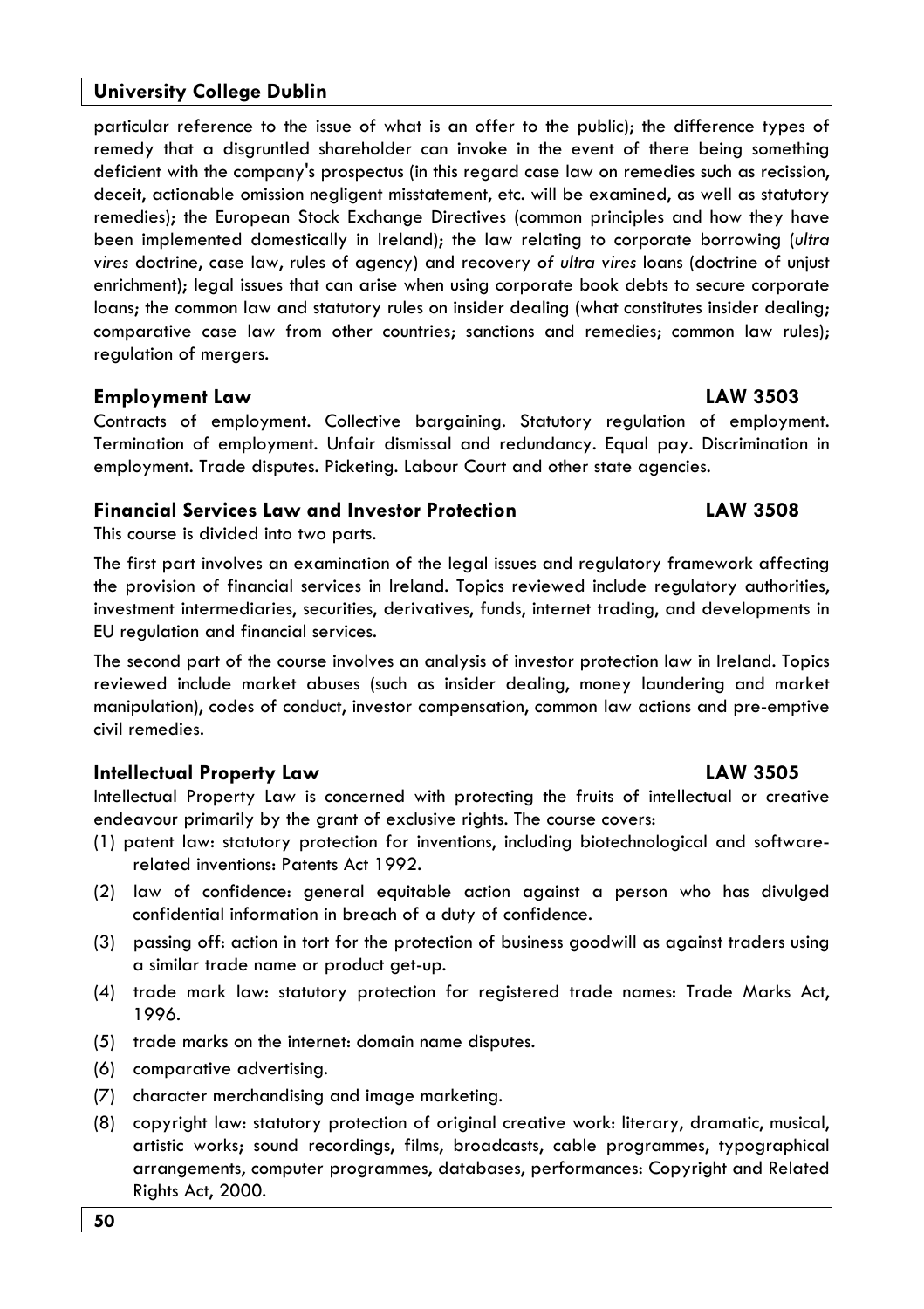#### **University College Dublin**

particular reference to the issue of what is an offer to the public): the difference types of remedy that a disgruntled shareholder can invoke in the event of there being something deficient with the company's prospectus (in this regard case law on remedies such as recission, deceit, actionable omission negligent misstatement, etc. will be examined, as well as statutory remedies): the European Stock Exchange Directives (common principles and how they have been implemented domestically in Ireland); the law relating to corporate borrowing (ultra vires doctrine, case law, rules of agency) and recovery of ultra vires loans (doctrine of unjust enrichment); legal issues that can arise when using corporate book debts to secure corporate loans: the common law and statutory rules on insider dealing (what constitutes insider dealing: comparative case law from other countries; sanctions and remedies; common law rules); regulation of mergers.

#### **Employment Law**

Contracts of employment. Collective bargaining. Statutory regulation of employment. Termination of employment. Unfair dismissal and redundancy. Equal pay. Discrimination in employment. Trade disputes. Picketing. Labour Court and other state agencies.

#### **Financial Services Law and Investor Protection**

#### This course is divided into two parts.

The first part involves an examination of the legal issues and regulatory framework affecting the provision of financial services in Ireland. Topics reviewed include requlatory authorities, investment intermediaries, securities, derivatives, funds, internet trading, and developments in EU regulation and financial services.

The second part of the course involves an analysis of investor protection law in Ireland. Topics reviewed include market abuses (such as insider dealing, money laundering and market manipulation), codes of conduct, investor compensation, common law actions and pre-emptive civil remedies.

#### **Intellectual Property Law**

Intellectual Property Law is concerned with protecting the fruits of intellectual or creative endeavour primarily by the grant of exclusive rights. The course covers:

- (1) patent law: statutory protection for inventions, including biotechnological and softwarerelated inventions: Patents Act 1992.
- (2) law of confidence: general equitable action against a person who has divulged confidential information in breach of a duty of confidence.
- (3) passing off: action in tort for the protection of business goodwill as against traders using a similar trade name or product get-up.
- (4) trade mark law: statutory protection for registered trade names: Trade Marks Act, 1996.
- (5) trade marks on the internet: domain name disputes.
- (6) comparative advertising.
- (7) character merchandising and image marketing.
- (8) copyright law: statutory protection of original creative work: literary, dramatic, musical, artistic works; sound recordings, films, broadcasts, cable programmes, typographical arrangements, computer programmes, databases, performances: Copyright and Related Rights Act, 2000.

#### LAW 3503

**LAW 3508** 

**LAW 3505** 

#### 50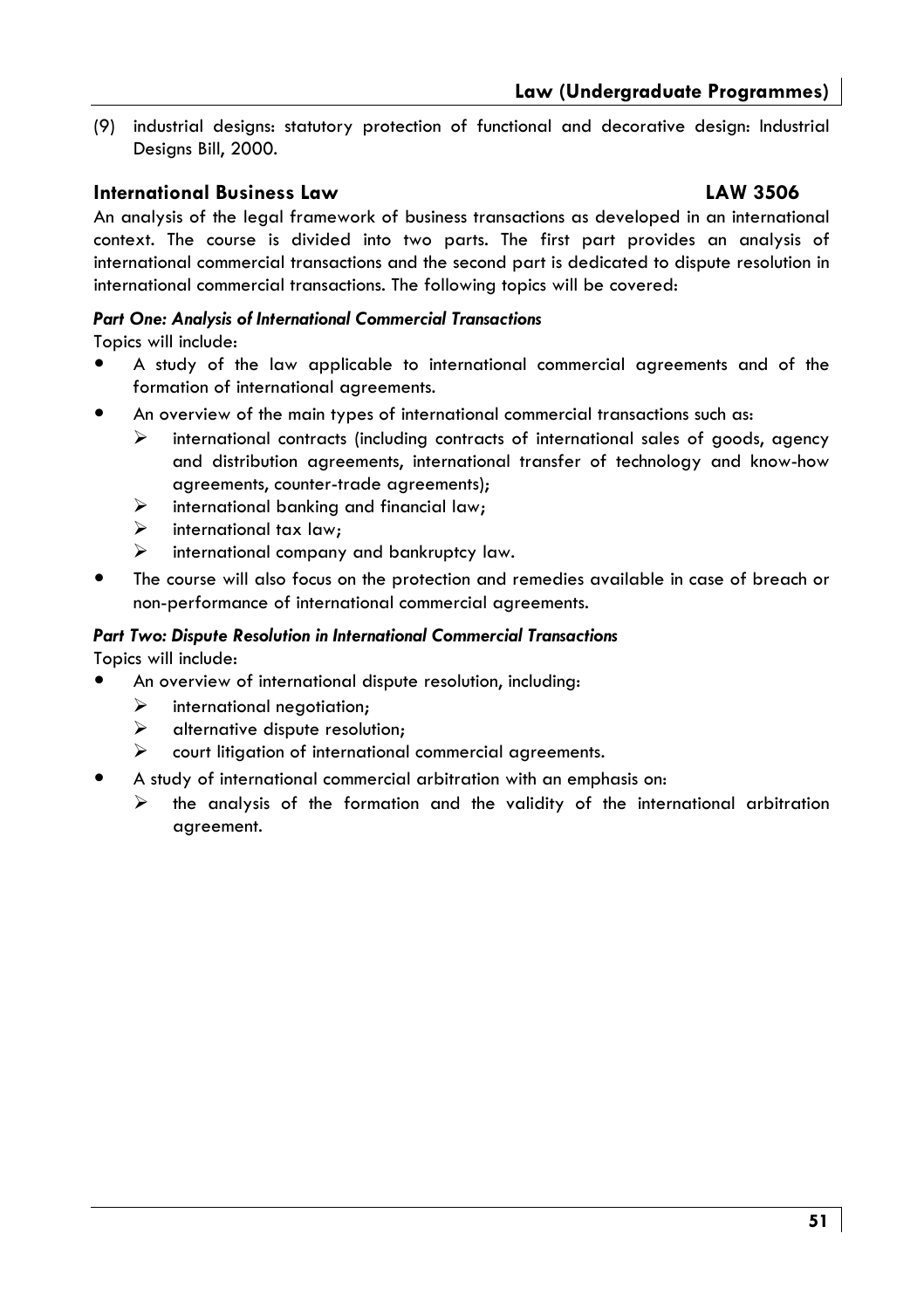(9) industrial desians: statutory protection of functional and decorative desian: Industrial Designs Bill, 2000.

#### **International Business Law**

#### **LAW 3506**

An analysis of the legal framework of business transactions as developed in an international context. The course is divided into two parts. The first part provides an analysis of international commercial transactions and the second part is dedicated to dispute resolution in international commercial transactions. The following topics will be covered:

#### **Part One: Analysis of International Commercial Transactions**

Topics will include:

- $\bullet$ A study of the law applicable to international commercial agreements and of the formation of international agreements.
- An overview of the main types of international commercial transactions such as:
	- international contracts (including contracts of international sales of goods, agency ↘ and distribution agreements, international transfer of technology and know-how agreements, counter-trade agreements);
	- $\prec$ international banking and financial law;
	- $\blacktriangleright$ international tax law:
	- $\blacktriangleright$ international company and bankruptcy law.
- The course will also focus on the protection and remedies available in case of breach or non-performance of international commercial agreements.

#### Part Two: Dispute Resolution in International Commercial Transactions

Topics will include:

- An overview of international dispute resolution, including:
	- ➤ international negotiation:
	- ↘ alternative dispute resolution;
	- court litigation of international commercial agreements.  $\blacktriangleright$
- A study of international commercial arbitration with an emphasis on:
	- the analysis of the formation and the validity of the international arbitration agreement.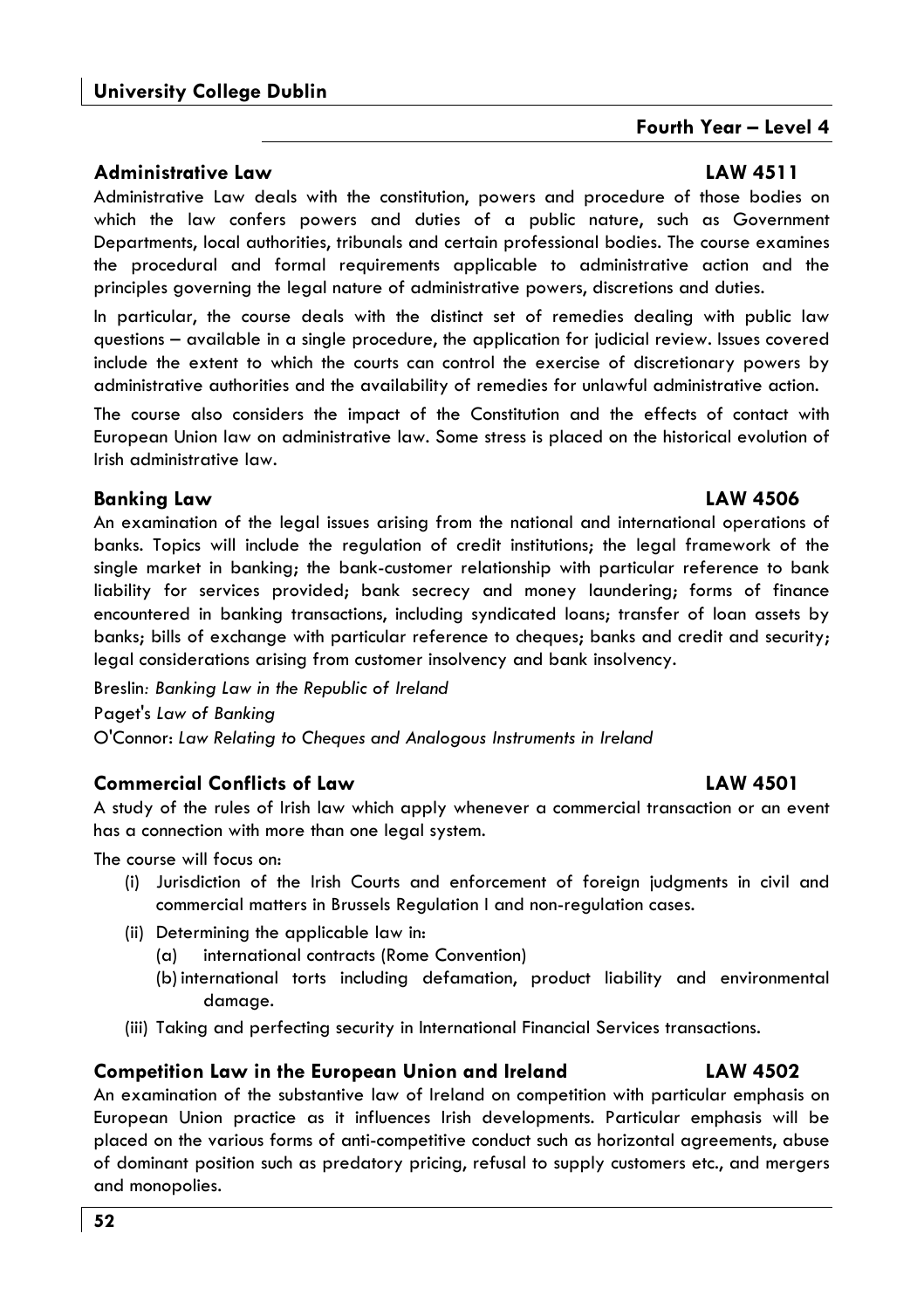#### **Administrative Law**

Administrative Law deals with the constitution, powers and procedure of those bodies on which the law confers powers and duties of a public nature, such as Government Departments, local authorities, tribunals and certain professional bodies. The course examines the procedural and formal requirements applicable to administrative action and the principles governing the legal nature of administrative powers, discretions and duties.

In particular, the course deals with the distinct set of remedies dealing with public law questions - available in a single procedure, the application for judicial review. Issues covered include the extent to which the courts can control the exercise of discretionary powers by administrative authorities and the availability of remedies for unlawful administrative action.

The course also considers the impact of the Constitution and the effects of contact with European Union law on administrative law. Some stress is placed on the historical evolution of Irish administrative law

#### **Banking Law**

An examination of the legal issues arising from the national and international operations of banks. Topics will include the regulation of credit institutions; the legal framework of the single market in banking; the bank-customer relationship with particular reference to bank liability for services provided; bank secrecy and money laundering; forms of finance encountered in banking transactions, including syndicated loans; transfer of loan assets by banks; bills of exchange with particular reference to cheques; banks and credit and security; legal considerations arising from customer insolvency and bank insolvency.

Breslin: Banking Law in the Republic of Ireland Paget's Law of Banking O'Connor: Law Relating to Cheques and Analogous Instruments in Ireland

#### **Commercial Conflicts of Law**

A study of the rules of Irish law which apply whenever a commercial transaction or an event has a connection with more than one legal system.

The course will focus on:

- (i) Jurisdiction of the Irish Courts and enforcement of foreign judgments in civil and commercial matters in Brussels Regulation I and non-regulation cases.
- (ii) Determining the applicable law in:
	- international contracts (Rome Convention)  $(a)$
	- (b) international torts including defamation, product liability and environmental damaae.
- (iii) Taking and perfecting security in International Financial Services transactions.

#### **Competition Law in the European Union and Ireland**

An examination of the substantive law of Ireland on competition with particular emphasis on European Union practice as it influences Irish developments. Particular emphasis will be placed on the various forms of anti-competitive conduct such as horizontal agreements, abuse of dominant position such as predatory pricing, refusal to supply customers etc., and mergers and monopolies.

#### **LAW 4511**

Fourth Year - Level 4

# **LAW 4501**

#### **LAW 4502**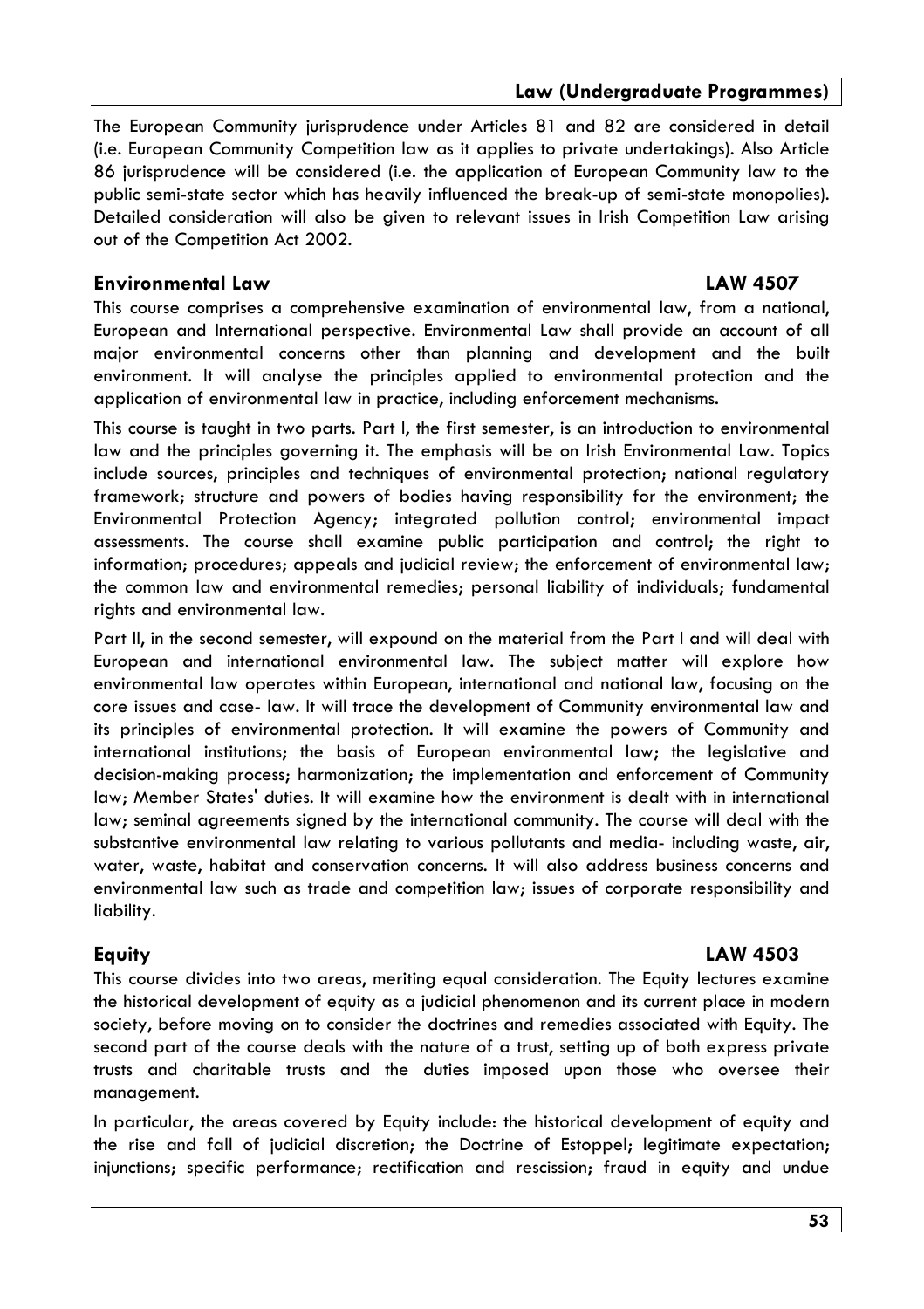#### Law (Underaraduate Proarammes)

**LAW 4507** 

The European Community jurisprudence under Articles 81 and 82 are considered in detail (i.e. European Community Competition law as it applies to private undertakings). Also Article 86 jurisprudence will be considered (i.e. the application of European Community law to the public semi-state sector which has heavily influenced the break-up of semi-state monopolies). Detailed consideration will also be aiven to relevant issues in Irish Competition Law arisina out of the Competition Act 2002.

#### **Environmental Law**

This course comprises a comprehensive examination of environmental law, from a national, European and International perspective. Environmental Law shall provide an account of all major environmental concerns other than planning and development and the built environment. It will analyse the principles applied to environmental protection and the application of environmental law in practice, including enforcement mechanisms.

This course is taught in two parts. Part I, the first semester, is an introduction to environmental law and the principles governing it. The emphasis will be on Irish Environmental Law. Topics include sources, principles and techniques of environmental protection; national regulatory framework; structure and powers of bodies having responsibility for the environment; the Environmental Protection Agency; integrated pollution control; environmental impact assessments. The course shall examine public participation and control; the right to information; procedures; appeals and judicial review; the enforcement of environmental law; the common law and environmental remedies; personal liability of individuals; fundamental rights and environmental law.

Part II, in the second semester, will expound on the material from the Part I and will deal with European and international environmental law. The subject matter will explore how environmental law operates within European, international and national law, focusing on the core issues and case- law. It will trace the development of Community environmental law and its principles of environmental protection. It will examine the powers of Community and international institutions; the basis of European environmental law; the legislative and decision-making process; harmonization; the implementation and enforcement of Community law; Member States' duties. It will examine how the environment is dealt with in international law; seminal agreements signed by the international community. The course will deal with the substantive environmental law relating to various pollutants and media- including waste, air, water, waste, habitat and conservation concerns. It will also address business concerns and environmental law such as trade and competition law; issues of corporate responsibility and liability.

#### Equity

#### LAW 4503

This course divides into two areas, meriting equal consideration. The Equity lectures examine the historical development of equity as a judicial phenomenon and its current place in modern society, before moving on to consider the doctrines and remedies associated with Equity. The second part of the course deals with the nature of a trust, setting up of both express private trusts and charitable trusts and the duties imposed upon those who oversee their management.

In particular, the areas covered by Equity include: the historical development of equity and the rise and fall of judicial discretion; the Doctrine of Estoppel; legitimate expectation; injunctions; specific performance; rectification and rescission; fraud in equity and undue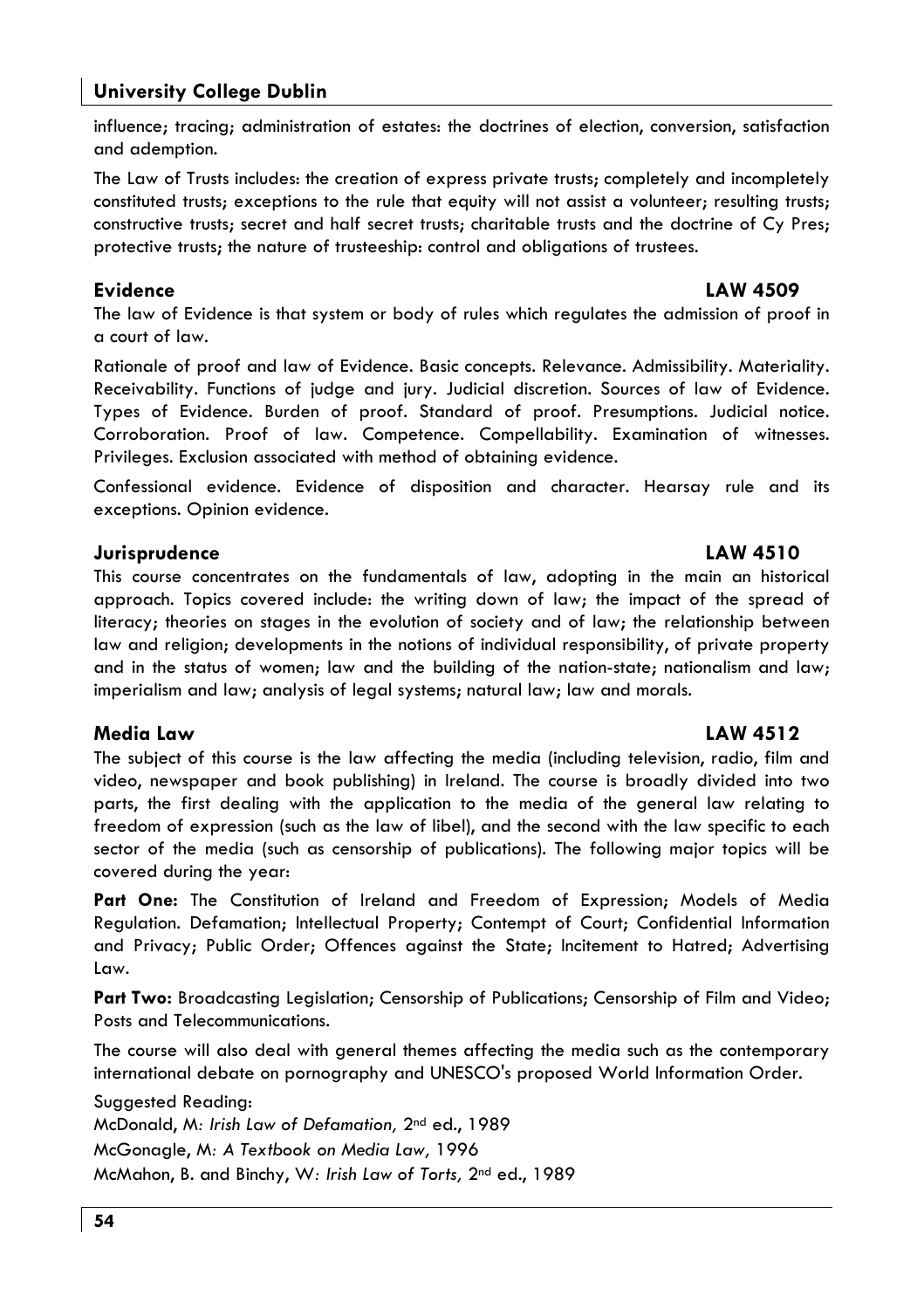#### **University College Dublin**

influence: tracina: administration of estates: the doctrines of election, conversion, satisfaction and ademption.

The Law of Trusts includes: the creation of express private trusts; completely and incompletely constituted trusts; exceptions to the rule that equity will not assist a volunteer; resulting trusts; constructive trusts: secret and half secret trusts: charitable trusts and the doctrine of Cy Pres: protective trusts; the nature of trusteeship: control and obligations of trustees.

#### Evidence

#### **LAW 4509**

The law of Evidence is that system or body of rules which regulates the admission of proof in a court of law.

Rationale of proof and law of Evidence. Basic concepts. Relevance. Admissibility. Materiality. Receivability. Functions of judge and jury. Judicial discretion. Sources of law of Evidence. Types of Evidence. Burden of proof. Standard of proof. Presumptions. Judicial notice. Corroboration. Proof of law. Competence. Compellability. Examination of witnesses. Privileges. Exclusion associated with method of obtaining evidence.

Confessional evidence. Evidence of disposition and character. Hearsay rule and its exceptions. Opinion evidence.

#### Jurisprudence

This course concentrates on the fundamentals of law, adopting in the main an historical approach. Topics covered include: the writing down of law; the impact of the spread of literacy; theories on stages in the evolution of society and of law; the relationship between law and religion; developments in the notions of individual responsibility, of private property and in the status of women; law and the building of the nation-state; nationalism and law; imperialism and law; analysis of legal systems; natural law; law and morals.

#### Media Law

The subject of this course is the law affecting the media (including television, radio, film and video, newspaper and book publishing) in Ireland. The course is broadly divided into two parts, the first dealing with the application to the media of the general law relating to freedom of expression (such as the law of libel), and the second with the law specific to each sector of the media (such as censorship of publications). The following major topics will be covered during the year:

Part One: The Constitution of Ireland and Freedom of Expression; Models of Media Regulation. Defamation; Intellectual Property; Contempt of Court; Confidential Information and Privacy; Public Order; Offences against the State; Incitement to Hatred; Advertising Law.

Part Two: Broadcasting Legislation; Censorship of Publications; Censorship of Film and Video; Posts and Telecommunications.

The course will also deal with general themes affecting the media such as the contemporary international debate on pornography and UNESCO's proposed World Information Order.

Suggested Reading:

McDonald, M: Irish Law of Defamation, 2<sup>nd</sup> ed., 1989 McGonagle, M: A Textbook on Media Law, 1996 McMahon, B. and Binchy, W: Irish Law of Torts, 2nd ed., 1989

# **LAW 4510**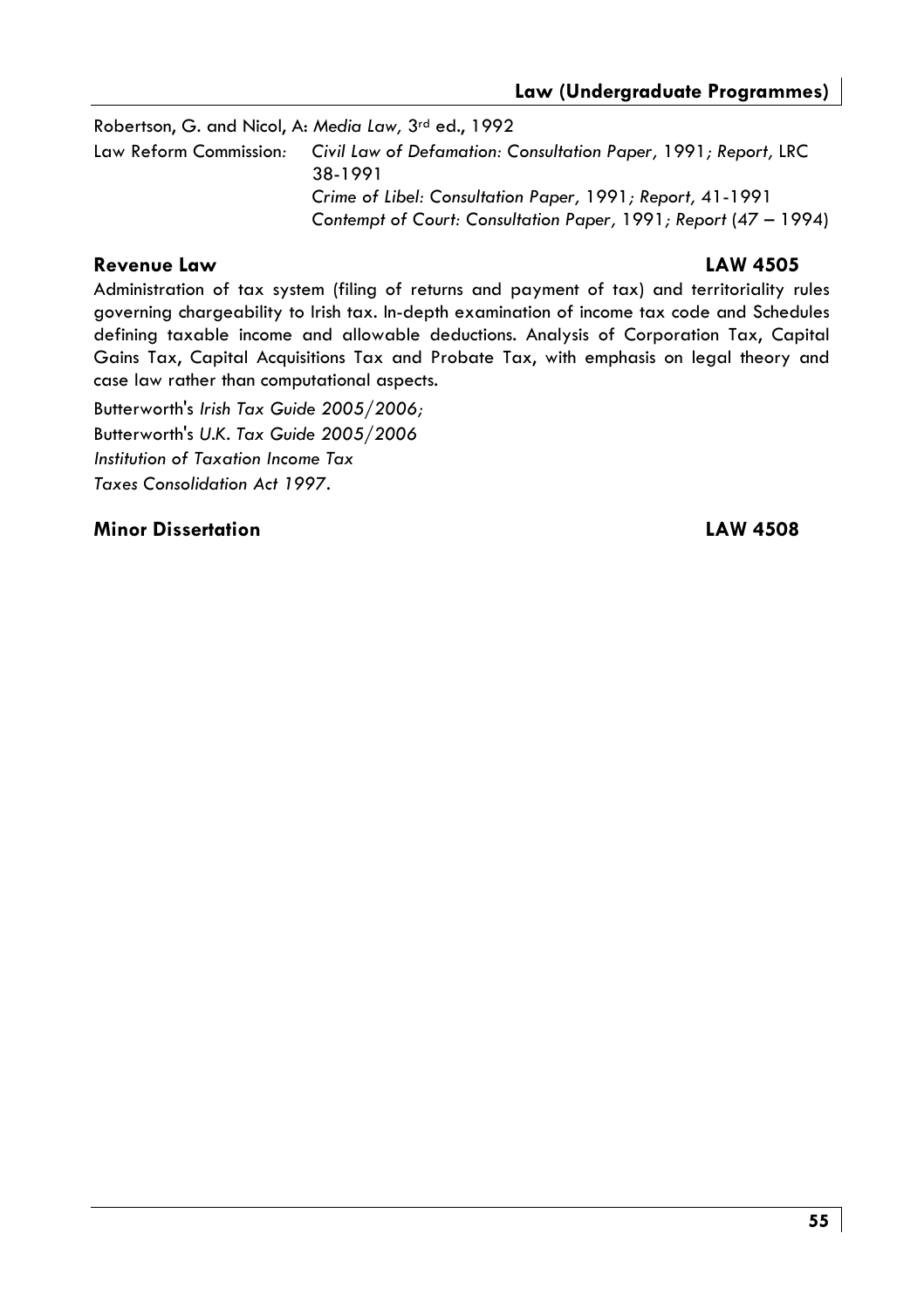Robertson, G. and Nicol, A: Media Law, 3rd ed., 1992 Law Reform Commission: Civil Law of Defamation: Consultation Paper, 1991; Report, LRC 38-1991 Crime of Libel: Consultation Paper, 1991; Report, 41-1991 Contempt of Court: Consultation Paper, 1991; Report (47 - 1994)

#### Revenue Law

#### **LAW 4505**

Administration of tax system (filing of returns and payment of tax) and territoriality rules governing chargeability to Irish tax. In-depth examination of income tax code and Schedules defining taxable income and allowable deductions. Analysis of Corporation Tax, Capital Gains Tax, Capital Acquisitions Tax and Probate Tax, with emphasis on legal theory and case law rather than computational aspects.

Butterworth's Irish Tax Guide 2005/2006; Butterworth's U.K. Tax Guide 2005/2006 Institution of Taxation Income Tax Taxes Consolidation Act 1997.

#### **Minor Dissertation**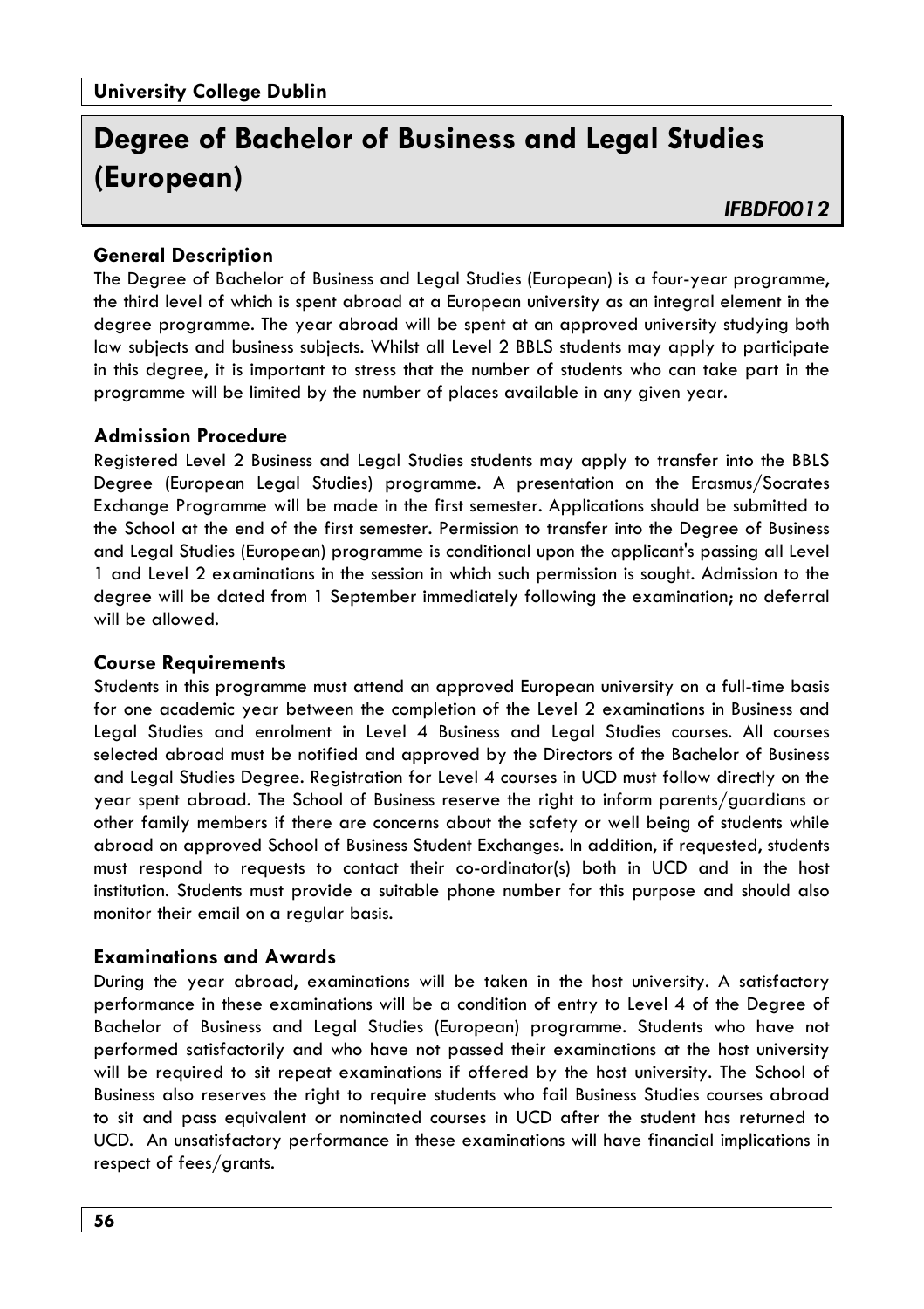# Dearee of Bachelor of Business and Leaal Studies (European)

#### **General Description**

The Degree of Bachelor of Business and Legal Studies (European) is a four-year programme, the third level of which is spent abroad at a European university as an integral element in the dearee programme. The year abroad will be spent at an approved university studying both law subjects and business subjects. Whilst all Level 2 BBLS students may apply to participate in this degree, it is important to stress that the number of students who can take part in the programme will be limited by the number of places available in any given year.

#### **Admission Procedure**

Registered Level 2 Business and Legal Studies students may apply to transfer into the BBLS Degree (European Legal Studies) programme. A presentation on the Erasmus/Socrates Exchange Programme will be made in the first semester. Applications should be submitted to the School at the end of the first semester. Permission to transfer into the Degree of Business and Legal Studies (European) programme is conditional upon the applicant's passing all Level 1 and Level 2 examinations in the session in which such permission is sought. Admission to the degree will be dated from 1 September immediately following the examination; no deferral will be allowed.

#### **Course Requirements**

Students in this programme must attend an approved European university on a full-time basis for one academic year between the completion of the Level 2 examinations in Business and Legal Studies and enrolment in Level 4 Business and Legal Studies courses. All courses selected abroad must be notified and approved by the Directors of the Bachelor of Business and Legal Studies Degree. Registration for Level 4 courses in UCD must follow directly on the year spent abroad. The School of Business reserve the right to inform parents/guardians or other family members if there are concerns about the safety or well being of students while abroad on approved School of Business Student Exchanges. In addition, if requested, students must respond to requests to contact their co-ordinator(s) both in UCD and in the host institution. Students must provide a suitable phone number for this purpose and should also monitor their email on a regular basis.

#### **Examinations and Awards**

During the year abroad, examinations will be taken in the host university. A satisfactory performance in these examinations will be a condition of entry to Level 4 of the Degree of Bachelor of Business and Legal Studies (European) programme. Students who have not performed satisfactorily and who have not passed their examinations at the host university will be required to sit repeat examinations if offered by the host university. The School of Business also reserves the right to require students who fail Business Studies courses abroad to sit and pass equivalent or nominated courses in UCD after the student has returned to UCD. An unsatisfactory performance in these examinations will have financial implications in respect of fees/grants.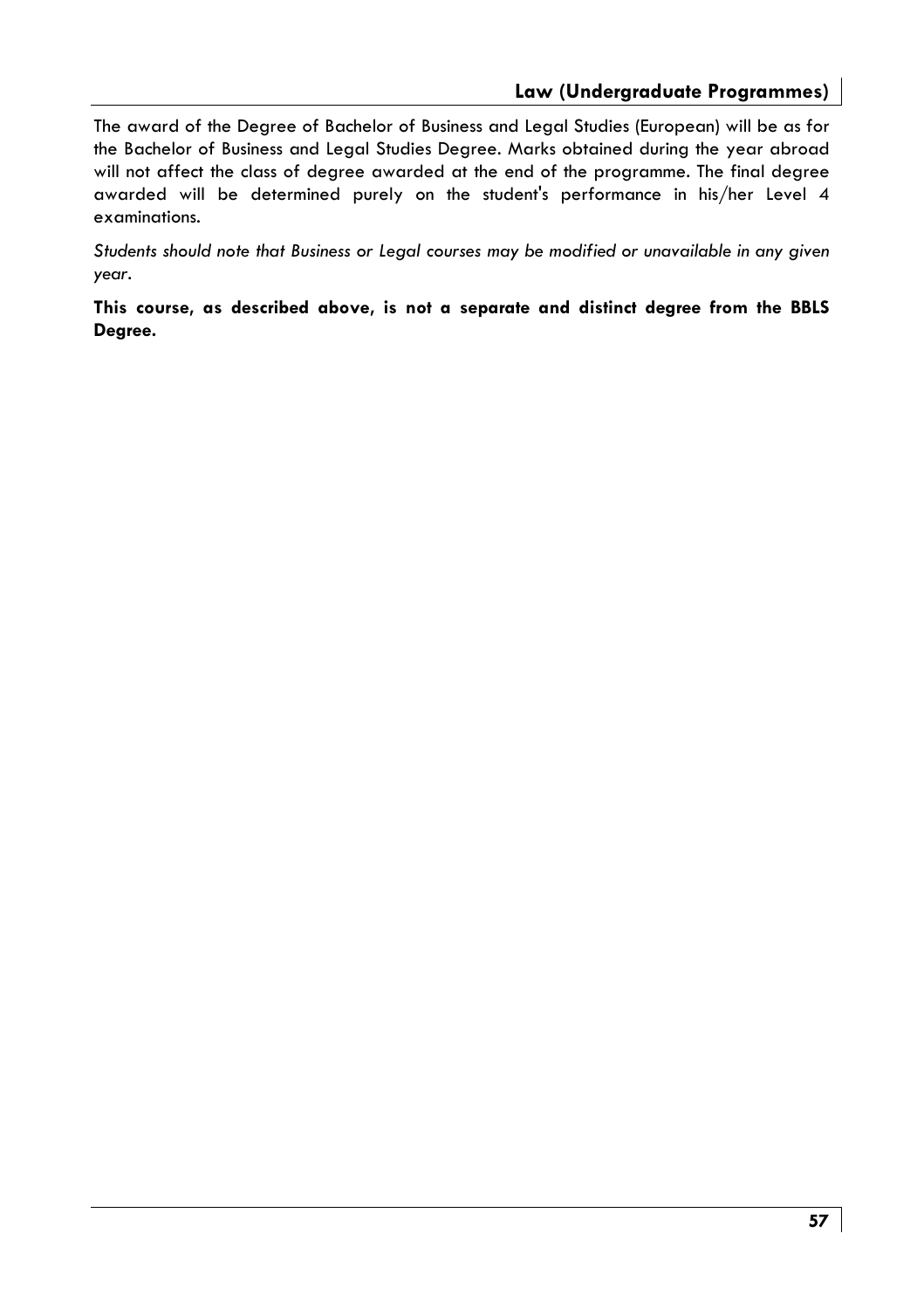The award of the Degree of Bachelor of Business and Legal Studies (European) will be as for the Bachelor of Business and Legal Studies Degree. Marks obtained during the year abroad will not affect the class of degree awarded at the end of the programme. The final degree awarded will be determined purely on the student's performance in his/her Level 4 examinations.

Students should note that Business or Legal courses may be modified or unavailable in any given year.

This course, as described above, is not a separate and distinct degree from the BBLS Degree.